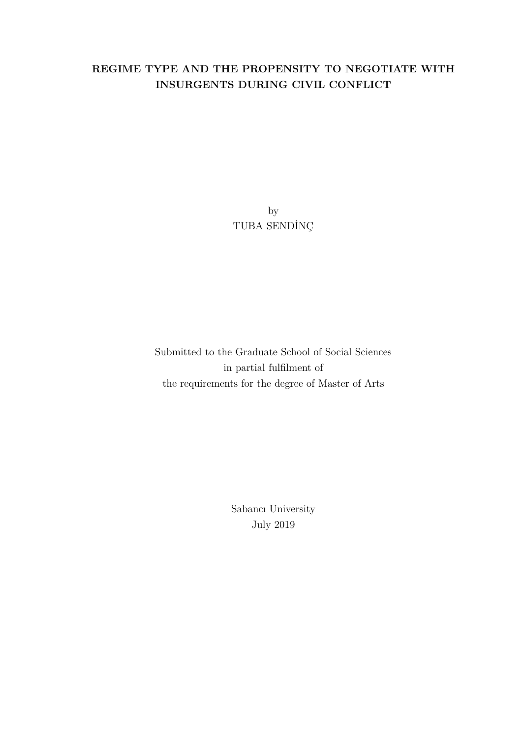## **REGIME TYPE AND THE PROPENSITY TO NEGOTIATE WITH INSURGENTS DURING CIVIL CONFLICT**

by TUBA SENDİNÇ

Submitted to the Graduate School of Social Sciences in partial fulfilment of the requirements for the degree of Master of Arts

> Sabancı University July 2019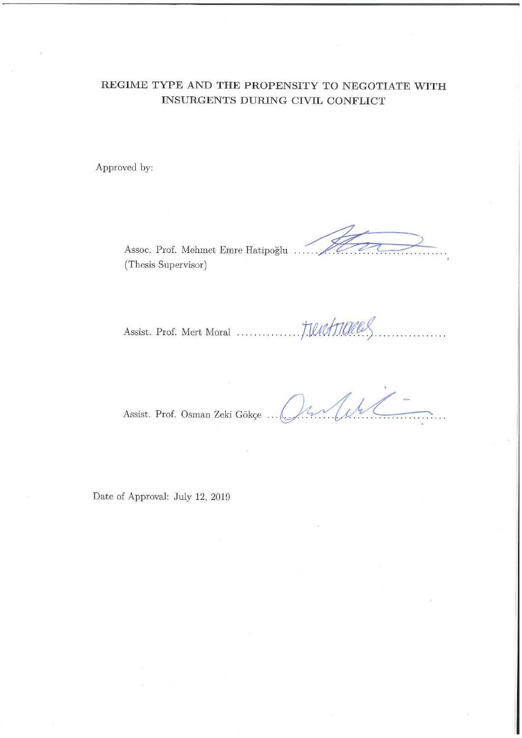## REGIME TYPE AND THE PROPENSITY TO NEGOTIATE WITH INSURGENTS DURING CIVIL CONFLICT

Approved by:

Assoc. Prof. Mehmet Emre Hatipoğlu (Thesis Supervisor)

.<br>La kara mata kara pa

Assist. Prof. Osman Zeki Gökçe ...

Jihr

Date of Approval: July 12, 2019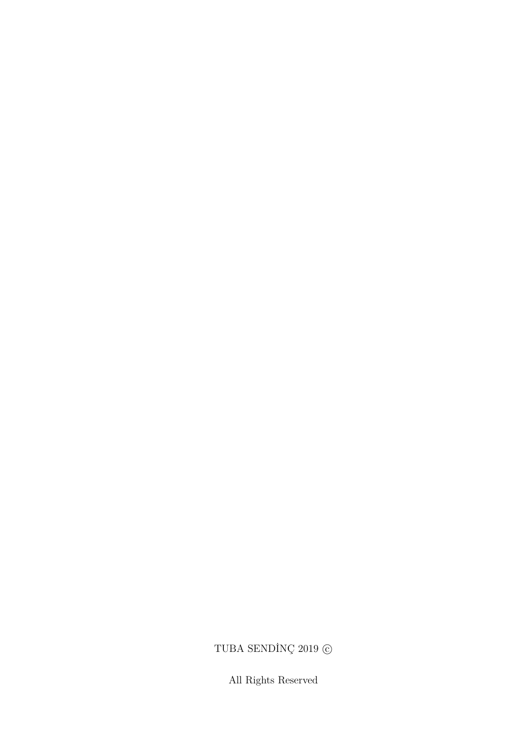# TUBA SENDİNÇ $2019$   $\odot$

All Rights Reserved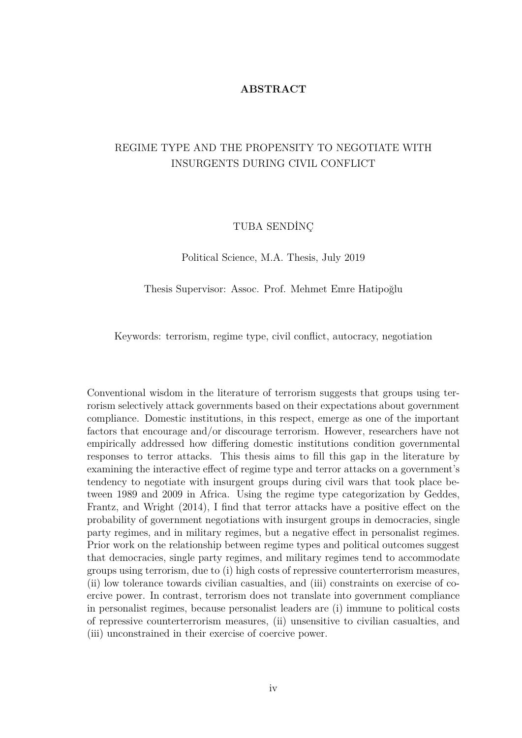### **ABSTRACT**

## REGIME TYPE AND THE PROPENSITY TO NEGOTIATE WITH INSURGENTS DURING CIVIL CONFLICT

### TUBA SENDİNÇ

Political Science, M.A. Thesis, July 2019

Thesis Supervisor: Assoc. Prof. Mehmet Emre Hatipoğlu

Keywords: terrorism, regime type, civil conflict, autocracy, negotiation

Conventional wisdom in the literature of terrorism suggests that groups using terrorism selectively attack governments based on their expectations about government compliance. Domestic institutions, in this respect, emerge as one of the important factors that encourage and/or discourage terrorism. However, researchers have not empirically addressed how differing domestic institutions condition governmental responses to terror attacks. This thesis aims to fill this gap in the literature by examining the interactive effect of regime type and terror attacks on a government's tendency to negotiate with insurgent groups during civil wars that took place between 1989 and 2009 in Africa. Using the regime type categorization by Geddes, Frantz, and Wright (2014), I find that terror attacks have a positive effect on the probability of government negotiations with insurgent groups in democracies, single party regimes, and in military regimes, but a negative effect in personalist regimes. Prior work on the relationship between regime types and political outcomes suggest that democracies, single party regimes, and military regimes tend to accommodate groups using terrorism, due to (i) high costs of repressive counterterrorism measures, (ii) low tolerance towards civilian casualties, and (iii) constraints on exercise of coercive power. In contrast, terrorism does not translate into government compliance in personalist regimes, because personalist leaders are (i) immune to political costs of repressive counterterrorism measures, (ii) unsensitive to civilian casualties, and (iii) unconstrained in their exercise of coercive power.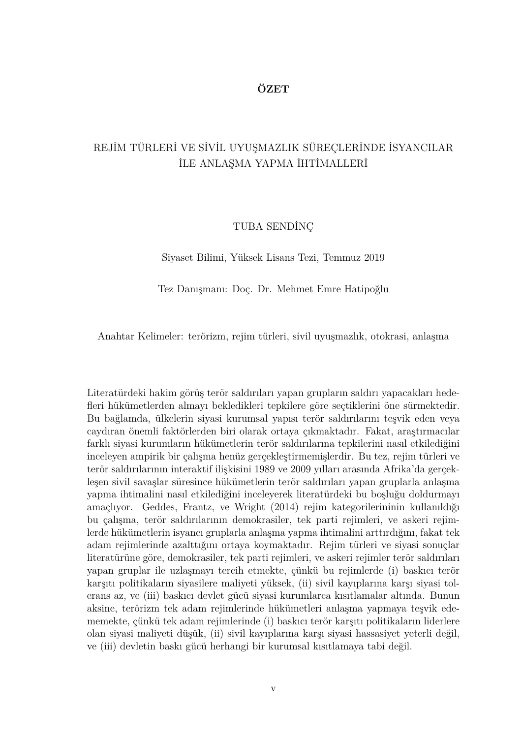## **ÖZET**

## REJİM TÜRLERİ VE SİVİL UYUŞMAZLIK SÜREÇLERİNDE İSYANCILAR İLE ANLAŞMA YAPMA İHTİMALLERİ

### TUBA SENDİNÇ

Siyaset Bilimi, Yüksek Lisans Tezi, Temmuz 2019

Tez Danışmanı: Doç. Dr. Mehmet Emre Hatipoğlu

Anahtar Kelimeler: terörizm, rejim türleri, sivil uyuşmazlık, otokrasi, anlaşma

Literatürdeki hakim görüş terör saldırıları yapan grupların saldırı yapacakları hedefleri hükümetlerden almayı bekledikleri tepkilere göre seçtiklerini öne sürmektedir. Bu bağlamda, ülkelerin siyasi kurumsal yapısı terör saldırılarını teşvik eden veya caydıran önemli faktörlerden biri olarak ortaya çıkmaktadır. Fakat, araştırmacılar farklı siyasi kurumların hükümetlerin terör saldırılarına tepkilerini nasıl etkilediğini inceleyen ampirik bir çalışma henüz gerçekleştirmemişlerdir. Bu tez, rejim türleri ve terör saldırılarının interaktif ilişkisini 1989 ve 2009 yılları arasında Afrika'da gerçekleşen sivil savaşlar süresince hükümetlerin terör saldırıları yapan gruplarla anlaşma yapma ihtimalini nasıl etkilediğini inceleyerek literatürdeki bu boşluğu doldurmayı amaçlıyor. Geddes, Frantz, ve Wright (2014) rejim kategorilerininin kullanıldığı bu çalışma, terör saldırılarının demokrasiler, tek parti rejimleri, ve askeri rejimlerde hükümetlerin isyancı gruplarla anlaşma yapma ihtimalini arttırdığını, fakat tek adam rejimlerinde azalttığını ortaya koymaktadır. Rejim türleri ve siyasi sonuçlar literatürüne göre, demokrasiler, tek parti rejimleri, ve askeri rejimler terör saldırıları yapan gruplar ile uzlaşmayı tercih etmekte, çünkü bu rejimlerde (i) baskıcı terör karşıtı politikaların siyasilere maliyeti yüksek, (ii) sivil kayıplarına karşı siyasi tolerans az, ve (iii) baskıcı devlet gücü siyasi kurumlarca kısıtlamalar altında. Bunun aksine, terörizm tek adam rejimlerinde hükümetleri anlaşma yapmaya teşvik edememekte, çünkü tek adam rejimlerinde (i) baskıcı terör karşıtı politikaların liderlere olan siyasi maliyeti düşük, (ii) sivil kayıplarına karşı siyasi hassasiyet yeterli değil, ve (iii) devletin baskı gücü herhangi bir kurumsal kısıtlamaya tabi değil.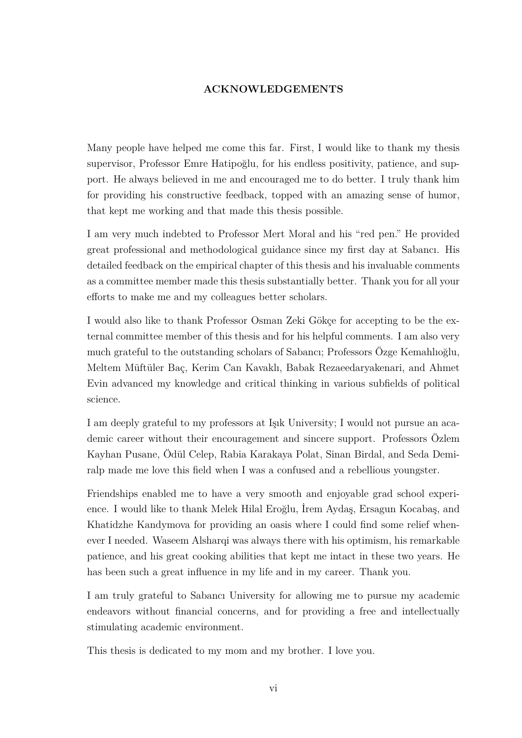## **ACKNOWLEDGEMENTS**

Many people have helped me come this far. First, I would like to thank my thesis supervisor, Professor Emre Hatipoğlu, for his endless positivity, patience, and support. He always believed in me and encouraged me to do better. I truly thank him for providing his constructive feedback, topped with an amazing sense of humor, that kept me working and that made this thesis possible.

I am very much indebted to Professor Mert Moral and his "red pen." He provided great professional and methodological guidance since my first day at Sabancı. His detailed feedback on the empirical chapter of this thesis and his invaluable comments as a committee member made this thesis substantially better. Thank you for all your efforts to make me and my colleagues better scholars.

I would also like to thank Professor Osman Zeki Gökçe for accepting to be the external committee member of this thesis and for his helpful comments. I am also very much grateful to the outstanding scholars of Sabancı; Professors Özge Kemahlıoğlu, Meltem Müftüler Baç, Kerim Can Kavaklı, Babak Rezaeedaryakenari, and Ahmet Evin advanced my knowledge and critical thinking in various subfields of political science.

I am deeply grateful to my professors at Işık University; I would not pursue an academic career without their encouragement and sincere support. Professors Özlem Kayhan Pusane, Ödül Celep, Rabia Karakaya Polat, Sinan Birdal, and Seda Demiralp made me love this field when I was a confused and a rebellious youngster.

Friendships enabled me to have a very smooth and enjoyable grad school experience. I would like to thank Melek Hilal Eroğlu, İrem Aydaş, Ersagun Kocabaş, and Khatidzhe Kandymova for providing an oasis where I could find some relief whenever I needed. Waseem Alsharqi was always there with his optimism, his remarkable patience, and his great cooking abilities that kept me intact in these two years. He has been such a great influence in my life and in my career. Thank you.

I am truly grateful to Sabancı University for allowing me to pursue my academic endeavors without financial concerns, and for providing a free and intellectually stimulating academic environment.

This thesis is dedicated to my mom and my brother. I love you.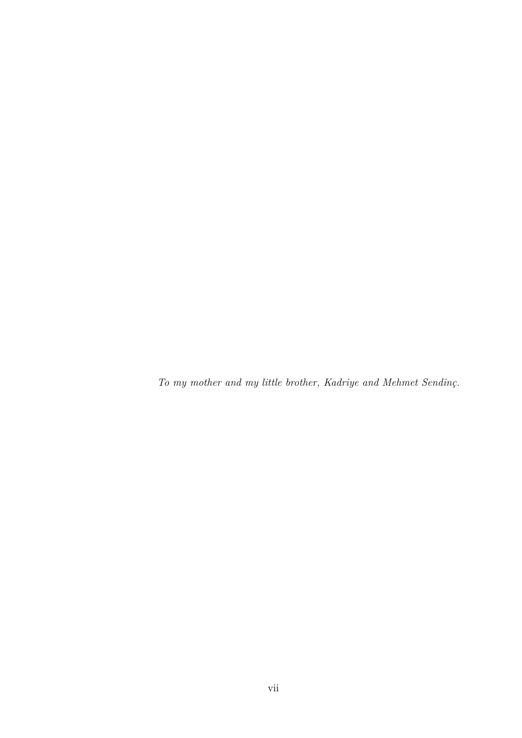*To my mother and my little brother, Kadriye and Mehmet Sendinç.*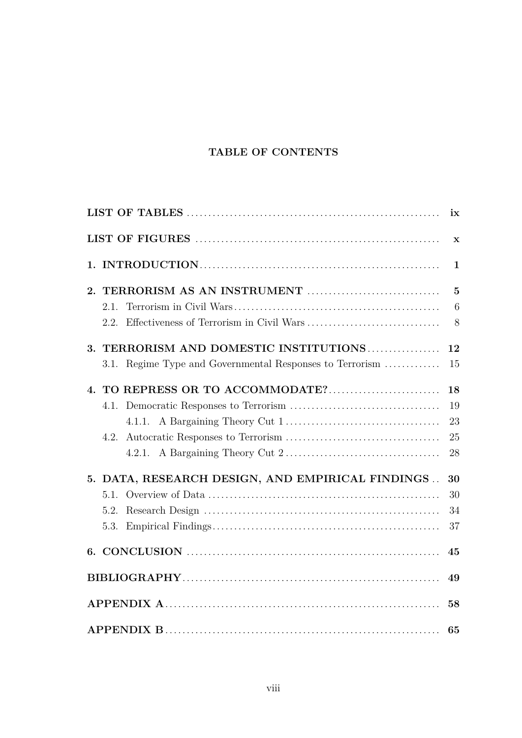# **TABLE OF CONTENTS**

<span id="page-7-0"></span>

|                      |                                                          | ix           |  |
|----------------------|----------------------------------------------------------|--------------|--|
|                      |                                                          | $\mathbf X$  |  |
|                      |                                                          | $\mathbf{1}$ |  |
|                      |                                                          | $\mathbf{5}$ |  |
|                      | 2.1.                                                     | 6            |  |
|                      | 2.2. Effectiveness of Terrorism in Civil Wars            | 8            |  |
| 3.                   | TERRORISM AND DOMESTIC INSTITUTIONS                      | 12           |  |
|                      | 3.1. Regime Type and Governmental Responses to Terrorism | 15           |  |
| $\mathbf{A}_{\cdot}$ |                                                          | 18           |  |
|                      |                                                          | 19           |  |
|                      |                                                          | 23           |  |
|                      |                                                          | 25           |  |
|                      |                                                          | 28           |  |
|                      | 5. DATA, RESEARCH DESIGN, AND EMPIRICAL FINDINGS         | 30           |  |
|                      | 5.1.                                                     | 30           |  |
|                      | 5.2.                                                     | 34           |  |
|                      | 5.3.                                                     | 37           |  |
|                      |                                                          | 45           |  |
|                      |                                                          |              |  |
|                      |                                                          | 58           |  |
|                      | 65                                                       |              |  |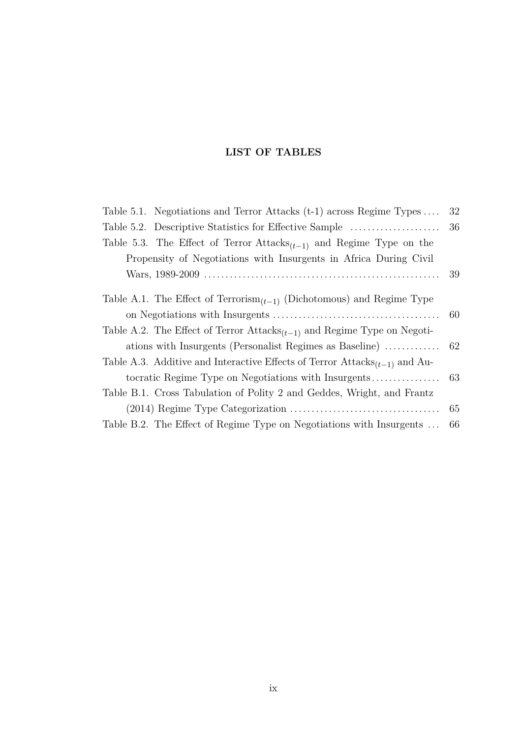## **LIST OF TABLES**

<span id="page-8-0"></span>

| Table 5.1. Negotiations and Terror Attacks $(t-1)$ across Regime Types                       | 32  |
|----------------------------------------------------------------------------------------------|-----|
| Table 5.2. Descriptive Statistics for Effective Sample                                       | 36  |
| Table 5.3. The Effect of Terror Attacks <sub><math>(t-1)</math></sub> and Regime Type on the |     |
| Propensity of Negotiations with Insurgents in Africa During Civil                            |     |
|                                                                                              | 39  |
| Table A.1. The Effect of $Terrorism_{(t-1)}$ (Dichotomous) and Regime Type                   |     |
|                                                                                              | 60  |
| Table A.2. The Effect of Terror $Attacks_{(t-1)}$ and Regime Type on Negoti-                 |     |
| ations with Insurgents (Personalist Regimes as Baseline)                                     | 62  |
| Table A.3. Additive and Interactive Effects of Terror $\text{Attacks}_{(t-1)}$ and Au-       |     |
|                                                                                              | -63 |
| Table B.1. Cross Tabulation of Polity 2 and Geddes, Wright, and Frantz                       |     |
|                                                                                              | 65  |
| Table B.2. The Effect of Regime Type on Negotiations with Insurgents                         | 66  |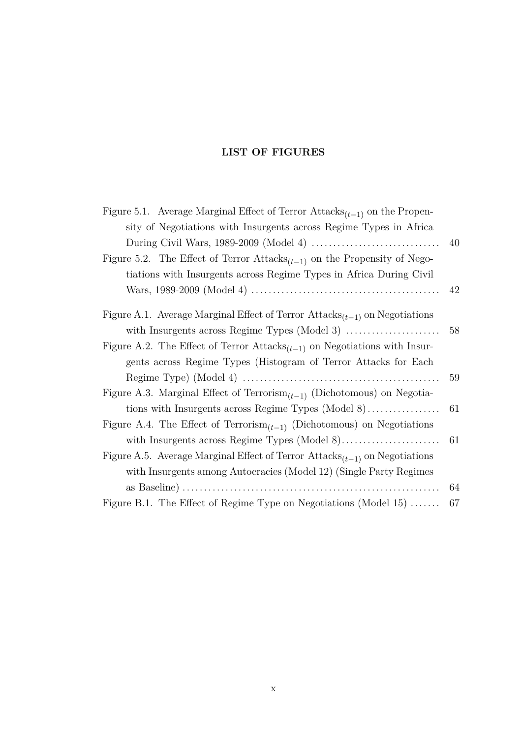# **LIST OF FIGURES**

| Figure 5.1. Average Marginal Effect of Terror $\text{Attacks}_{(t-1)}$ on the Propen-              |    |
|----------------------------------------------------------------------------------------------------|----|
| sity of Negotiations with Insurgents across Regime Types in Africa                                 |    |
|                                                                                                    | 40 |
| Figure 5.2. The Effect of Terror $Attacks_{(t-1)}$ on the Propensity of Nego-                      |    |
| tiations with Insurgents across Regime Types in Africa During Civil                                |    |
|                                                                                                    | 42 |
| Figure A.1. Average Marginal Effect of Terror $Attacks_{(t-1)}$ on Negotiations                    |    |
|                                                                                                    | 58 |
| Figure A.2. The Effect of Terror Attacks <sub><math>(t-1)</math></sub> on Negotiations with Insur- |    |
| gents across Regime Types (Histogram of Terror Attacks for Each                                    |    |
|                                                                                                    | 59 |
| Figure A.3. Marginal Effect of Terrorism <sub><math>(t-1)</math></sub> (Dichotomous) on Negotia-   |    |
|                                                                                                    | 61 |
| Figure A.4. The Effect of $Terrorism_{(t-1)}$ (Dichotomous) on Negotiations                        |    |
|                                                                                                    | 61 |
| Figure A.5. Average Marginal Effect of Terror Attacks $(t-1)$ on Negotiations                      |    |
| with Insurgents among Autocracies (Model 12) (Single Party Regimes                                 |    |
|                                                                                                    | 64 |
| Figure B.1. The Effect of Regime Type on Negotiations (Model 15)                                   | 67 |
|                                                                                                    |    |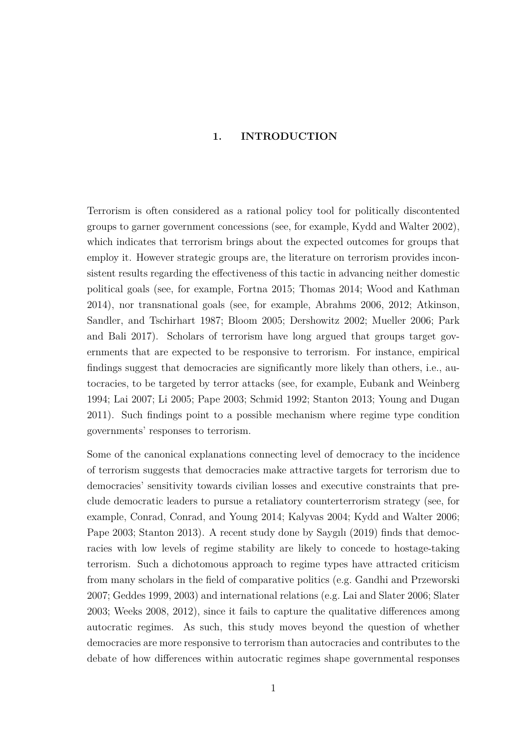### <span id="page-10-0"></span>**1. INTRODUCTION**

Terrorism is often considered as a rational policy tool for politically discontented groups to garner government concessions (see, for example, [Kydd and Walter](#page-63-0) [2002\)](#page-63-0), which indicates that terrorism brings about the expected outcomes for groups that employ it. However strategic groups are, the literature on terrorism provides inconsistent results regarding the effectiveness of this tactic in advancing neither domestic political goals (see, for example, [Fortna](#page-61-0) [2015;](#page-61-0) [Thomas](#page-65-0) [2014;](#page-65-0) [Wood and Kathman](#page-66-0) [2014\)](#page-66-0), nor transnational goals (see, for example, [Abrahms](#page-58-0) [2006,](#page-58-0) [2012;](#page-58-1) [Atkinson,](#page-58-2) [Sandler, and Tschirhart](#page-58-2) [1987;](#page-58-2) [Bloom](#page-59-0) [2005;](#page-59-0) [Dershowitz](#page-60-0) [2002;](#page-60-0) [Mueller](#page-63-1) [2006;](#page-63-1) [Park](#page-64-0) [and Bali](#page-64-0) [2017\)](#page-64-0). Scholars of terrorism have long argued that groups target governments that are expected to be responsive to terrorism. For instance, empirical findings suggest that democracies are significantly more likely than others, i.e., autocracies, to be targeted by terror attacks (see, for example, [Eubank and Weinberg](#page-60-1) [1994;](#page-60-1) [Lai](#page-63-2) [2007;](#page-63-2) [Li](#page-63-3) [2005;](#page-63-3) [Pape](#page-64-1) [2003;](#page-64-1) [Schmid](#page-65-1) [1992;](#page-65-1) [Stanton](#page-65-2) [2013;](#page-65-2) [Young and Dugan](#page-66-1) [2011\)](#page-66-1). Such findings point to a possible mechanism where regime type condition governments' responses to terrorism.

Some of the canonical explanations connecting level of democracy to the incidence of terrorism suggests that democracies make attractive targets for terrorism due to democracies' sensitivity towards civilian losses and executive constraints that preclude democratic leaders to pursue a retaliatory counterterrorism strategy (see, for example, [Conrad, Conrad, and Young](#page-59-1) [2014;](#page-59-1) [Kalyvas](#page-62-0) [2004;](#page-62-0) [Kydd and Walter](#page-63-4) [2006;](#page-63-4) [Pape](#page-64-1) [2003;](#page-64-1) [Stanton](#page-65-2) [2013\)](#page-65-2). A recent study done by Saygılı [\(2019\)](#page-65-3) finds that democracies with low levels of regime stability are likely to concede to hostage-taking terrorism. Such a dichotomous approach to regime types have attracted criticism from many scholars in the field of comparative politics (e.g. [Gandhi and Przeworski](#page-61-1) [2007;](#page-61-1) [Geddes](#page-61-2) [1999,](#page-61-2) [2003\)](#page-61-3) and international relations (e.g. [Lai and Slater](#page-63-5) [2006;](#page-63-5) [Slater](#page-65-4) [2003;](#page-65-4) [Weeks](#page-65-5) [2008,](#page-65-5) [2012\)](#page-66-2), since it fails to capture the qualitative differences among autocratic regimes. As such, this study moves beyond the question of whether democracies are more responsive to terrorism than autocracies and contributes to the debate of how differences within autocratic regimes shape governmental responses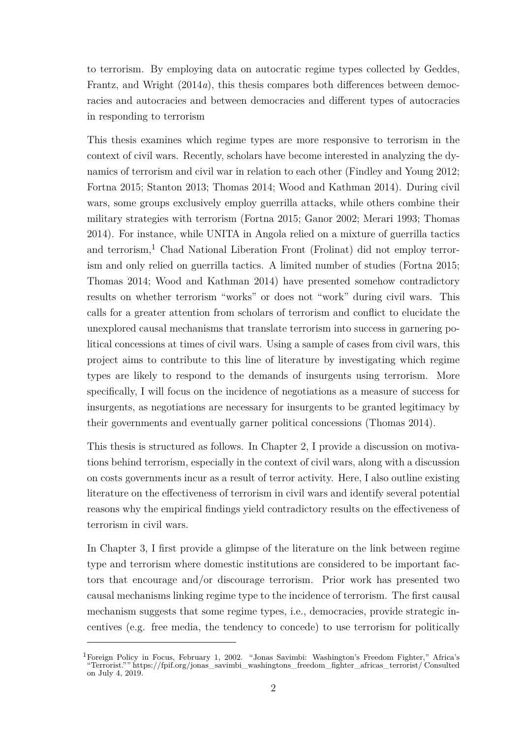to terrorism. By employing data on autocratic regime types collected by Geddes, Frantz, and Wright [\(2014](#page-61-4)*a*), this thesis compares both differences between democracies and autocracies and between democracies and different types of autocracies in responding to terrorism

This thesis examines which regime types are more responsive to terrorism in the context of civil wars. Recently, scholars have become interested in analyzing the dynamics of terrorism and civil war in relation to each other [\(Findley and Young](#page-61-5) [2012;](#page-61-5) [Fortna](#page-61-0) [2015;](#page-61-0) [Stanton](#page-65-2) [2013;](#page-65-2) [Thomas](#page-65-0) [2014;](#page-65-0) [Wood and Kathman](#page-66-0) [2014\)](#page-66-0). During civil wars, some groups exclusively employ guerrilla attacks, while others combine their military strategies with terrorism [\(Fortna](#page-61-0) [2015;](#page-61-0) [Ganor](#page-61-6) [2002;](#page-61-6) [Merari](#page-63-6) [1993;](#page-63-6) [Thomas](#page-65-0) [2014\)](#page-65-0). For instance, while UNITA in Angola relied on a mixture of guerrilla tactics and terrorism,<sup>1</sup> Chad National Liberation Front (Frolinat) did not employ terrorism and only relied on guerrilla tactics. A limited number of studies [\(Fortna](#page-61-0) [2015;](#page-61-0) [Thomas](#page-65-0) [2014;](#page-65-0) [Wood and Kathman](#page-66-0) [2014\)](#page-66-0) have presented somehow contradictory results on whether terrorism "works" or does not "work" during civil wars. This calls for a greater attention from scholars of terrorism and conflict to elucidate the unexplored causal mechanisms that translate terrorism into success in garnering political concessions at times of civil wars. Using a sample of cases from civil wars, this project aims to contribute to this line of literature by investigating which regime types are likely to respond to the demands of insurgents using terrorism. More specifically, I will focus on the incidence of negotiations as a measure of success for insurgents, as negotiations are necessary for insurgents to be granted legitimacy by their governments and eventually garner political concessions [\(Thomas](#page-65-0) [2014\)](#page-65-0).

This thesis is structured as follows. In Chapter 2, I provide a discussion on motivations behind terrorism, especially in the context of civil wars, along with a discussion on costs governments incur as a result of terror activity. Here, I also outline existing literature on the effectiveness of terrorism in civil wars and identify several potential reasons why the empirical findings yield contradictory results on the effectiveness of terrorism in civil wars.

In Chapter 3, I first provide a glimpse of the literature on the link between regime type and terrorism where domestic institutions are considered to be important factors that encourage and/or discourage terrorism. Prior work has presented two causal mechanisms linking regime type to the incidence of terrorism. The first causal mechanism suggests that some regime types, i.e., democracies, provide strategic incentives (e.g. free media, the tendency to concede) to use terrorism for politically

<sup>&</sup>lt;sup>1</sup>Foreign Policy in Focus, February 1, 2002. "Jonas Savimbi: Washington's Freedom Fighter," Africa's "Terrorist."" [https://fpif.org/jonas\\_savimbi\\_washingtons\\_freedom\\_fighter\\_africas\\_terrorist/](https://fpif.org/jonas_savimbi_washingtons_freedom_fighter_africas_terrorist/) Consulted on July 4, 2019.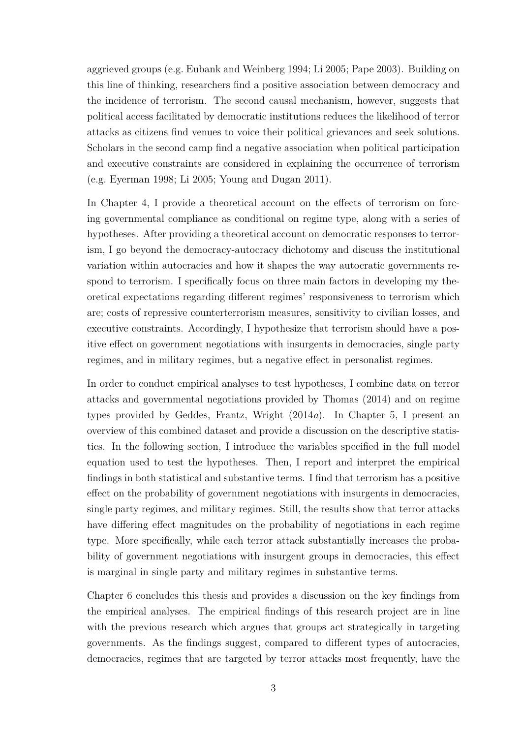aggrieved groups (e.g. [Eubank and Weinberg](#page-60-1) [1994;](#page-60-1) [Li](#page-63-3) [2005;](#page-63-3) [Pape](#page-64-1) [2003\)](#page-64-1). Building on this line of thinking, researchers find a positive association between democracy and the incidence of terrorism. The second causal mechanism, however, suggests that political access facilitated by democratic institutions reduces the likelihood of terror attacks as citizens find venues to voice their political grievances and seek solutions. Scholars in the second camp find a negative association when political participation and executive constraints are considered in explaining the occurrence of terrorism (e.g. [Eyerman](#page-60-2) [1998;](#page-60-2) [Li](#page-63-3) [2005;](#page-63-3) [Young and Dugan](#page-66-1) [2011\)](#page-66-1).

In Chapter 4, I provide a theoretical account on the effects of terrorism on forcing governmental compliance as conditional on regime type, along with a series of hypotheses. After providing a theoretical account on democratic responses to terrorism, I go beyond the democracy-autocracy dichotomy and discuss the institutional variation within autocracies and how it shapes the way autocratic governments respond to terrorism. I specifically focus on three main factors in developing my theoretical expectations regarding different regimes' responsiveness to terrorism which are; costs of repressive counterterrorism measures, sensitivity to civilian losses, and executive constraints. Accordingly, I hypothesize that terrorism should have a positive effect on government negotiations with insurgents in democracies, single party regimes, and in military regimes, but a negative effect in personalist regimes.

In order to conduct empirical analyses to test hypotheses, I combine data on terror attacks and governmental negotiations provided by Thomas [\(2014\)](#page-65-0) and on regime types provided by Geddes, Frantz, Wright [\(2014](#page-61-4)*a*). In Chapter 5, I present an overview of this combined dataset and provide a discussion on the descriptive statistics. In the following section, I introduce the variables specified in the full model equation used to test the hypotheses. Then, I report and interpret the empirical findings in both statistical and substantive terms. I find that terrorism has a positive effect on the probability of government negotiations with insurgents in democracies, single party regimes, and military regimes. Still, the results show that terror attacks have differing effect magnitudes on the probability of negotiations in each regime type. More specifically, while each terror attack substantially increases the probability of government negotiations with insurgent groups in democracies, this effect is marginal in single party and military regimes in substantive terms.

Chapter 6 concludes this thesis and provides a discussion on the key findings from the empirical analyses. The empirical findings of this research project are in line with the previous research which argues that groups act strategically in targeting governments. As the findings suggest, compared to different types of autocracies, democracies, regimes that are targeted by terror attacks most frequently, have the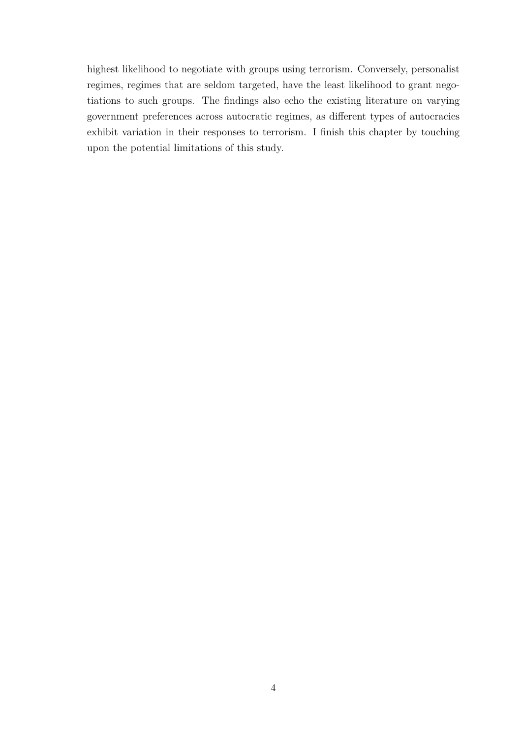highest likelihood to negotiate with groups using terrorism. Conversely, personalist regimes, regimes that are seldom targeted, have the least likelihood to grant negotiations to such groups. The findings also echo the existing literature on varying government preferences across autocratic regimes, as different types of autocracies exhibit variation in their responses to terrorism. I finish this chapter by touching upon the potential limitations of this study.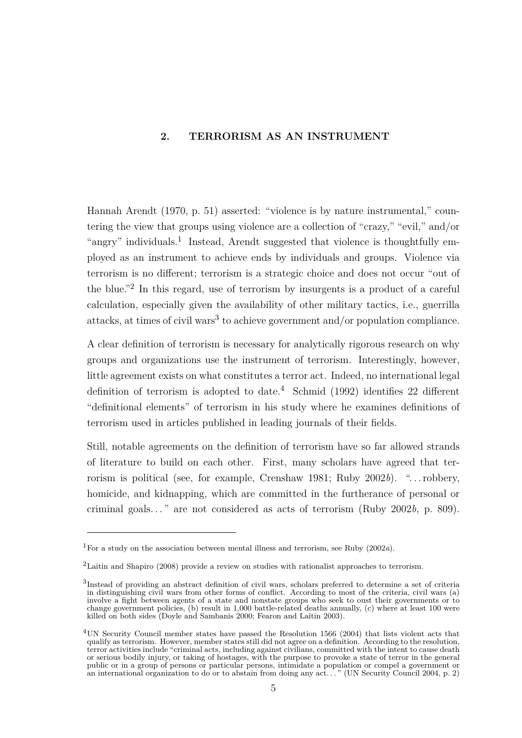## <span id="page-14-0"></span>**2. TERRORISM AS AN INSTRUMENT**

Hannah Arendt [\(1970,](#page-58-3) p. 51) asserted: "violence is by nature instrumental," countering the view that groups using violence are a collection of "crazy," "evil," and/or "angry" individuals.<sup>1</sup> Instead, Arendt suggested that violence is thoughtfully employed as an instrument to achieve ends by individuals and groups. Violence via terrorism is no different; terrorism is a strategic choice and does not occur "out of the blue."<sup>2</sup> In this regard, use of terrorism by insurgents is a product of a careful calculation, especially given the availability of other military tactics, i.e., guerrilla attacks, at times of civil wars<sup>3</sup> to achieve government and/or population compliance.

A clear definition of terrorism is necessary for analytically rigorous research on why groups and organizations use the instrument of terrorism. Interestingly, however, little agreement exists on what constitutes a terror act. Indeed, no international legal definition of terrorism is adopted to date.<sup>4</sup> Schmid [\(1992\)](#page-65-1) identifies 22 different "definitional elements" of terrorism in his study where he examines definitions of terrorism used in articles published in leading journals of their fields.

Still, notable agreements on the definition of terrorism have so far allowed strands of literature to build on each other. First, many scholars have agreed that terrorism is political (see, for example, [Crenshaw](#page-59-2) [1981;](#page-59-2) [Ruby](#page-65-6) [2002](#page-65-6)*b*). ". . . robbery, homicide, and kidnapping, which are committed in the furtherance of personal or criminal goals. . . " are not considered as acts of terrorism [\(Ruby](#page-65-6) [2002](#page-65-6)*b*, p. 809).

<sup>1</sup>For a study on the association between mental illness and terrorism, see Ruby [\(2002](#page-64-2)*a*).

<sup>2</sup>Laitin and Shapiro [\(2008\)](#page-63-7) provide a review on studies with rationalist approaches to terrorism.

<sup>3</sup> Instead of providing an abstract definition of civil wars, scholars preferred to determine a set of criteria in distinguishing civil wars from other forms of conflict. According to most of the criteria, civil wars (a) involve a fight between agents of a state and nonstate groups who seek to oust their governments or to change government policies, (b) result in 1,000 battle-related deaths annually, (c) where at least 100 were killed on both sides [\(Doyle and Sambanis](#page-60-3) [2000;](#page-60-3) [Fearon and Laitin](#page-60-4) [2003\)](#page-60-4).

<sup>4</sup>UN Security Council member states have passed the Resolution 1566 [\(2004\)](#page-65-7) that lists violent acts that qualify as terrorism. However, member states still did not agree on a definition. According to the resolution, terror activities include "criminal acts, including against civilians, committed with the intent to cause death or serious bodily injury, or taking of hostages, with the purpose to provoke a state of terror in the general public or in a group of persons or particular persons, intimidate a population or compel a government or an international organization to do or to abstain from doing any act. . . " [\(UN Security Council](#page-65-7) [2004,](#page-65-7) p. 2)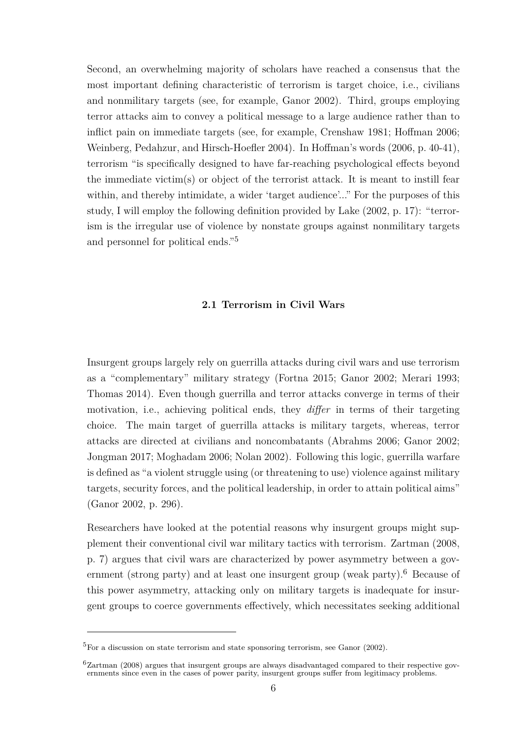Second, an overwhelming majority of scholars have reached a consensus that the most important defining characteristic of terrorism is target choice, i.e., civilians and nonmilitary targets (see, for example, [Ganor](#page-61-6) [2002\)](#page-61-6). Third, groups employing terror attacks aim to convey a political message to a large audience rather than to inflict pain on immediate targets (see, for example, [Crenshaw](#page-59-2) [1981;](#page-59-2) [Hoffman](#page-62-1) [2006;](#page-62-1) [Weinberg, Pedahzur, and Hirsch-Hoefler](#page-66-3) [2004\)](#page-66-3). In Hoffman's words [\(2006,](#page-62-1) p. 40-41), terrorism "is specifically designed to have far-reaching psychological effects beyond the immediate victim(s) or object of the terrorist attack. It is meant to instill fear within, and thereby intimidate, a wider 'target audience'..." For the purposes of this study, I will employ the following definition provided by Lake [\(2002,](#page-63-8) p. 17): "terrorism is the irregular use of violence by nonstate groups against nonmilitary targets and personnel for political ends."<sup>5</sup>

### **2.1 Terrorism in Civil Wars**

<span id="page-15-0"></span>Insurgent groups largely rely on guerrilla attacks during civil wars and use terrorism as a "complementary" military strategy [\(Fortna](#page-61-0) [2015;](#page-61-0) [Ganor](#page-61-6) [2002;](#page-61-6) [Merari](#page-63-6) [1993;](#page-63-6) [Thomas](#page-65-0) [2014\)](#page-65-0). Even though guerrilla and terror attacks converge in terms of their motivation, i.e., achieving political ends, they *differ* in terms of their targeting choice. The main target of guerrilla attacks is military targets, whereas, terror attacks are directed at civilians and noncombatants [\(Abrahms](#page-58-0) [2006;](#page-58-0) [Ganor](#page-61-6) [2002;](#page-61-6) [Jongman](#page-62-2) [2017;](#page-62-2) [Moghadam](#page-63-9) [2006;](#page-63-9) [Nolan](#page-64-3) [2002\)](#page-64-3). Following this logic, guerrilla warfare is defined as "a violent struggle using (or threatening to use) violence against military targets, security forces, and the political leadership, in order to attain political aims" [\(Ganor](#page-61-6) [2002,](#page-61-6) p. 296).

Researchers have looked at the potential reasons why insurgent groups might supplement their conventional civil war military tactics with terrorism. Zartman [\(2008,](#page-66-4) p. 7) argues that civil wars are characterized by power asymmetry between a government (strong party) and at least one insurgent group (weak party).<sup>6</sup> Because of this power asymmetry, attacking only on military targets is inadequate for insurgent groups to coerce governments effectively, which necessitates seeking additional

 ${}^{5}$ For a discussion on state terrorism and state sponsoring terrorism, see Ganor [\(2002\)](#page-61-6).

 ${}^{6}$ Zartman [\(2008\)](#page-66-4) argues that insurgent groups are always disadvantaged compared to their respective governments since even in the cases of power parity, insurgent groups suffer from legitimacy problems.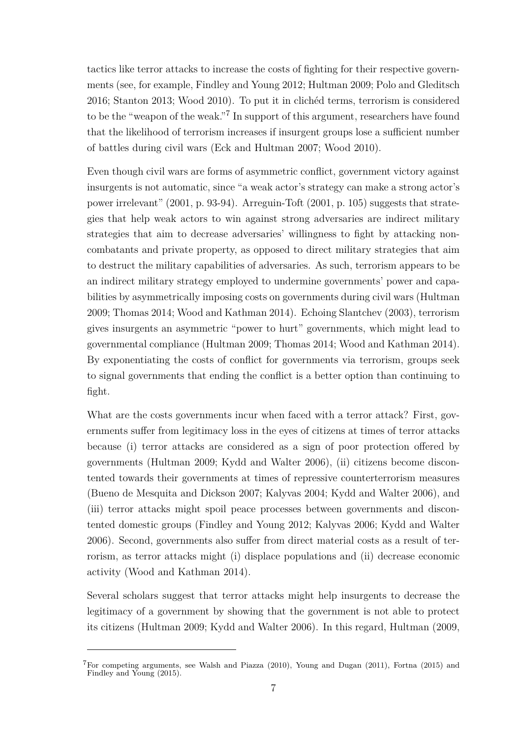tactics like terror attacks to increase the costs of fighting for their respective governments (see, for example, [Findley and Young](#page-61-5) [2012;](#page-61-5) [Hultman](#page-62-3) [2009;](#page-62-3) [Polo and Gleditsch](#page-64-4) [2016;](#page-64-4) [Stanton](#page-65-2) [2013;](#page-65-2) [Wood](#page-66-5) [2010\)](#page-66-5). To put it in clichéd terms, terrorism is considered to be the "weapon of the weak."<sup>7</sup> In support of this argument, researchers have found that the likelihood of terrorism increases if insurgent groups lose a sufficient number of battles during civil wars [\(Eck and Hultman](#page-60-5) [2007;](#page-60-5) [Wood](#page-66-5) [2010\)](#page-66-5).

Even though civil wars are forms of asymmetric conflict, government victory against insurgents is not automatic, since "a weak actor's strategy can make a strong actor's power irrelevant" [\(2001,](#page-58-4) p. 93-94). Arreguin-Toft [\(2001,](#page-58-4) p. 105) suggests that strategies that help weak actors to win against strong adversaries are indirect military strategies that aim to decrease adversaries' willingness to fight by attacking noncombatants and private property, as opposed to direct military strategies that aim to destruct the military capabilities of adversaries. As such, terrorism appears to be an indirect military strategy employed to undermine governments' power and capabilities by asymmetrically imposing costs on governments during civil wars [\(Hultman](#page-62-3) [2009;](#page-62-3) [Thomas](#page-65-0) [2014;](#page-65-0) [Wood and Kathman](#page-66-0) [2014\)](#page-66-0). Echoing Slantchev [\(2003\)](#page-65-8), terrorism gives insurgents an asymmetric "power to hurt" governments, which might lead to governmental compliance [\(Hultman](#page-62-3) [2009;](#page-62-3) [Thomas](#page-65-0) [2014;](#page-65-0) [Wood and Kathman](#page-66-0) [2014\)](#page-66-0). By exponentiating the costs of conflict for governments via terrorism, groups seek to signal governments that ending the conflict is a better option than continuing to fight.

What are the costs governments incur when faced with a terror attack? First, governments suffer from legitimacy loss in the eyes of citizens at times of terror attacks because (i) terror attacks are considered as a sign of poor protection offered by governments [\(Hultman](#page-62-3) [2009;](#page-62-3) [Kydd and Walter](#page-63-4) [2006\)](#page-63-4), (ii) citizens become discontented towards their governments at times of repressive counterterrorism measures [\(Bueno de Mesquita and Dickson](#page-59-3) [2007;](#page-59-3) [Kalyvas](#page-62-0) [2004;](#page-62-0) [Kydd and Walter](#page-63-4) [2006\)](#page-63-4), and (iii) terror attacks might spoil peace processes between governments and discontented domestic groups [\(Findley and Young](#page-61-5) [2012;](#page-61-5) [Kalyvas](#page-62-4) [2006;](#page-62-4) [Kydd and Walter](#page-63-4) [2006\)](#page-63-4). Second, governments also suffer from direct material costs as a result of terrorism, as terror attacks might (i) displace populations and (ii) decrease economic activity [\(Wood and Kathman](#page-66-0) [2014\)](#page-66-0).

Several scholars suggest that terror attacks might help insurgents to decrease the legitimacy of a government by showing that the government is not able to protect its citizens [\(Hultman](#page-62-3) [2009;](#page-62-3) [Kydd and Walter](#page-63-4) [2006\)](#page-63-4). In this regard, Hultman [\(2009,](#page-62-3)

<sup>7</sup>For competing arguments, see Walsh and Piazza [\(2010\)](#page-65-9), Young and Dugan [\(2011\)](#page-66-1), Fortna [\(2015\)](#page-61-0) and Findley and Young [\(2015\)](#page-61-7).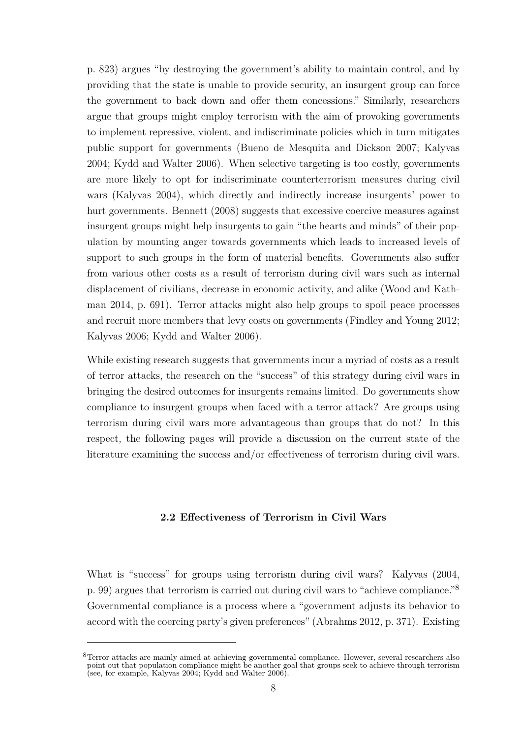p. 823) argues "by destroying the government's ability to maintain control, and by providing that the state is unable to provide security, an insurgent group can force the government to back down and offer them concessions." Similarly, researchers argue that groups might employ terrorism with the aim of provoking governments to implement repressive, violent, and indiscriminate policies which in turn mitigates public support for governments [\(Bueno de Mesquita and Dickson](#page-59-3) [2007;](#page-59-3) [Kalyvas](#page-62-0) [2004;](#page-62-0) [Kydd and Walter](#page-63-4) [2006\)](#page-63-4). When selective targeting is too costly, governments are more likely to opt for indiscriminate counterterrorism measures during civil wars [\(Kalyvas](#page-62-0) [2004\)](#page-62-0), which directly and indirectly increase insurgents' power to hurt governments. Bennett [\(2008\)](#page-58-5) suggests that excessive coercive measures against insurgent groups might help insurgents to gain "the hearts and minds" of their population by mounting anger towards governments which leads to increased levels of support to such groups in the form of material benefits. Governments also suffer from various other costs as a result of terrorism during civil wars such as internal displacement of civilians, decrease in economic activity, and alike [\(Wood and Kath](#page-66-0)[man](#page-66-0) [2014,](#page-66-0) p. 691). Terror attacks might also help groups to spoil peace processes and recruit more members that levy costs on governments [\(Findley and Young](#page-61-5) [2012;](#page-61-5) [Kalyvas](#page-62-4) [2006;](#page-62-4) [Kydd and Walter](#page-63-4) [2006\)](#page-63-4).

While existing research suggests that governments incur a myriad of costs as a result of terror attacks, the research on the "success" of this strategy during civil wars in bringing the desired outcomes for insurgents remains limited. Do governments show compliance to insurgent groups when faced with a terror attack? Are groups using terrorism during civil wars more advantageous than groups that do not? In this respect, the following pages will provide a discussion on the current state of the literature examining the success and/or effectiveness of terrorism during civil wars.

### <span id="page-17-0"></span>**2.2 Effectiveness of Terrorism in Civil Wars**

What is "success" for groups using terrorism during civil wars? Kalyvas [\(2004,](#page-62-0) p. 99) argues that terrorism is carried out during civil wars to "achieve compliance."<sup>8</sup> Governmental compliance is a process where a "government adjusts its behavior to accord with the coercing party's given preferences" [\(Abrahms](#page-58-1) [2012,](#page-58-1) p. 371). Existing

 ${}^{8}$ Terror attacks are mainly aimed at achieving governmental compliance. However, several researchers also point out that population compliance might be another goal that groups seek to achieve through terrorism (see, for example, [Kalyvas](#page-62-0) [2004;](#page-62-0) [Kydd and Walter](#page-63-4) [2006\)](#page-63-4).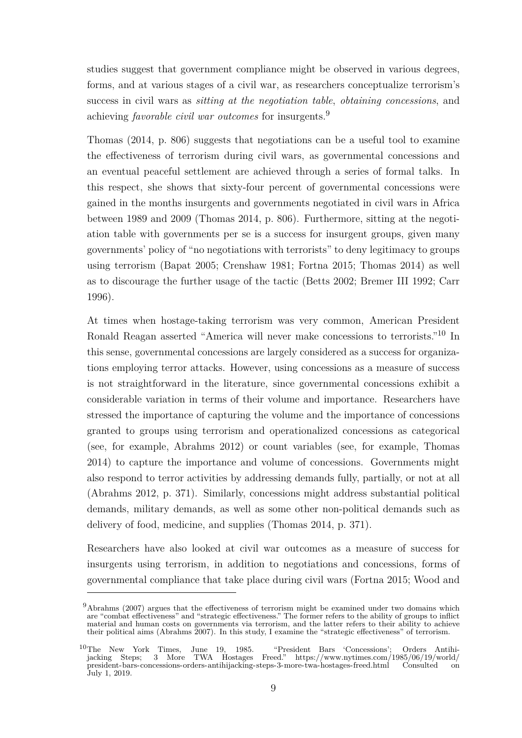studies suggest that government compliance might be observed in various degrees, forms, and at various stages of a civil war, as researchers conceptualize terrorism's success in civil wars as *sitting at the negotiation table*, *obtaining concessions*, and achieving *favorable civil war outcomes* for insurgents.<sup>9</sup>

Thomas [\(2014,](#page-65-0) p. 806) suggests that negotiations can be a useful tool to examine the effectiveness of terrorism during civil wars, as governmental concessions and an eventual peaceful settlement are achieved through a series of formal talks. In this respect, she shows that sixty-four percent of governmental concessions were gained in the months insurgents and governments negotiated in civil wars in Africa between 1989 and 2009 [\(Thomas](#page-65-0) [2014,](#page-65-0) p. 806). Furthermore, sitting at the negotiation table with governments per se is a success for insurgent groups, given many governments' policy of "no negotiations with terrorists" to deny legitimacy to groups using terrorism [\(Bapat](#page-58-6) [2005;](#page-58-6) [Crenshaw](#page-59-2) [1981;](#page-59-2) [Fortna](#page-61-0) [2015;](#page-61-0) [Thomas](#page-65-0) [2014\)](#page-65-0) as well as to discourage the further usage of the tactic [\(Betts](#page-58-7) [2002;](#page-58-7) [Bremer III](#page-59-4) [1992;](#page-59-4) [Carr](#page-59-5) [1996\)](#page-59-5).

At times when hostage-taking terrorism was very common, American President Ronald Reagan asserted "America will never make concessions to terrorists."<sup>10</sup> In this sense, governmental concessions are largely considered as a success for organizations employing terror attacks. However, using concessions as a measure of success is not straightforward in the literature, since governmental concessions exhibit a considerable variation in terms of their volume and importance. Researchers have stressed the importance of capturing the volume and the importance of concessions granted to groups using terrorism and operationalized concessions as categorical (see, for example, [Abrahms](#page-58-1) [2012\)](#page-58-1) or count variables (see, for example, [Thomas](#page-65-0) [2014\)](#page-65-0) to capture the importance and volume of concessions. Governments might also respond to terror activities by addressing demands fully, partially, or not at all [\(Abrahms](#page-58-1) [2012,](#page-58-1) p. 371). Similarly, concessions might address substantial political demands, military demands, as well as some other non-political demands such as delivery of food, medicine, and supplies [\(Thomas](#page-65-0) [2014,](#page-65-0) p. 371).

Researchers have also looked at civil war outcomes as a measure of success for insurgents using terrorism, in addition to negotiations and concessions, forms of governmental compliance that take place during civil wars [\(Fortna](#page-61-0) [2015;](#page-61-0) [Wood and](#page-66-0)

 $9A$ brahms (2007) argues that the effectiveness of terrorism might be examined under two domains which [are "combat effectiveness" and "strategic effectiveness." The former refers to the ability of groups to inflict](#page-66-0) [material and human costs on governments via terrorism, and the latter refers to their ability to achieve](#page-66-0) their political aims [\(Abrahms](#page-58-8) [2007\). In this study, I examine the "strategic effectiveness" of terrorism.](#page-66-0)

<sup>10</sup>[The New York Times, June 19, 1985. "President Bars 'Concessions'; Orders Antihi](#page-66-0)[jacking Steps; 3 More TWA Hostages Freed."](#page-66-0) [https://www.nytimes.com/1985/06/19/world/](https://www.nytimes.com/1985/06/19/world/president-bars-concessions-orders-antihijacking-steps-3-more-twa-hostages-freed.html) [president-bars-concessions-orders-antihijacking-steps-3-more-twa-hostages-freed.html](#page-66-0) Consulted on [July 1, 2019.](#page-66-0)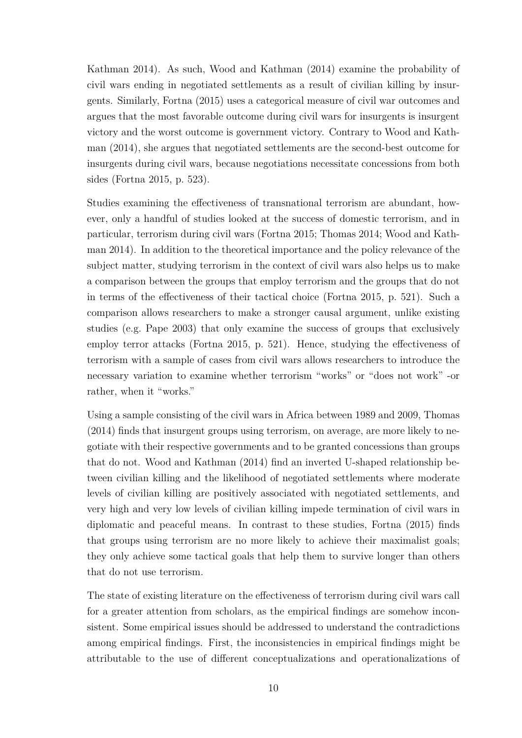[Kathman](#page-66-0) [2014\)](#page-66-0). As such, Wood and Kathman [\(2014\)](#page-66-0) examine the probability of civil wars ending in negotiated settlements as a result of civilian killing by insurgents. Similarly, Fortna [\(2015\)](#page-61-0) uses a categorical measure of civil war outcomes and argues that the most favorable outcome during civil wars for insurgents is insurgent victory and the worst outcome is government victory. Contrary to Wood and Kathman [\(2014\)](#page-66-0), she argues that negotiated settlements are the second-best outcome for insurgents during civil wars, because negotiations necessitate concessions from both sides [\(Fortna](#page-61-0) [2015,](#page-61-0) p. 523).

Studies examining the effectiveness of transnational terrorism are abundant, however, only a handful of studies looked at the success of domestic terrorism, and in particular, terrorism during civil wars [\(Fortna](#page-61-0) [2015;](#page-61-0) [Thomas](#page-65-0) [2014;](#page-65-0) [Wood and Kath](#page-66-0)[man](#page-66-0) [2014\)](#page-66-0). In addition to the theoretical importance and the policy relevance of the subject matter, studying terrorism in the context of civil wars also helps us to make a comparison between the groups that employ terrorism and the groups that do not in terms of the effectiveness of their tactical choice [\(Fortna](#page-61-0) [2015,](#page-61-0) p. 521). Such a comparison allows researchers to make a stronger causal argument, unlike existing studies (e.g. [Pape](#page-64-1) [2003\)](#page-64-1) that only examine the success of groups that exclusively employ terror attacks [\(Fortna](#page-61-0) [2015,](#page-61-0) p. 521). Hence, studying the effectiveness of terrorism with a sample of cases from civil wars allows researchers to introduce the necessary variation to examine whether terrorism "works" or "does not work" -or rather, when it "works."

Using a sample consisting of the civil wars in Africa between 1989 and 2009, Thomas [\(2014\)](#page-65-0) finds that insurgent groups using terrorism, on average, are more likely to negotiate with their respective governments and to be granted concessions than groups that do not. Wood and Kathman [\(2014\)](#page-66-0) find an inverted U-shaped relationship between civilian killing and the likelihood of negotiated settlements where moderate levels of civilian killing are positively associated with negotiated settlements, and very high and very low levels of civilian killing impede termination of civil wars in diplomatic and peaceful means. In contrast to these studies, Fortna [\(2015\)](#page-61-0) finds that groups using terrorism are no more likely to achieve their maximalist goals; they only achieve some tactical goals that help them to survive longer than others that do not use terrorism.

The state of existing literature on the effectiveness of terrorism during civil wars call for a greater attention from scholars, as the empirical findings are somehow inconsistent. Some empirical issues should be addressed to understand the contradictions among empirical findings. First, the inconsistencies in empirical findings might be attributable to the use of different conceptualizations and operationalizations of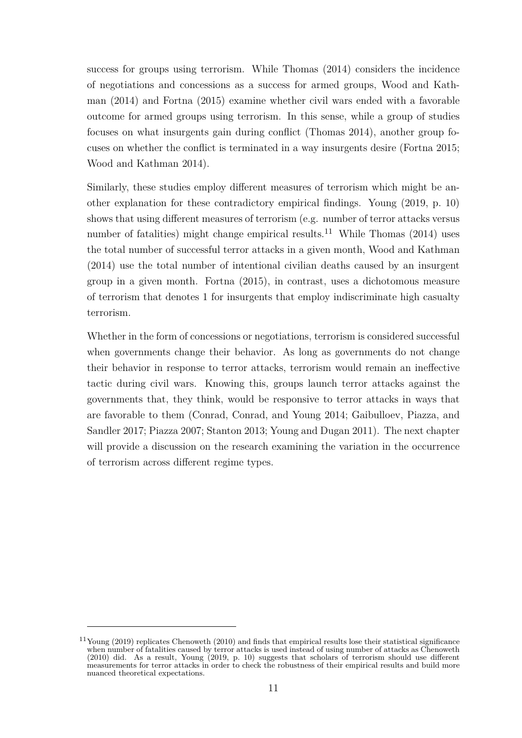success for groups using terrorism. While Thomas [\(2014\)](#page-65-0) considers the incidence of negotiations and concessions as a success for armed groups, Wood and Kathman [\(2014\)](#page-66-0) and Fortna [\(2015\)](#page-61-0) examine whether civil wars ended with a favorable outcome for armed groups using terrorism. In this sense, while a group of studies focuses on what insurgents gain during conflict [\(Thomas](#page-65-0) [2014\)](#page-65-0), another group focuses on whether the conflict is terminated in a way insurgents desire [\(Fortna](#page-61-0) [2015;](#page-61-0) [Wood and Kathman](#page-66-0) [2014\)](#page-66-0).

Similarly, these studies employ different measures of terrorism which might be another explanation for these contradictory empirical findings. Young [\(2019,](#page-66-6) p. 10) shows that using different measures of terrorism (e.g. number of terror attacks versus number of fatalities) might change empirical results.<sup>11</sup> While Thomas  $(2014)$  uses the total number of successful terror attacks in a given month, Wood and Kathman [\(2014\)](#page-66-0) use the total number of intentional civilian deaths caused by an insurgent group in a given month. Fortna [\(2015\)](#page-61-0), in contrast, uses a dichotomous measure of terrorism that denotes 1 for insurgents that employ indiscriminate high casualty terrorism.

Whether in the form of concessions or negotiations, terrorism is considered successful when governments change their behavior. As long as governments do not change their behavior in response to terror attacks, terrorism would remain an ineffective tactic during civil wars. Knowing this, groups launch terror attacks against the governments that, they think, would be responsive to terror attacks in ways that are favorable to them [\(Conrad, Conrad, and Young](#page-59-1) [2014;](#page-59-1) [Gaibulloev, Piazza, and](#page-61-8) [Sandler](#page-61-8) [2017;](#page-61-8) [Piazza](#page-64-5) [2007;](#page-64-5) [Stanton](#page-65-2) [2013;](#page-65-2) [Young and Dugan](#page-66-1) [2011\)](#page-66-1). The next chapter will provide a discussion on the research examining the variation in the occurrence of terrorism across different regime types.

<sup>11</sup>Young [\(2019\)](#page-66-6) replicates Chenoweth (2010) and finds that empirical results lose their statistical significance when number of fatalities caused by terror attacks is used instead of using number of attacks as Chenoweth (2010) did. As a result, Young [\(2019,](#page-66-6) p. 10) suggests that scholars of terrorism should use different measurements for terror attacks in order to check the robustness of their empirical results and build more nuanced theoretical expectations.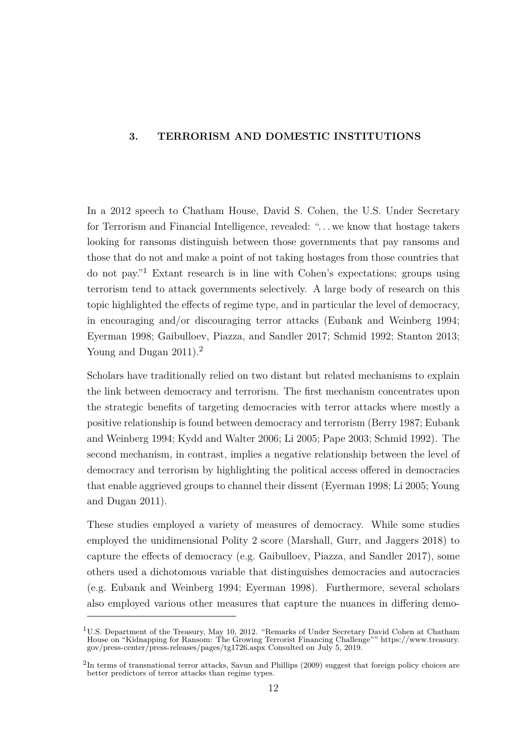## <span id="page-21-0"></span>**3. TERRORISM AND DOMESTIC INSTITUTIONS**

In a 2012 speech to Chatham House, David S. Cohen, the U.S. Under Secretary for Terrorism and Financial Intelligence, revealed: ". . . we know that hostage takers looking for ransoms distinguish between those governments that pay ransoms and those that do not and make a point of not taking hostages from those countries that do not pay."<sup>1</sup> Extant research is in line with Cohen's expectations; groups using terrorism tend to attack governments selectively. A large body of research on this topic highlighted the effects of regime type, and in particular the level of democracy, in encouraging and/or discouraging terror attacks [\(Eubank and Weinberg](#page-60-1) [1994;](#page-60-1) [Eyerman](#page-60-2) [1998;](#page-60-2) [Gaibulloev, Piazza, and Sandler](#page-61-8) [2017;](#page-61-8) [Schmid](#page-65-1) [1992;](#page-65-1) [Stanton](#page-65-2) [2013;](#page-65-2) [Young and Dugan](#page-66-1) [2011\)](#page-66-1).<sup>2</sup>

Scholars have traditionally relied on two distant but related mechanisms to explain the link between democracy and terrorism. The first mechanism concentrates upon the strategic benefits of targeting democracies with terror attacks where mostly a positive relationship is found between democracy and terrorism [\(Berry](#page-58-9) [1987;](#page-58-9) [Eubank](#page-60-1) [and Weinberg](#page-60-1) [1994;](#page-60-1) [Kydd and Walter](#page-63-4) [2006;](#page-63-4) [Li](#page-63-3) [2005;](#page-63-3) [Pape](#page-64-1) [2003;](#page-64-1) [Schmid](#page-65-1) [1992\)](#page-65-1). The second mechanism, in contrast, implies a negative relationship between the level of democracy and terrorism by highlighting the political access offered in democracies that enable aggrieved groups to channel their dissent [\(Eyerman](#page-60-2) [1998;](#page-60-2) [Li](#page-63-3) [2005;](#page-63-3) [Young](#page-66-1) [and Dugan](#page-66-1) [2011\)](#page-66-1).

These studies employed a variety of measures of democracy. While some studies employed the unidimensional Polity 2 score [\(Marshall, Gurr, and Jaggers](#page-63-10) [2018\)](#page-63-10) to capture the effects of democracy (e.g. [Gaibulloev, Piazza, and Sandler](#page-61-8) [2017\)](#page-61-8), some others used a dichotomous variable that distinguishes democracies and autocracies (e.g. [Eubank and Weinberg](#page-60-1) [1994;](#page-60-1) [Eyerman](#page-60-2) [1998\)](#page-60-2). Furthermore, several scholars also employed various other measures that capture the nuances in differing demo-

<sup>&</sup>lt;sup>1</sup>U.S. Department of the Treasury, May 10, 2012. "Remarks of Under Secretary David Cohen at Chatham House on "Kidnapping for Ransom: The Growing Terrorist Financing Challenge"" [https://www.treasury.](https://www.treasury.gov/press-center/press-releases/pages/tg1726.aspx) [gov/press-center/press-releases/pages/tg1726.aspx](https://www.treasury.gov/press-center/press-releases/pages/tg1726.aspx) Consulted on July 5, 2019.

<sup>&</sup>lt;sup>2</sup>In terms of transnational terror attacks, Savun and Phillips (2009) suggest that foreign policy choices are better predictors of terror attacks than regime types.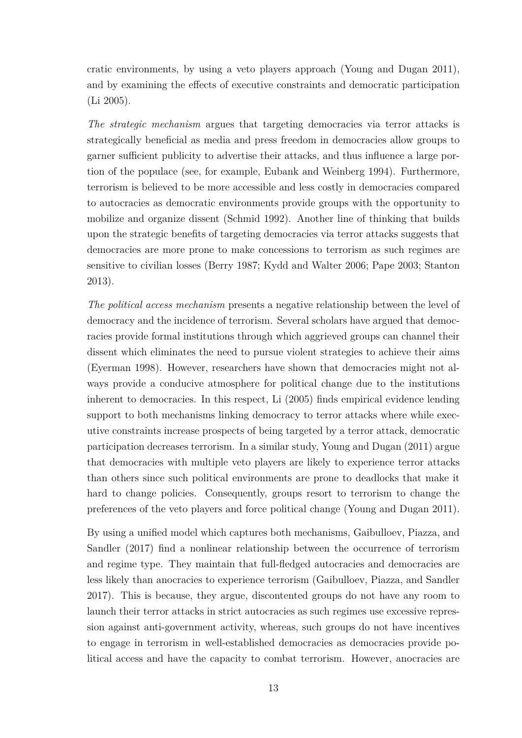cratic environments, by using a veto players approach [\(Young and Dugan](#page-66-1) [2011\)](#page-66-1), and by examining the effects of executive constraints and democratic participation [\(Li](#page-63-3) [2005\)](#page-63-3).

*The strategic mechanism* argues that targeting democracies via terror attacks is strategically beneficial as media and press freedom in democracies allow groups to garner sufficient publicity to advertise their attacks, and thus influence a large portion of the populace (see, for example, [Eubank and Weinberg](#page-60-1) [1994\)](#page-60-1). Furthermore, terrorism is believed to be more accessible and less costly in democracies compared to autocracies as democratic environments provide groups with the opportunity to mobilize and organize dissent [\(Schmid](#page-65-1) [1992\)](#page-65-1). Another line of thinking that builds upon the strategic benefits of targeting democracies via terror attacks suggests that democracies are more prone to make concessions to terrorism as such regimes are sensitive to civilian losses [\(Berry](#page-58-9) [1987;](#page-58-9) [Kydd and Walter](#page-63-4) [2006;](#page-63-4) [Pape](#page-64-1) [2003;](#page-64-1) [Stanton](#page-65-2) [2013\)](#page-65-2).

*The political access mechanism* presents a negative relationship between the level of democracy and the incidence of terrorism. Several scholars have argued that democracies provide formal institutions through which aggrieved groups can channel their dissent which eliminates the need to pursue violent strategies to achieve their aims [\(Eyerman](#page-60-2) [1998\)](#page-60-2). However, researchers have shown that democracies might not always provide a conducive atmosphere for political change due to the institutions inherent to democracies. In this respect, Li [\(2005\)](#page-63-3) finds empirical evidence lending support to both mechanisms linking democracy to terror attacks where while executive constraints increase prospects of being targeted by a terror attack, democratic participation decreases terrorism. In a similar study, Young and Dugan [\(2011\)](#page-66-1) argue that democracies with multiple veto players are likely to experience terror attacks than others since such political environments are prone to deadlocks that make it hard to change policies. Consequently, groups resort to terrorism to change the preferences of the veto players and force political change [\(Young and Dugan](#page-66-1) [2011\)](#page-66-1).

By using a unified model which captures both mechanisms, Gaibulloev, Piazza, and Sandler [\(2017\)](#page-61-8) find a nonlinear relationship between the occurrence of terrorism and regime type. They maintain that full-fledged autocracies and democracies are less likely than anocracies to experience terrorism [\(Gaibulloev, Piazza, and Sandler](#page-61-8) [2017\)](#page-61-8). This is because, they argue, discontented groups do not have any room to launch their terror attacks in strict autocracies as such regimes use excessive repression against anti-government activity, whereas, such groups do not have incentives to engage in terrorism in well-established democracies as democracies provide political access and have the capacity to combat terrorism. However, anocracies are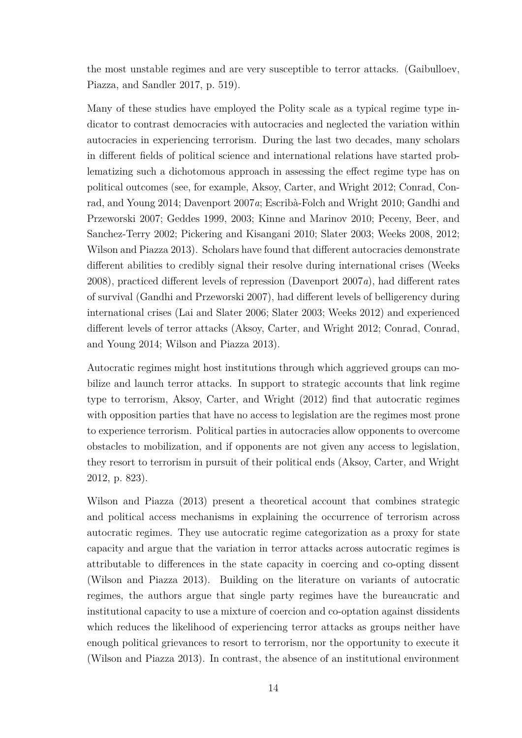the most unstable regimes and are very susceptible to terror attacks. [\(Gaibulloev,](#page-61-8) [Piazza, and Sandler](#page-61-8) [2017,](#page-61-8) p. 519).

Many of these studies have employed the Polity scale as a typical regime type indicator to contrast democracies with autocracies and neglected the variation within autocracies in experiencing terrorism. During the last two decades, many scholars in different fields of political science and international relations have started problematizing such a dichotomous approach in assessing the effect regime type has on political outcomes (see, for example, [Aksoy, Carter, and Wright](#page-58-10) [2012;](#page-58-10) [Conrad, Con](#page-59-1)[rad, and Young](#page-59-1) [2014;](#page-59-1) [Davenport](#page-60-6) [2007](#page-60-6)*a*; [Escribà-Folch and Wright](#page-60-7) [2010;](#page-60-7) [Gandhi and](#page-61-1) [Przeworski](#page-61-1) [2007;](#page-61-1) [Geddes](#page-61-2) [1999,](#page-61-2) [2003;](#page-61-3) [Kinne and Marinov](#page-62-5) [2010;](#page-62-5) [Peceny, Beer, and](#page-64-6) [Sanchez-Terry](#page-64-6) [2002;](#page-64-6) [Pickering and Kisangani](#page-64-7) [2010;](#page-64-7) [Slater](#page-65-4) [2003;](#page-65-4) [Weeks](#page-65-5) [2008,](#page-65-5) [2012;](#page-66-2) [Wilson and Piazza](#page-66-7) [2013\)](#page-66-7). Scholars have found that different autocracies demonstrate different abilities to credibly signal their resolve during international crises [\(Weeks](#page-65-5) [2008\)](#page-65-5), practiced different levels of repression [\(Davenport](#page-60-6) [2007](#page-60-6)*a*), had different rates of survival [\(Gandhi and Przeworski](#page-61-1) [2007\)](#page-61-1), had different levels of belligerency during international crises [\(Lai and Slater](#page-63-5) [2006;](#page-63-5) [Slater](#page-65-4) [2003;](#page-65-4) [Weeks](#page-66-2) [2012\)](#page-66-2) and experienced different levels of terror attacks [\(Aksoy, Carter, and Wright](#page-58-10) [2012;](#page-58-10) [Conrad, Conrad,](#page-59-1) [and Young](#page-59-1) [2014;](#page-59-1) [Wilson and Piazza](#page-66-7) [2013\)](#page-66-7).

Autocratic regimes might host institutions through which aggrieved groups can mobilize and launch terror attacks. In support to strategic accounts that link regime type to terrorism, Aksoy, Carter, and Wright [\(2012\)](#page-58-10) find that autocratic regimes with opposition parties that have no access to legislation are the regimes most prone to experience terrorism. Political parties in autocracies allow opponents to overcome obstacles to mobilization, and if opponents are not given any access to legislation, they resort to terrorism in pursuit of their political ends [\(Aksoy, Carter, and Wright](#page-58-10) [2012,](#page-58-10) p. 823).

Wilson and Piazza [\(2013\)](#page-66-7) present a theoretical account that combines strategic and political access mechanisms in explaining the occurrence of terrorism across autocratic regimes. They use autocratic regime categorization as a proxy for state capacity and argue that the variation in terror attacks across autocratic regimes is attributable to differences in the state capacity in coercing and co-opting dissent [\(Wilson and Piazza](#page-66-7) [2013\)](#page-66-7). Building on the literature on variants of autocratic regimes, the authors argue that single party regimes have the bureaucratic and institutional capacity to use a mixture of coercion and co-optation against dissidents which reduces the likelihood of experiencing terror attacks as groups neither have enough political grievances to resort to terrorism, nor the opportunity to execute it [\(Wilson and Piazza](#page-66-7) [2013\)](#page-66-7). In contrast, the absence of an institutional environment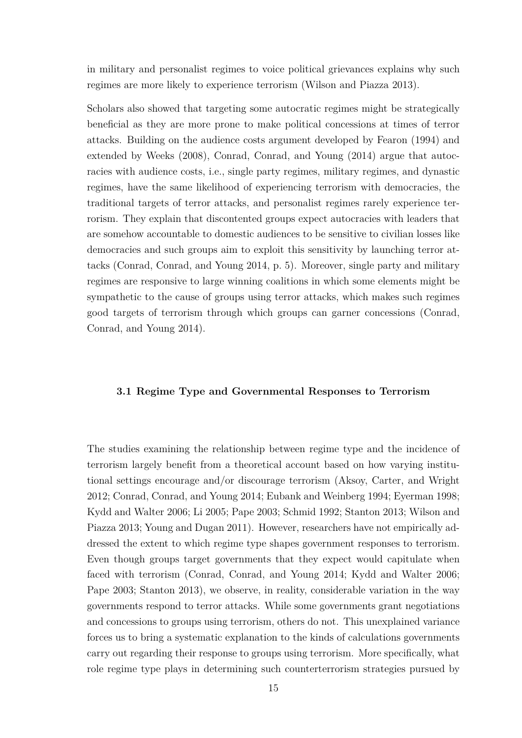in military and personalist regimes to voice political grievances explains why such regimes are more likely to experience terrorism [\(Wilson and Piazza](#page-66-7) [2013\)](#page-66-7).

Scholars also showed that targeting some autocratic regimes might be strategically beneficial as they are more prone to make political concessions at times of terror attacks. Building on the audience costs argument developed by Fearon [\(1994\)](#page-60-8) and extended by Weeks [\(2008\)](#page-65-5), Conrad, Conrad, and Young [\(2014\)](#page-59-1) argue that autocracies with audience costs, i.e., single party regimes, military regimes, and dynastic regimes, have the same likelihood of experiencing terrorism with democracies, the traditional targets of terror attacks, and personalist regimes rarely experience terrorism. They explain that discontented groups expect autocracies with leaders that are somehow accountable to domestic audiences to be sensitive to civilian losses like democracies and such groups aim to exploit this sensitivity by launching terror attacks [\(Conrad, Conrad, and Young](#page-59-1) [2014,](#page-59-1) p. 5). Moreover, single party and military regimes are responsive to large winning coalitions in which some elements might be sympathetic to the cause of groups using terror attacks, which makes such regimes good targets of terrorism through which groups can garner concessions [\(Conrad,](#page-59-1) [Conrad, and Young](#page-59-1) [2014\)](#page-59-1).

#### <span id="page-24-0"></span>**3.1 Regime Type and Governmental Responses to Terrorism**

The studies examining the relationship between regime type and the incidence of terrorism largely benefit from a theoretical account based on how varying institutional settings encourage and/or discourage terrorism [\(Aksoy, Carter, and Wright](#page-58-10) [2012;](#page-58-10) [Conrad, Conrad, and Young](#page-59-1) [2014;](#page-59-1) [Eubank and Weinberg](#page-60-1) [1994;](#page-60-1) [Eyerman](#page-60-2) [1998;](#page-60-2) [Kydd and Walter](#page-63-4) [2006;](#page-63-4) [Li](#page-63-3) [2005;](#page-63-3) [Pape](#page-64-1) [2003;](#page-64-1) [Schmid](#page-65-1) [1992;](#page-65-1) [Stanton](#page-65-2) [2013;](#page-65-2) [Wilson and](#page-66-7) [Piazza](#page-66-7) [2013;](#page-66-7) [Young and Dugan](#page-66-1) [2011\)](#page-66-1). However, researchers have not empirically addressed the extent to which regime type shapes government responses to terrorism. Even though groups target governments that they expect would capitulate when faced with terrorism [\(Conrad, Conrad, and Young](#page-59-1) [2014;](#page-59-1) [Kydd and Walter](#page-63-4) [2006;](#page-63-4) [Pape](#page-64-1) [2003;](#page-64-1) [Stanton](#page-65-2) [2013\)](#page-65-2), we observe, in reality, considerable variation in the way governments respond to terror attacks. While some governments grant negotiations and concessions to groups using terrorism, others do not. This unexplained variance forces us to bring a systematic explanation to the kinds of calculations governments carry out regarding their response to groups using terrorism. More specifically, what role regime type plays in determining such counterterrorism strategies pursued by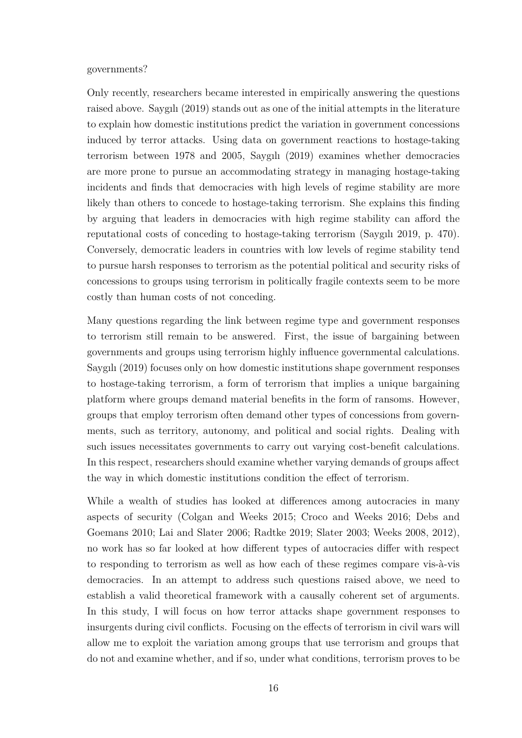#### governments?

Only recently, researchers became interested in empirically answering the questions raised above. Saygılı [\(2019\)](#page-65-3) stands out as one of the initial attempts in the literature to explain how domestic institutions predict the variation in government concessions induced by terror attacks. Using data on government reactions to hostage-taking terrorism between 1978 and 2005, Saygılı [\(2019\)](#page-65-3) examines whether democracies are more prone to pursue an accommodating strategy in managing hostage-taking incidents and finds that democracies with high levels of regime stability are more likely than others to concede to hostage-taking terrorism. She explains this finding by arguing that leaders in democracies with high regime stability can afford the reputational costs of conceding to hostage-taking terrorism [\(Saygılı](#page-65-3) [2019,](#page-65-3) p. 470). Conversely, democratic leaders in countries with low levels of regime stability tend to pursue harsh responses to terrorism as the potential political and security risks of concessions to groups using terrorism in politically fragile contexts seem to be more costly than human costs of not conceding.

Many questions regarding the link between regime type and government responses to terrorism still remain to be answered. First, the issue of bargaining between governments and groups using terrorism highly influence governmental calculations. Saygılı [\(2019\)](#page-65-3) focuses only on how domestic institutions shape government responses to hostage-taking terrorism, a form of terrorism that implies a unique bargaining platform where groups demand material benefits in the form of ransoms. However, groups that employ terrorism often demand other types of concessions from governments, such as territory, autonomy, and political and social rights. Dealing with such issues necessitates governments to carry out varying cost-benefit calculations. In this respect, researchers should examine whether varying demands of groups affect the way in which domestic institutions condition the effect of terrorism.

While a wealth of studies has looked at differences among autocracies in many aspects of security [\(Colgan and Weeks](#page-59-6) [2015;](#page-59-6) [Croco and Weeks](#page-59-7) [2016;](#page-59-7) [Debs and](#page-60-9) [Goemans](#page-60-9) [2010;](#page-60-9) [Lai and Slater](#page-63-5) [2006;](#page-63-5) [Radtke](#page-64-8) [2019;](#page-64-8) [Slater](#page-65-4) [2003;](#page-65-4) [Weeks](#page-65-5) [2008,](#page-65-5) [2012\)](#page-66-2), no work has so far looked at how different types of autocracies differ with respect to responding to terrorism as well as how each of these regimes compare vis-à-vis democracies. In an attempt to address such questions raised above, we need to establish a valid theoretical framework with a causally coherent set of arguments. In this study, I will focus on how terror attacks shape government responses to insurgents during civil conflicts. Focusing on the effects of terrorism in civil wars will allow me to exploit the variation among groups that use terrorism and groups that do not and examine whether, and if so, under what conditions, terrorism proves to be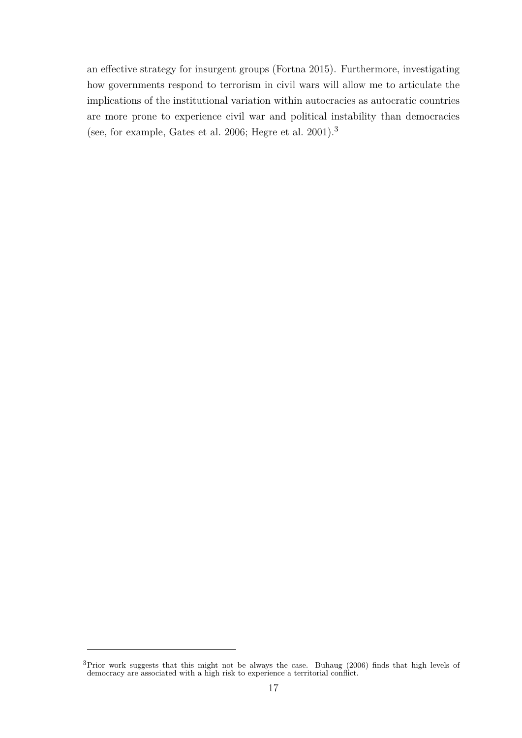an effective strategy for insurgent groups [\(Fortna](#page-61-0) [2015\)](#page-61-0). Furthermore, investigating how governments respond to terrorism in civil wars will allow me to articulate the implications of the institutional variation within autocracies as autocratic countries are more prone to experience civil war and political instability than democracies (see, for example, [Gates et al.](#page-61-9) [2006;](#page-61-9) [Hegre et al.](#page-62-6) [2001\)](#page-62-6).<sup>3</sup>

 $3$ Prior work suggests that this might not be always the case. Buhaug [\(2006\)](#page-59-8) finds that high levels of democracy are associated with a high risk to experience a territorial conflict.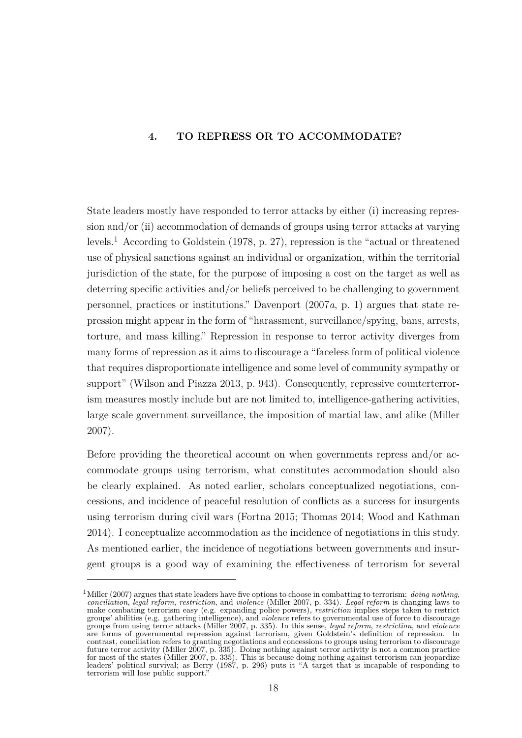## <span id="page-27-0"></span>**4. TO REPRESS OR TO ACCOMMODATE?**

State leaders mostly have responded to terror attacks by either (i) increasing repression and/or (ii) accommodation of demands of groups using terror attacks at varying levels.<sup>1</sup> According to Goldstein [\(1978,](#page-62-7) p. 27), repression is the "actual or threatened use of physical sanctions against an individual or organization, within the territorial jurisdiction of the state, for the purpose of imposing a cost on the target as well as deterring specific activities and/or beliefs perceived to be challenging to government personnel, practices or institutions." Davenport [\(2007](#page-60-6)*a*, p. 1) argues that state repression might appear in the form of "harassment, surveillance/spying, bans, arrests, torture, and mass killing." Repression in response to terror activity diverges from many forms of repression as it aims to discourage a "faceless form of political violence that requires disproportionate intelligence and some level of community sympathy or support" [\(Wilson and Piazza](#page-66-7) [2013,](#page-66-7) p. 943). Consequently, repressive counterterrorism measures mostly include but are not limited to, intelligence-gathering activities, large scale government surveillance, the imposition of martial law, and alike [\(Miller](#page-63-11) [2007\)](#page-63-11).

Before providing the theoretical account on when governments repress and/or accommodate groups using terrorism, what constitutes accommodation should also be clearly explained. As noted earlier, scholars conceptualized negotiations, concessions, and incidence of peaceful resolution of conflicts as a success for insurgents using terrorism during civil wars [\(Fortna](#page-61-0) [2015;](#page-61-0) [Thomas](#page-65-0) [2014;](#page-65-0) [Wood and Kathman](#page-66-0) [2014\)](#page-66-0). I conceptualize accommodation as the incidence of negotiations in this study. As mentioned earlier, the incidence of negotiations between governments and insurgent groups is a good way of examining the effectiveness of terrorism for several

 $1<sup>1</sup>$ Miller [\(2007\)](#page-63-11) argues that state leaders have five options to choose in combatting to terrorism: *doing nothing*, *conciliation*, *legal reform*, *restriction*, and *violence* [\(Miller](#page-63-11) [2007,](#page-63-11) p. 334). *Legal reform* is changing laws to make combating terrorism easy (e.g. expanding police powers), *restriction* implies steps taken to restrict groups' abilities (e.g. gathering intelligence), and *violence* refers to governmental use of force to discourage groups from using terror attacks [\(Miller](#page-63-11) [2007,](#page-63-11) p. 335). In this sense, *legal reform*, *restriction*, and *violence* are forms of governmental repression against terrorism, given Goldstein's definition of repression. In contrast, conciliation refers to granting negotiations and concessions to groups using terrorism to discourage future terror activity [\(Miller](#page-63-11) [2007,](#page-63-11) p. 335). Doing nothing against terror activity is not a common practice for most of the states [\(Miller](#page-63-11) [2007,](#page-63-11) p. 335). This is because doing nothing against terrorism can jeopardize leaders' political survival; as Berry [\(1987,](#page-58-9) p. 296) puts it "A target that is incapable of responding to terrorism will lose public support."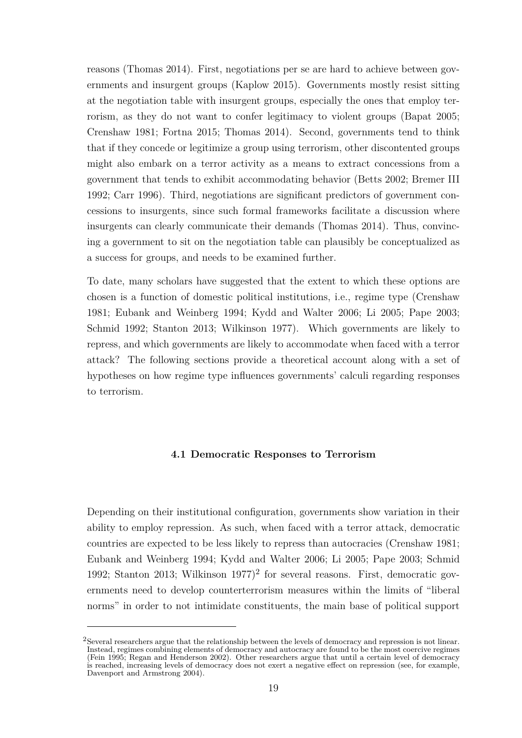reasons [\(Thomas](#page-65-0) [2014\)](#page-65-0). First, negotiations per se are hard to achieve between governments and insurgent groups [\(Kaplow](#page-62-8) [2015\)](#page-62-8). Governments mostly resist sitting at the negotiation table with insurgent groups, especially the ones that employ terrorism, as they do not want to confer legitimacy to violent groups [\(Bapat](#page-58-6) [2005;](#page-58-6) [Crenshaw](#page-59-2) [1981;](#page-59-2) [Fortna](#page-61-0) [2015;](#page-61-0) [Thomas](#page-65-0) [2014\)](#page-65-0). Second, governments tend to think that if they concede or legitimize a group using terrorism, other discontented groups might also embark on a terror activity as a means to extract concessions from a government that tends to exhibit accommodating behavior [\(Betts](#page-58-7) [2002;](#page-58-7) [Bremer III](#page-59-4) [1992;](#page-59-4) [Carr](#page-59-5) [1996\)](#page-59-5). Third, negotiations are significant predictors of government concessions to insurgents, since such formal frameworks facilitate a discussion where insurgents can clearly communicate their demands [\(Thomas](#page-65-0) [2014\)](#page-65-0). Thus, convincing a government to sit on the negotiation table can plausibly be conceptualized as a success for groups, and needs to be examined further.

To date, many scholars have suggested that the extent to which these options are chosen is a function of domestic political institutions, i.e., regime type [\(Crenshaw](#page-59-2) [1981;](#page-59-2) [Eubank and Weinberg](#page-60-1) [1994;](#page-60-1) [Kydd and Walter](#page-63-4) [2006;](#page-63-4) [Li](#page-63-3) [2005;](#page-63-3) [Pape](#page-64-1) [2003;](#page-64-1) [Schmid](#page-65-1) [1992;](#page-65-1) [Stanton](#page-65-2) [2013;](#page-65-2) [Wilkinson](#page-66-8) [1977\)](#page-66-8). Which governments are likely to repress, and which governments are likely to accommodate when faced with a terror attack? The following sections provide a theoretical account along with a set of hypotheses on how regime type influences governments' calculi regarding responses to terrorism.

#### <span id="page-28-0"></span>**4.1 Democratic Responses to Terrorism**

Depending on their institutional configuration, governments show variation in their ability to employ repression. As such, when faced with a terror attack, democratic countries are expected to be less likely to repress than autocracies [\(Crenshaw](#page-59-2) [1981;](#page-59-2) [Eubank and Weinberg](#page-60-1) [1994;](#page-60-1) [Kydd and Walter](#page-63-4) [2006;](#page-63-4) [Li](#page-63-3) [2005;](#page-63-3) [Pape](#page-64-1) [2003;](#page-64-1) [Schmid](#page-65-1) [1992;](#page-65-1) [Stanton](#page-65-2) [2013;](#page-65-2) [Wilkinson](#page-66-8) [1977\)](#page-66-8) 2 for several reasons. First, democratic governments need to develop counterterrorism measures within the limits of "liberal norms" in order to not intimidate constituents, the main base of political support

<sup>2</sup>Several researchers argue that the relationship between the levels of democracy and repression is not linear. Instead, regimes combining elements of democracy and autocracy are found to be the most coercive regimes [\(Fein](#page-60-10) [1995;](#page-60-10) [Regan and Henderson](#page-64-9) [2002\)](#page-64-9). Other researchers argue that until a certain level of democracy is reached, increasing levels of democracy does not exert a negative effect on repression (see, for example, [Davenport and Armstrong](#page-60-11) [2004\)](#page-60-11).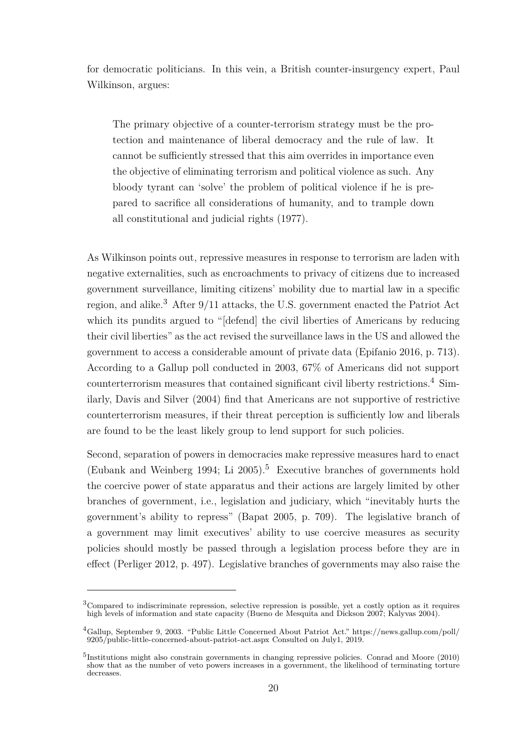for democratic politicians. In this vein, a British counter-insurgency expert, Paul Wilkinson, argues:

The primary objective of a counter-terrorism strategy must be the protection and maintenance of liberal democracy and the rule of law. It cannot be sufficiently stressed that this aim overrides in importance even the objective of eliminating terrorism and political violence as such. Any bloody tyrant can 'solve' the problem of political violence if he is prepared to sacrifice all considerations of humanity, and to trample down all constitutional and judicial rights [\(1977\)](#page-66-8).

As Wilkinson points out, repressive measures in response to terrorism are laden with negative externalities, such as encroachments to privacy of citizens due to increased government surveillance, limiting citizens' mobility due to martial law in a specific region, and alike.<sup>3</sup> After 9/11 attacks, the U.S. government enacted the Patriot Act which its pundits argued to "[defend] the civil liberties of Americans by reducing their civil liberties" as the act revised the surveillance laws in the US and allowed the government to access a considerable amount of private data [\(Epifanio](#page-60-12) [2016,](#page-60-12) p. 713). According to a Gallup poll conducted in 2003, 67% of Americans did not support counterterrorism measures that contained significant civil liberty restrictions.<sup>4</sup> Similarly, Davis and Silver [\(2004\)](#page-60-13) find that Americans are not supportive of restrictive counterterrorism measures, if their threat perception is sufficiently low and liberals are found to be the least likely group to lend support for such policies.

Second, separation of powers in democracies make repressive measures hard to enact [\(Eubank and Weinberg](#page-60-1) [1994;](#page-60-1) [Li](#page-63-3)  $2005$ ).<sup>5</sup> Executive branches of governments hold the coercive power of state apparatus and their actions are largely limited by other branches of government, i.e., legislation and judiciary, which "inevitably hurts the government's ability to repress" [\(Bapat](#page-58-6) [2005,](#page-58-6) p. 709). The legislative branch of a government may limit executives' ability to use coercive measures as security policies should mostly be passed through a legislation process before they are in effect [\(Perliger](#page-64-10) [2012,](#page-64-10) p. 497). Legislative branches of governments may also raise the

<sup>&</sup>lt;sup>3</sup>Compared to indiscriminate repression, selective repression is possible, yet a costly option as it requires high levels of information and state capacity [\(Bueno de Mesquita and Dickson](#page-59-3) [2007;](#page-59-3) [Kalyvas](#page-62-0) [2004\)](#page-62-0).

<sup>4</sup>Gallup, September 9, 2003. "Public Little Concerned About Patriot Act." [https://news.gallup.com/poll/](https://news.gallup.com/poll/9205/public-little-concerned-about-patriot-act.aspx) [9205/public-little-concerned-about-patriot-act.aspx](https://news.gallup.com/poll/9205/public-little-concerned-about-patriot-act.aspx) Consulted on July1, 2019.

<sup>&</sup>lt;sup>5</sup>Institutions might also constrain governments in changing repressive policies. Conrad and Moore [\(2010\)](#page-59-9) show that as the number of veto powers increases in a government, the likelihood of terminating torture decreases.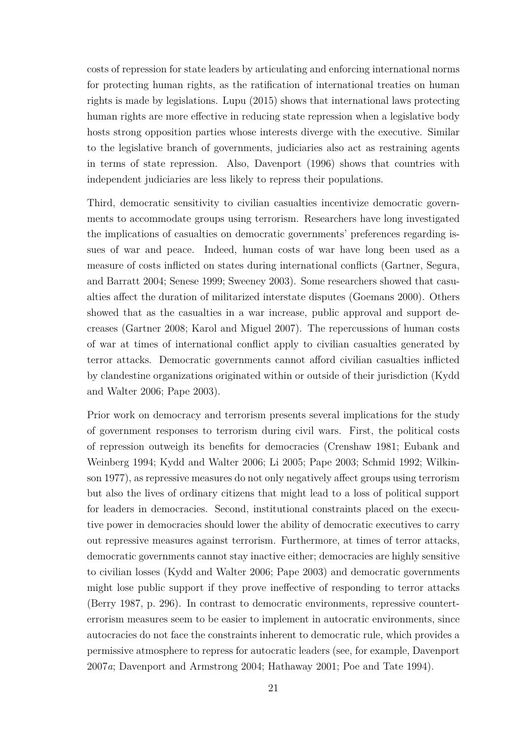costs of repression for state leaders by articulating and enforcing international norms for protecting human rights, as the ratification of international treaties on human rights is made by legislations. Lupu [\(2015\)](#page-63-12) shows that international laws protecting human rights are more effective in reducing state repression when a legislative body hosts strong opposition parties whose interests diverge with the executive. Similar to the legislative branch of governments, judiciaries also act as restraining agents in terms of state repression. Also, Davenport [\(1996\)](#page-60-14) shows that countries with independent judiciaries are less likely to repress their populations.

Third, democratic sensitivity to civilian casualties incentivize democratic governments to accommodate groups using terrorism. Researchers have long investigated the implications of casualties on democratic governments' preferences regarding issues of war and peace. Indeed, human costs of war have long been used as a measure of costs inflicted on states during international conflicts [\(Gartner, Segura,](#page-61-10) [and Barratt](#page-61-10) [2004;](#page-61-10) [Senese](#page-65-10) [1999;](#page-65-10) [Sweeney](#page-65-11) [2003\)](#page-65-11). Some researchers showed that casualties affect the duration of militarized interstate disputes [\(Goemans](#page-62-9) [2000\)](#page-62-9). Others showed that as the casualties in a war increase, public approval and support decreases [\(Gartner](#page-61-11) [2008;](#page-61-11) [Karol and Miguel](#page-62-10) [2007\)](#page-62-10). The repercussions of human costs of war at times of international conflict apply to civilian casualties generated by terror attacks. Democratic governments cannot afford civilian casualties inflicted by clandestine organizations originated within or outside of their jurisdiction [\(Kydd](#page-63-4) [and Walter](#page-63-4) [2006;](#page-63-4) [Pape](#page-64-1) [2003\)](#page-64-1).

Prior work on democracy and terrorism presents several implications for the study of government responses to terrorism during civil wars. First, the political costs of repression outweigh its benefits for democracies [\(Crenshaw](#page-59-2) [1981;](#page-59-2) [Eubank and](#page-60-1) [Weinberg](#page-60-1) [1994;](#page-60-1) [Kydd and Walter](#page-63-4) [2006;](#page-63-4) [Li](#page-63-3) [2005;](#page-63-3) [Pape](#page-64-1) [2003;](#page-64-1) [Schmid](#page-65-1) [1992;](#page-65-1) [Wilkin](#page-66-8)[son](#page-66-8) [1977\)](#page-66-8), as repressive measures do not only negatively affect groups using terrorism but also the lives of ordinary citizens that might lead to a loss of political support for leaders in democracies. Second, institutional constraints placed on the executive power in democracies should lower the ability of democratic executives to carry out repressive measures against terrorism. Furthermore, at times of terror attacks, democratic governments cannot stay inactive either; democracies are highly sensitive to civilian losses [\(Kydd and Walter](#page-63-4) [2006;](#page-63-4) [Pape](#page-64-1) [2003\)](#page-64-1) and democratic governments might lose public support if they prove ineffective of responding to terror attacks [\(Berry](#page-58-9) [1987,](#page-58-9) p. 296). In contrast to democratic environments, repressive counterterrorism measures seem to be easier to implement in autocratic environments, since autocracies do not face the constraints inherent to democratic rule, which provides a permissive atmosphere to repress for autocratic leaders (see, for example, [Davenport](#page-60-6) [2007](#page-60-6)*a*; [Davenport and Armstrong](#page-60-11) [2004;](#page-60-11) [Hathaway](#page-62-11) [2001;](#page-62-11) [Poe and Tate](#page-64-11) [1994\)](#page-64-11).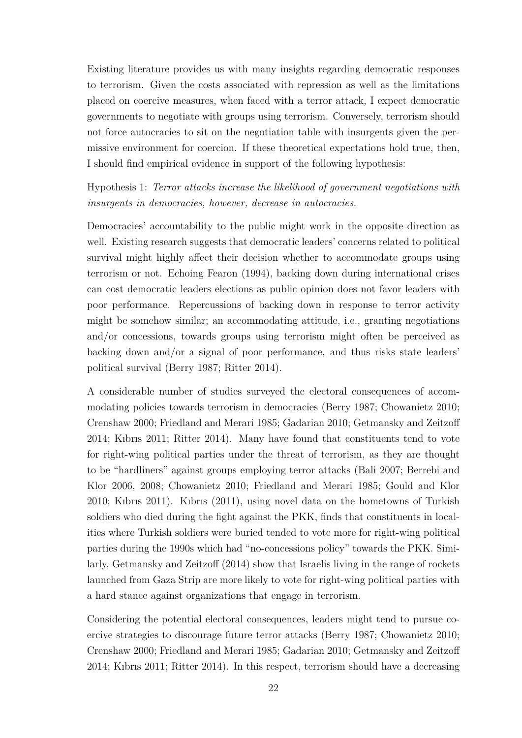Existing literature provides us with many insights regarding democratic responses to terrorism. Given the costs associated with repression as well as the limitations placed on coercive measures, when faced with a terror attack, I expect democratic governments to negotiate with groups using terrorism. Conversely, terrorism should not force autocracies to sit on the negotiation table with insurgents given the permissive environment for coercion. If these theoretical expectations hold true, then, I should find empirical evidence in support of the following hypothesis:

Hypothesis 1: *Terror attacks increase the likelihood of government negotiations with insurgents in democracies, however, decrease in autocracies.*

Democracies' accountability to the public might work in the opposite direction as well. Existing research suggests that democratic leaders' concerns related to political survival might highly affect their decision whether to accommodate groups using terrorism or not. Echoing Fearon [\(1994\)](#page-60-8), backing down during international crises can cost democratic leaders elections as public opinion does not favor leaders with poor performance. Repercussions of backing down in response to terror activity might be somehow similar; an accommodating attitude, i.e., granting negotiations and/or concessions, towards groups using terrorism might often be perceived as backing down and/or a signal of poor performance, and thus risks state leaders' political survival [\(Berry](#page-58-9) [1987;](#page-58-9) [Ritter](#page-64-12) [2014\)](#page-64-12).

A considerable number of studies surveyed the electoral consequences of accommodating policies towards terrorism in democracies [\(Berry](#page-58-9) [1987;](#page-58-9) [Chowanietz](#page-59-10) [2010;](#page-59-10) [Crenshaw](#page-59-11) [2000;](#page-59-11) [Friedland and Merari](#page-61-12) [1985;](#page-61-12) [Gadarian](#page-61-13) [2010;](#page-61-13) [Getmansky and Zeitzoff](#page-62-12) [2014;](#page-62-12) [Kıbrıs](#page-62-13) [2011;](#page-62-13) [Ritter](#page-64-12) [2014\)](#page-64-12). Many have found that constituents tend to vote for right-wing political parties under the threat of terrorism, as they are thought to be "hardliners" against groups employing terror attacks [\(Bali](#page-58-11) [2007;](#page-58-11) [Berrebi and](#page-58-12) [Klor](#page-58-12) [2006,](#page-58-12) [2008;](#page-58-13) [Chowanietz](#page-59-10) [2010;](#page-59-10) [Friedland and Merari](#page-61-12) [1985;](#page-61-12) [Gould and Klor](#page-62-14) [2010;](#page-62-14) [Kıbrıs](#page-62-13) [2011\)](#page-62-13). Kıbrıs [\(2011\)](#page-62-13), using novel data on the hometowns of Turkish soldiers who died during the fight against the PKK, finds that constituents in localities where Turkish soldiers were buried tended to vote more for right-wing political parties during the 1990s which had "no-concessions policy" towards the PKK. Similarly, Getmansky and Zeitzoff [\(2014\)](#page-62-12) show that Israelis living in the range of rockets launched from Gaza Strip are more likely to vote for right-wing political parties with a hard stance against organizations that engage in terrorism.

Considering the potential electoral consequences, leaders might tend to pursue coercive strategies to discourage future terror attacks [\(Berry](#page-58-9) [1987;](#page-58-9) [Chowanietz](#page-59-10) [2010;](#page-59-10) [Crenshaw](#page-59-11) [2000;](#page-59-11) [Friedland and Merari](#page-61-12) [1985;](#page-61-12) [Gadarian](#page-61-13) [2010;](#page-61-13) [Getmansky and Zeitzoff](#page-62-12) [2014;](#page-62-12) [Kıbrıs](#page-62-13) [2011;](#page-62-13) [Ritter](#page-64-12) [2014\)](#page-64-12). In this respect, terrorism should have a decreasing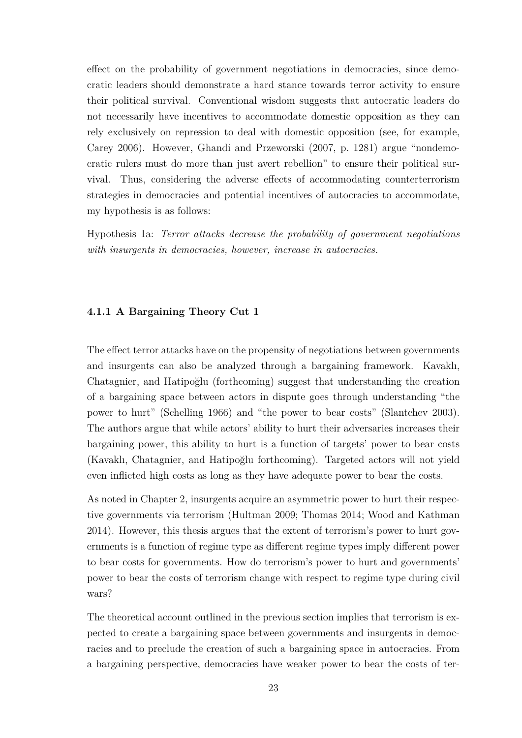effect on the probability of government negotiations in democracies, since democratic leaders should demonstrate a hard stance towards terror activity to ensure their political survival. Conventional wisdom suggests that autocratic leaders do not necessarily have incentives to accommodate domestic opposition as they can rely exclusively on repression to deal with domestic opposition (see, for example, Carey 2006). However, Ghandi and Przeworski [\(2007,](#page-61-1) p. 1281) argue "nondemocratic rulers must do more than just avert rebellion" to ensure their political survival. Thus, considering the adverse effects of accommodating counterterrorism strategies in democracies and potential incentives of autocracies to accommodate, my hypothesis is as follows:

<span id="page-32-0"></span>Hypothesis 1a: *Terror attacks decrease the probability of government negotiations with insurgents in democracies, however, increase in autocracies.*

### **4.1.1 A Bargaining Theory Cut 1**

The effect terror attacks have on the propensity of negotiations between governments and insurgents can also be analyzed through a bargaining framework. Kavaklı, Chatagnier, and Hatipoğlu [\(forthcoming\)](#page-62-15) suggest that understanding the creation of a bargaining space between actors in dispute goes through understanding "the power to hurt" [\(Schelling](#page-64-13) [1966\)](#page-64-13) and "the power to bear costs" [\(Slantchev](#page-65-8) [2003\)](#page-65-8). The authors argue that while actors' ability to hurt their adversaries increases their bargaining power, this ability to hurt is a function of targets' power to bear costs [\(Kavaklı, Chatagnier, and Hatipoğlu](#page-62-15) [forthcoming\)](#page-62-15). Targeted actors will not yield even inflicted high costs as long as they have adequate power to bear the costs.

As noted in Chapter 2, insurgents acquire an asymmetric power to hurt their respective governments via terrorism [\(Hultman](#page-62-3) [2009;](#page-62-3) [Thomas](#page-65-0) [2014;](#page-65-0) [Wood and Kathman](#page-66-0) [2014\)](#page-66-0). However, this thesis argues that the extent of terrorism's power to hurt governments is a function of regime type as different regime types imply different power to bear costs for governments. How do terrorism's power to hurt and governments' power to bear the costs of terrorism change with respect to regime type during civil wars?

The theoretical account outlined in the previous section implies that terrorism is expected to create a bargaining space between governments and insurgents in democracies and to preclude the creation of such a bargaining space in autocracies. From a bargaining perspective, democracies have weaker power to bear the costs of ter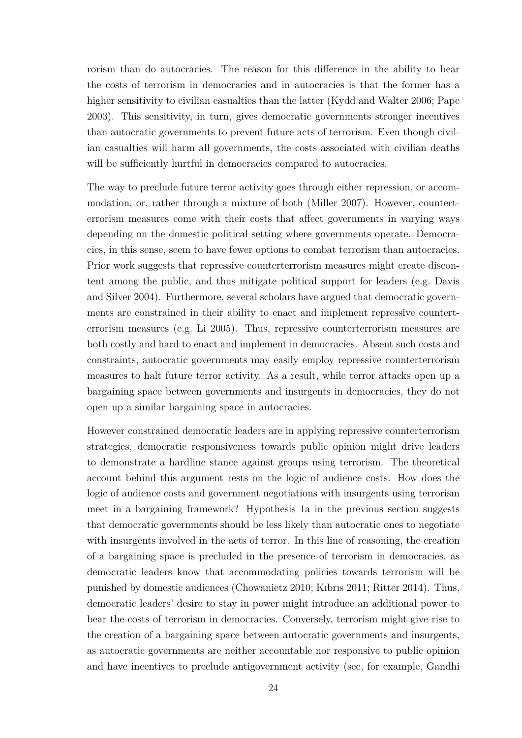rorism than do autocracies. The reason for this difference in the ability to bear the costs of terrorism in democracies and in autocracies is that the former has a higher sensitivity to civilian casualties than the latter [\(Kydd and Walter](#page-63-4) [2006;](#page-63-4) [Pape](#page-64-1) [2003\)](#page-64-1). This sensitivity, in turn, gives democratic governments stronger incentives than autocratic governments to prevent future acts of terrorism. Even though civilian casualties will harm all governments, the costs associated with civilian deaths will be sufficiently hurtful in democracies compared to autocracies.

The way to preclude future terror activity goes through either repression, or accommodation, or, rather through a mixture of both [\(Miller](#page-63-11) [2007\)](#page-63-11). However, counterterrorism measures come with their costs that affect governments in varying ways depending on the domestic political setting where governments operate. Democracies, in this sense, seem to have fewer options to combat terrorism than autocracies. Prior work suggests that repressive counterterrorism measures might create discontent among the public, and thus mitigate political support for leaders (e.g. [Davis](#page-60-13) [and Silver](#page-60-13) [2004\)](#page-60-13). Furthermore, several scholars have argued that democratic governments are constrained in their ability to enact and implement repressive counterterrorism measures (e.g. [Li](#page-63-3) [2005\)](#page-63-3). Thus, repressive counterterrorism measures are both costly and hard to enact and implement in democracies. Absent such costs and constraints, autocratic governments may easily employ repressive counterterrorism measures to halt future terror activity. As a result, while terror attacks open up a bargaining space between governments and insurgents in democracies, they do not open up a similar bargaining space in autocracies.

However constrained democratic leaders are in applying repressive counterterrorism strategies, democratic responsiveness towards public opinion might drive leaders to demonstrate a hardline stance against groups using terrorism. The theoretical account behind this argument rests on the logic of audience costs. How does the logic of audience costs and government negotiations with insurgents using terrorism meet in a bargaining framework? Hypothesis 1a in the previous section suggests that democratic governments should be less likely than autocratic ones to negotiate with insurgents involved in the acts of terror. In this line of reasoning, the creation of a bargaining space is precluded in the presence of terrorism in democracies, as democratic leaders know that accommodating policies towards terrorism will be punished by domestic audiences [\(Chowanietz](#page-59-10) [2010;](#page-59-10) [Kıbrıs](#page-62-13) [2011;](#page-62-13) [Ritter](#page-64-12) [2014\)](#page-64-12). Thus, democratic leaders' desire to stay in power might introduce an additional power to bear the costs of terrorism in democracies. Conversely, terrorism might give rise to the creation of a bargaining space between autocratic governments and insurgents, as autocratic governments are neither accountable nor responsive to public opinion and have incentives to preclude antigovernment activity (see, for example, [Gandhi](#page-61-1)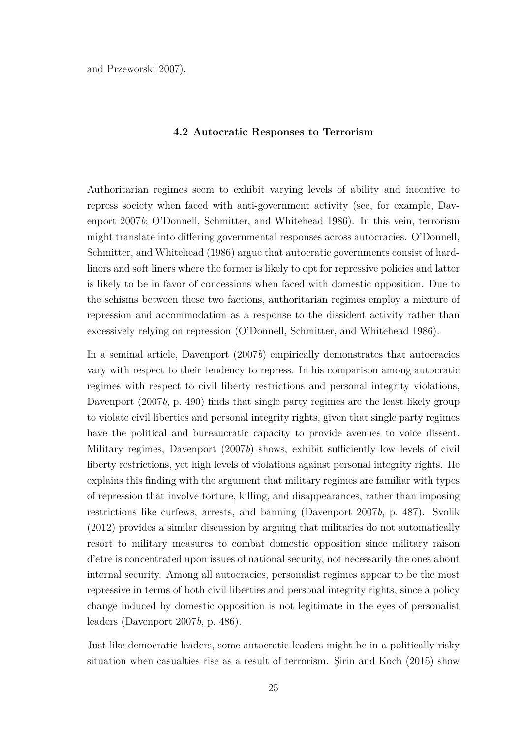<span id="page-34-0"></span>[and Przeworski](#page-61-1) [2007\)](#page-61-1).

#### **4.2 Autocratic Responses to Terrorism**

Authoritarian regimes seem to exhibit varying levels of ability and incentive to repress society when faced with anti-government activity (see, for example, [Dav](#page-60-15)[enport](#page-60-15) [2007](#page-60-15)*b*; [O'Donnell, Schmitter, and Whitehead](#page-64-14) [1986\)](#page-64-14). In this vein, terrorism might translate into differing governmental responses across autocracies. O'Donnell, Schmitter, and Whitehead [\(1986\)](#page-64-14) argue that autocratic governments consist of hardliners and soft liners where the former is likely to opt for repressive policies and latter is likely to be in favor of concessions when faced with domestic opposition. Due to the schisms between these two factions, authoritarian regimes employ a mixture of repression and accommodation as a response to the dissident activity rather than excessively relying on repression [\(O'Donnell, Schmitter, and Whitehead](#page-64-14) [1986\)](#page-64-14).

In a seminal article, Davenport [\(2007](#page-60-15)*b*) empirically demonstrates that autocracies vary with respect to their tendency to repress. In his comparison among autocratic regimes with respect to civil liberty restrictions and personal integrity violations, Davenport [\(2007](#page-60-15)*b*, p. 490) finds that single party regimes are the least likely group to violate civil liberties and personal integrity rights, given that single party regimes have the political and bureaucratic capacity to provide avenues to voice dissent. Military regimes, Davenport [\(2007](#page-60-15)*b*) shows, exhibit sufficiently low levels of civil liberty restrictions, yet high levels of violations against personal integrity rights. He explains this finding with the argument that military regimes are familiar with types of repression that involve torture, killing, and disappearances, rather than imposing restrictions like curfews, arrests, and banning [\(Davenport](#page-60-15) [2007](#page-60-15)*b*, p. 487). Svolik [\(2012\)](#page-65-12) provides a similar discussion by arguing that militaries do not automatically resort to military measures to combat domestic opposition since military raison d'etre is concentrated upon issues of national security, not necessarily the ones about internal security. Among all autocracies, personalist regimes appear to be the most repressive in terms of both civil liberties and personal integrity rights, since a policy change induced by domestic opposition is not legitimate in the eyes of personalist leaders [\(Davenport](#page-60-15) [2007](#page-60-15)*b*, p. 486).

Just like democratic leaders, some autocratic leaders might be in a politically risky situation when casualties rise as a result of terrorism. Şirin and Koch [\(2015\)](#page-65-13) show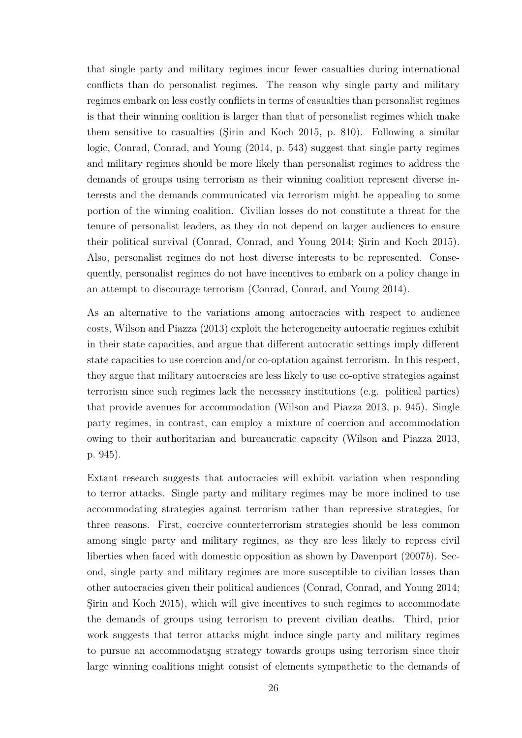that single party and military regimes incur fewer casualties during international conflicts than do personalist regimes. The reason why single party and military regimes embark on less costly conflicts in terms of casualties than personalist regimes is that their winning coalition is larger than that of personalist regimes which make them sensitive to casualties [\(Şirin and Koch](#page-65-13) [2015,](#page-65-13) p. 810). Following a similar logic, Conrad, Conrad, and Young [\(2014,](#page-59-1) p. 543) suggest that single party regimes and military regimes should be more likely than personalist regimes to address the demands of groups using terrorism as their winning coalition represent diverse interests and the demands communicated via terrorism might be appealing to some portion of the winning coalition. Civilian losses do not constitute a threat for the tenure of personalist leaders, as they do not depend on larger audiences to ensure their political survival [\(Conrad, Conrad, and Young](#page-59-1) [2014;](#page-59-1) [Şirin and Koch](#page-65-13) [2015\)](#page-65-13). Also, personalist regimes do not host diverse interests to be represented. Consequently, personalist regimes do not have incentives to embark on a policy change in an attempt to discourage terrorism [\(Conrad, Conrad, and Young](#page-59-1) [2014\)](#page-59-1).

As an alternative to the variations among autocracies with respect to audience costs, Wilson and Piazza [\(2013\)](#page-66-7) exploit the heterogeneity autocratic regimes exhibit in their state capacities, and argue that different autocratic settings imply different state capacities to use coercion and/or co-optation against terrorism. In this respect, they argue that military autocracies are less likely to use co-optive strategies against terrorism since such regimes lack the necessary institutions (e.g. political parties) that provide avenues for accommodation [\(Wilson and Piazza](#page-66-7) [2013,](#page-66-7) p. 945). Single party regimes, in contrast, can employ a mixture of coercion and accommodation owing to their authoritarian and bureaucratic capacity [\(Wilson and Piazza](#page-66-7) [2013,](#page-66-7) p. 945).

Extant research suggests that autocracies will exhibit variation when responding to terror attacks. Single party and military regimes may be more inclined to use accommodating strategies against terrorism rather than repressive strategies, for three reasons. First, coercive counterterrorism strategies should be less common among single party and military regimes, as they are less likely to repress civil liberties when faced with domestic opposition as shown by Davenport [\(2007](#page-60-15)*b*). Second, single party and military regimes are more susceptible to civilian losses than other autocracies given their political audiences [\(Conrad, Conrad, and Young](#page-59-1) [2014;](#page-59-1) [Şirin and Koch](#page-65-13) [2015\)](#page-65-13), which will give incentives to such regimes to accommodate the demands of groups using terrorism to prevent civilian deaths. Third, prior work suggests that terror attacks might induce single party and military regimes to pursue an accommodatşng strategy towards groups using terrorism since their large winning coalitions might consist of elements sympathetic to the demands of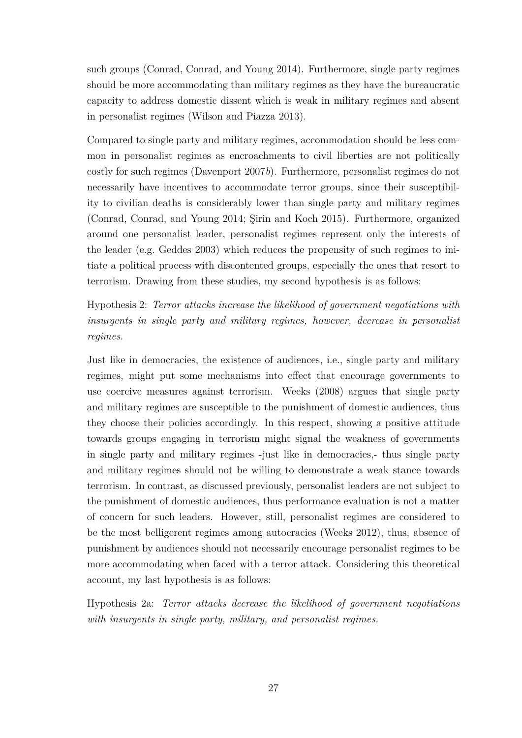such groups [\(Conrad, Conrad, and Young](#page-59-0) [2014\)](#page-59-0). Furthermore, single party regimes should be more accommodating than military regimes as they have the bureaucratic capacity to address domestic dissent which is weak in military regimes and absent in personalist regimes [\(Wilson and Piazza](#page-66-0) [2013\)](#page-66-0).

Compared to single party and military regimes, accommodation should be less common in personalist regimes as encroachments to civil liberties are not politically costly for such regimes [\(Davenport](#page-60-0) [2007](#page-60-0)*b*). Furthermore, personalist regimes do not necessarily have incentives to accommodate terror groups, since their susceptibility to civilian deaths is considerably lower than single party and military regimes [\(Conrad, Conrad, and Young](#page-59-0) [2014;](#page-59-0) [Şirin and Koch](#page-65-0) [2015\)](#page-65-0). Furthermore, organized around one personalist leader, personalist regimes represent only the interests of the leader (e.g. [Geddes](#page-61-0) [2003\)](#page-61-0) which reduces the propensity of such regimes to initiate a political process with discontented groups, especially the ones that resort to terrorism. Drawing from these studies, my second hypothesis is as follows:

Hypothesis 2: *Terror attacks increase the likelihood of government negotiations with insurgents in single party and military regimes, however, decrease in personalist regimes.*

Just like in democracies, the existence of audiences, i.e., single party and military regimes, might put some mechanisms into effect that encourage governments to use coercive measures against terrorism. Weeks [\(2008\)](#page-65-1) argues that single party and military regimes are susceptible to the punishment of domestic audiences, thus they choose their policies accordingly. In this respect, showing a positive attitude towards groups engaging in terrorism might signal the weakness of governments in single party and military regimes -just like in democracies,- thus single party and military regimes should not be willing to demonstrate a weak stance towards terrorism. In contrast, as discussed previously, personalist leaders are not subject to the punishment of domestic audiences, thus performance evaluation is not a matter of concern for such leaders. However, still, personalist regimes are considered to be the most belligerent regimes among autocracies [\(Weeks](#page-66-1) [2012\)](#page-66-1), thus, absence of punishment by audiences should not necessarily encourage personalist regimes to be more accommodating when faced with a terror attack. Considering this theoretical account, my last hypothesis is as follows:

Hypothesis 2a: *Terror attacks decrease the likelihood of government negotiations with insurgents in single party, military, and personalist regimes.*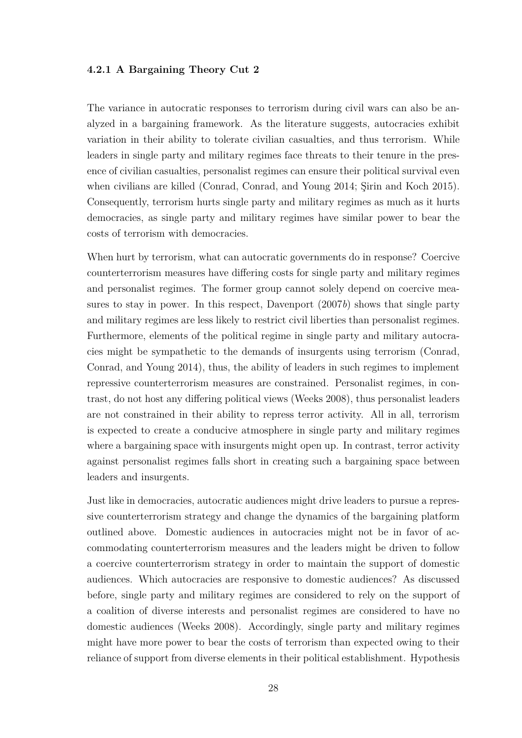## **4.2.1 A Bargaining Theory Cut 2**

The variance in autocratic responses to terrorism during civil wars can also be analyzed in a bargaining framework. As the literature suggests, autocracies exhibit variation in their ability to tolerate civilian casualties, and thus terrorism. While leaders in single party and military regimes face threats to their tenure in the presence of civilian casualties, personalist regimes can ensure their political survival even when civilians are killed [\(Conrad, Conrad, and Young](#page-59-0) [2014;](#page-59-0) [Şirin and Koch](#page-65-0) [2015\)](#page-65-0). Consequently, terrorism hurts single party and military regimes as much as it hurts democracies, as single party and military regimes have similar power to bear the costs of terrorism with democracies.

When hurt by terrorism, what can autocratic governments do in response? Coercive counterterrorism measures have differing costs for single party and military regimes and personalist regimes. The former group cannot solely depend on coercive measures to stay in power. In this respect, Davenport [\(2007](#page-60-0)*b*) shows that single party and military regimes are less likely to restrict civil liberties than personalist regimes. Furthermore, elements of the political regime in single party and military autocracies might be sympathetic to the demands of insurgents using terrorism [\(Conrad,](#page-59-0) [Conrad, and Young](#page-59-0) [2014\)](#page-59-0), thus, the ability of leaders in such regimes to implement repressive counterterrorism measures are constrained. Personalist regimes, in contrast, do not host any differing political views [\(Weeks](#page-65-1) [2008\)](#page-65-1), thus personalist leaders are not constrained in their ability to repress terror activity. All in all, terrorism is expected to create a conducive atmosphere in single party and military regimes where a bargaining space with insurgents might open up. In contrast, terror activity against personalist regimes falls short in creating such a bargaining space between leaders and insurgents.

Just like in democracies, autocratic audiences might drive leaders to pursue a repressive counterterrorism strategy and change the dynamics of the bargaining platform outlined above. Domestic audiences in autocracies might not be in favor of accommodating counterterrorism measures and the leaders might be driven to follow a coercive counterterrorism strategy in order to maintain the support of domestic audiences. Which autocracies are responsive to domestic audiences? As discussed before, single party and military regimes are considered to rely on the support of a coalition of diverse interests and personalist regimes are considered to have no domestic audiences [\(Weeks](#page-65-1) [2008\)](#page-65-1). Accordingly, single party and military regimes might have more power to bear the costs of terrorism than expected owing to their reliance of support from diverse elements in their political establishment. Hypothesis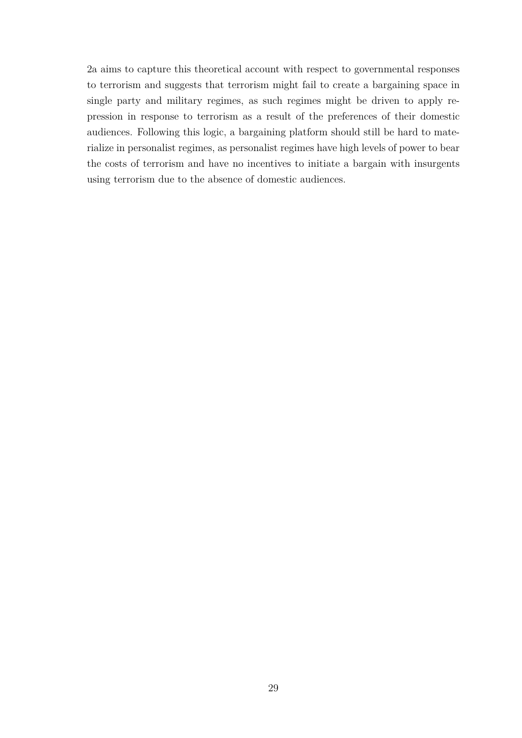2a aims to capture this theoretical account with respect to governmental responses to terrorism and suggests that terrorism might fail to create a bargaining space in single party and military regimes, as such regimes might be driven to apply repression in response to terrorism as a result of the preferences of their domestic audiences. Following this logic, a bargaining platform should still be hard to materialize in personalist regimes, as personalist regimes have high levels of power to bear the costs of terrorism and have no incentives to initiate a bargain with insurgents using terrorism due to the absence of domestic audiences.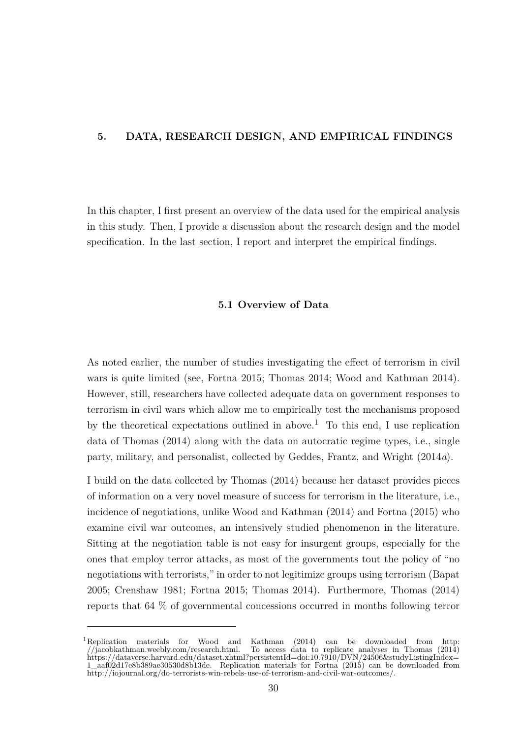## **5. DATA, RESEARCH DESIGN, AND EMPIRICAL FINDINGS**

In this chapter, I first present an overview of the data used for the empirical analysis in this study. Then, I provide a discussion about the research design and the model specification. In the last section, I report and interpret the empirical findings.

## **5.1 Overview of Data**

As noted earlier, the number of studies investigating the effect of terrorism in civil wars is quite limited (see, [Fortna](#page-61-1) [2015;](#page-61-1) [Thomas](#page-65-2) [2014;](#page-65-2) [Wood and Kathman](#page-66-2) [2014\)](#page-66-2). However, still, researchers have collected adequate data on government responses to terrorism in civil wars which allow me to empirically test the mechanisms proposed by the theoretical expectations outlined in above.<sup>1</sup> To this end, I use replication data of Thomas [\(2014\)](#page-65-2) along with the data on autocratic regime types, i.e., single party, military, and personalist, collected by Geddes, Frantz, and Wright [\(2014](#page-61-2)*a*).

I build on the data collected by Thomas [\(2014\)](#page-65-2) because her dataset provides pieces of information on a very novel measure of success for terrorism in the literature, i.e., incidence of negotiations, unlike Wood and Kathman [\(2014\)](#page-66-2) and Fortna [\(2015\)](#page-61-1) who examine civil war outcomes, an intensively studied phenomenon in the literature. Sitting at the negotiation table is not easy for insurgent groups, especially for the ones that employ terror attacks, as most of the governments tout the policy of "no negotiations with terrorists," in order to not legitimize groups using terrorism [\(Bapat](#page-58-0) [2005;](#page-58-0) [Crenshaw](#page-59-1) [1981;](#page-59-1) [Fortna](#page-61-1) [2015;](#page-61-1) [Thomas](#page-65-2) [2014\)](#page-65-2). Furthermore, Thomas [\(2014\)](#page-65-2) reports that 64 % of governmental concessions occurred in months following terror

 $1$ Replication materials for Wood and Kathman [\(2014\)](#page-66-2) can be downloaded from [http:](http://jacobkathman.weebly.com/research.html)<br>  $\frac{1}{2}$  /jacobkathman.weebly.com/research.html. To access data to replicate analyses in Thomas (2014) [//jacobkathman.weebly.com/research.html.](http://jacobkathman.weebly.com/research.html) To access data to replicate analyses in Thomas [\(2014\)](#page-65-2) [https://dataverse.harvard.edu/dataset.xhtml?persistentId=doi:10.7910/DVN/24506&studyListingIndex=](https://dataverse.harvard.edu/dataset.xhtml?persistentId=doi:10.7910/DVN/24506&studyListingIndex=1_aaf02d17e8b389ae30530d8b13de) [1\\_aaf02d17e8b389ae30530d8b13de.](https://dataverse.harvard.edu/dataset.xhtml?persistentId=doi:10.7910/DVN/24506&studyListingIndex=1_aaf02d17e8b389ae30530d8b13de) Replication materials for Fortna [\(2015\)](#page-61-1) can be downloaded from [http://iojournal.org/do-terrorists-win-rebels-use-of-terrorism-and-civil-war-outcomes/.](http://iojournal.org/do-terrorists-win-rebels-use-of-terrorism-and-civil-war-outcomes/)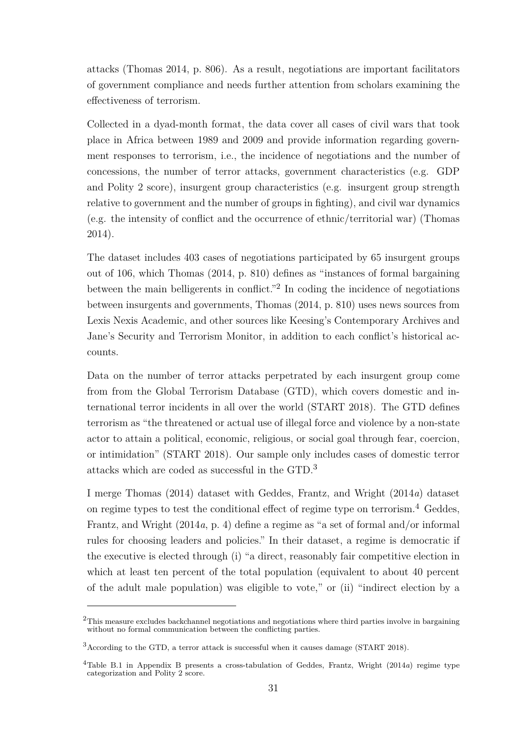attacks [\(Thomas](#page-65-2) [2014,](#page-65-2) p. 806). As a result, negotiations are important facilitators of government compliance and needs further attention from scholars examining the effectiveness of terrorism.

Collected in a dyad-month format, the data cover all cases of civil wars that took place in Africa between 1989 and 2009 and provide information regarding government responses to terrorism, i.e., the incidence of negotiations and the number of concessions, the number of terror attacks, government characteristics (e.g. GDP and Polity 2 score), insurgent group characteristics (e.g. insurgent group strength relative to government and the number of groups in fighting), and civil war dynamics (e.g. the intensity of conflict and the occurrence of ethnic/territorial war) [\(Thomas](#page-65-2) [2014\)](#page-65-2).

The dataset includes 403 cases of negotiations participated by 65 insurgent groups out of 106, which Thomas [\(2014,](#page-65-2) p. 810) defines as "instances of formal bargaining between the main belligerents in conflict.<sup>"2</sup> In coding the incidence of negotiations between insurgents and governments, Thomas [\(2014,](#page-65-2) p. 810) uses news sources from Lexis Nexis Academic, and other sources like Keesing's Contemporary Archives and Jane's Security and Terrorism Monitor, in addition to each conflict's historical accounts.

Data on the number of terror attacks perpetrated by each insurgent group come from from the Global Terrorism Database (GTD), which covers domestic and international terror incidents in all over the world [\(START](#page-64-0) [2018\)](#page-64-0). The GTD defines terrorism as "the threatened or actual use of illegal force and violence by a non-state actor to attain a political, economic, religious, or social goal through fear, coercion, or intimidation" [\(START](#page-64-0) [2018\)](#page-64-0). Our sample only includes cases of domestic terror attacks which are coded as successful in the GTD.<sup>3</sup>

I merge Thomas [\(2014\)](#page-65-2) dataset with Geddes, Frantz, and Wright [\(2014](#page-61-2)*a*) dataset on regime types to test the conditional effect of regime type on terrorism.<sup>4</sup> Geddes, Frantz, and Wright [\(2014](#page-61-2)*a*, p. 4) define a regime as "a set of formal and/or informal rules for choosing leaders and policies." In their dataset, a regime is democratic if the executive is elected through (i) "a direct, reasonably fair competitive election in which at least ten percent of the total population (equivalent to about 40 percent of the adult male population) was eligible to vote," or (ii) "indirect election by a

<sup>&</sup>lt;sup>2</sup>This measure excludes backchannel negotiations and negotiations where third parties involve in bargaining without no formal communication between the conflicting parties.

 $3$ According to the GTD, a terror attack is successful when it causes damage [\(START](#page-64-0) [2018\)](#page-64-0).

<sup>4</sup>Table B.1 in Appendix B presents a cross-tabulation of Geddes, Frantz, Wright [\(2014](#page-61-2)*a*) regime type categorization and Polity 2 score.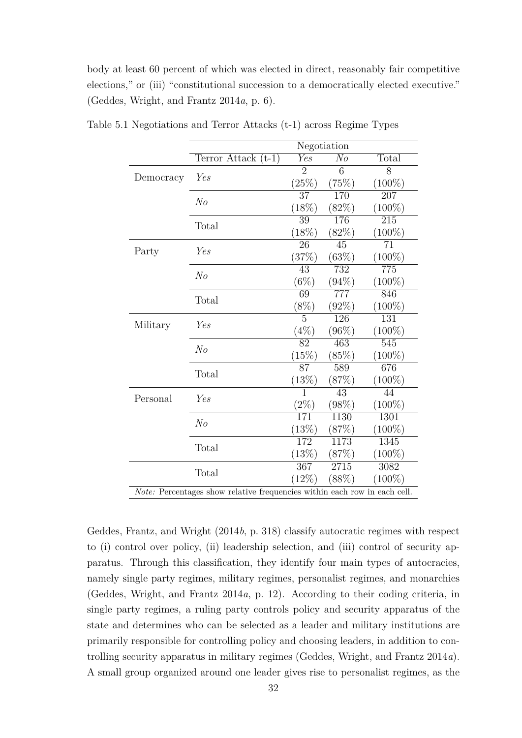body at least 60 percent of which was elected in direct, reasonably fair competitive elections," or (iii) "constitutional succession to a democratically elected executive." [\(Geddes, Wright, and Frantz](#page-61-2) [2014](#page-61-2)*a*, p. 6).

|           | Negotiation           |                  |                  |                  |
|-----------|-----------------------|------------------|------------------|------------------|
|           | Terror Attack $(t-1)$ | $\overline{Yes}$ | $\overline{No}$  | <b>Total</b>     |
|           | Yes                   | $\overline{2}$   | 6                | $\overline{8}$   |
| Democracy |                       | (25%)            | (75%)            | $(100\%)$        |
|           | $N_{O}$               | $\overline{37}$  | 170              | $\overline{207}$ |
|           |                       | (18%)            | (82%)            | $(100\%)$        |
|           | Total                 | $\overline{39}$  | 176              | $\overline{215}$ |
|           |                       | (18%)            | (82%)            | $(100\%)$        |
| Party     | Yes                   | $\overline{26}$  | 45               | $\overline{71}$  |
|           |                       | (37%)            | (63%)            | $(100\%)$        |
|           | $N_{O}$               | $\overline{43}$  | $\overline{732}$ | $\overline{775}$ |
|           |                       | $(6\%)$          | (94%)            | $(100\%)$        |
|           | Total                 | 69               | $\overline{777}$ | 846              |
|           |                       | $(8\%)$          | (92%)            | $(100\%)$        |
| Military  | Yes                   | 5                | 126              | 131              |
|           |                       | $(4\%)$          | $(96\%)$         | $(100\%)$        |
|           | N <sub>o</sub>        | 82               | 463              | $\overline{545}$ |
|           |                       | (15%)            | (85%)            | $(100\%)$        |
|           | Total                 | $\overline{87}$  | $\overline{589}$ | 676              |
|           |                       | (13%)            | (87%)            | $(100\%)$        |
| Personal  | Yes                   | 1                | $\overline{43}$  | 44               |
|           |                       | $(2\%)$          | (98%)            | $(100\%)$        |
|           | N <sub>o</sub>        | 171              | 1130             | 1301             |
|           |                       | (13%)            | (87%)            | $(100\%)$        |
|           | Total                 | 172              | 1173             | 1345             |
|           |                       | (13%)            | (87%)            | $(100\%)$        |
|           | Total                 | 367              | 2715             | 3082             |
|           |                       | $(12\%)$         | (88%)            | $(100\%)$        |

Table 5.1 Negotiations and Terror Attacks (t-1) across Regime Types

Geddes, Frantz, and Wright [\(2014](#page-61-3)*b*, p. 318) classify autocratic regimes with respect to (i) control over policy, (ii) leadership selection, and (iii) control of security apparatus. Through this classification, they identify four main types of autocracies, namely single party regimes, military regimes, personalist regimes, and monarchies [\(Geddes, Wright, and Frantz](#page-61-2) [2014](#page-61-2)*a*, p. 12). According to their coding criteria, in single party regimes, a ruling party controls policy and security apparatus of the state and determines who can be selected as a leader and military institutions are primarily responsible for controlling policy and choosing leaders, in addition to controlling security apparatus in military regimes [\(Geddes, Wright, and Frantz](#page-61-2) [2014](#page-61-2)*a*). A small group organized around one leader gives rise to personalist regimes, as the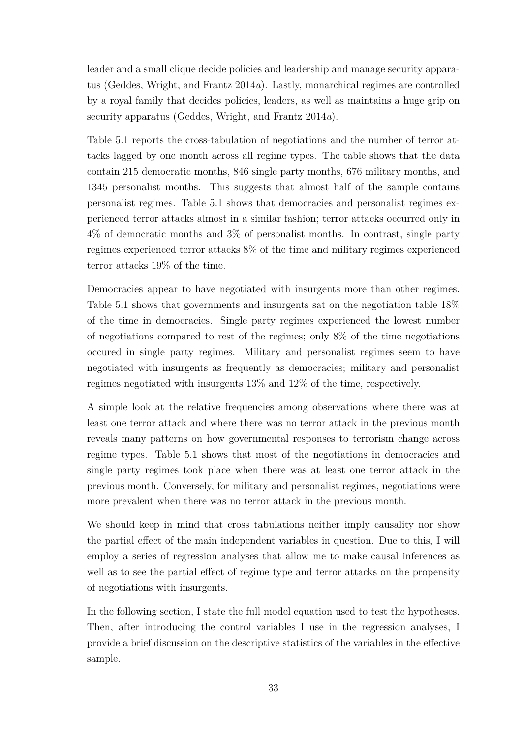leader and a small clique decide policies and leadership and manage security apparatus [\(Geddes, Wright, and Frantz](#page-61-2) [2014](#page-61-2)*a*). Lastly, monarchical regimes are controlled by a royal family that decides policies, leaders, as well as maintains a huge grip on security apparatus [\(Geddes, Wright, and Frantz](#page-61-2) [2014](#page-61-2)*a*).

Table 5.1 reports the cross-tabulation of negotiations and the number of terror attacks lagged by one month across all regime types. The table shows that the data contain 215 democratic months, 846 single party months, 676 military months, and 1345 personalist months. This suggests that almost half of the sample contains personalist regimes. Table 5.1 shows that democracies and personalist regimes experienced terror attacks almost in a similar fashion; terror attacks occurred only in 4% of democratic months and 3% of personalist months. In contrast, single party regimes experienced terror attacks 8% of the time and military regimes experienced terror attacks 19% of the time.

Democracies appear to have negotiated with insurgents more than other regimes. Table 5.1 shows that governments and insurgents sat on the negotiation table 18% of the time in democracies. Single party regimes experienced the lowest number of negotiations compared to rest of the regimes; only 8% of the time negotiations occured in single party regimes. Military and personalist regimes seem to have negotiated with insurgents as frequently as democracies; military and personalist regimes negotiated with insurgents 13% and 12% of the time, respectively.

A simple look at the relative frequencies among observations where there was at least one terror attack and where there was no terror attack in the previous month reveals many patterns on how governmental responses to terrorism change across regime types. Table 5.1 shows that most of the negotiations in democracies and single party regimes took place when there was at least one terror attack in the previous month. Conversely, for military and personalist regimes, negotiations were more prevalent when there was no terror attack in the previous month.

We should keep in mind that cross tabulations neither imply causality nor show the partial effect of the main independent variables in question. Due to this, I will employ a series of regression analyses that allow me to make causal inferences as well as to see the partial effect of regime type and terror attacks on the propensity of negotiations with insurgents.

In the following section, I state the full model equation used to test the hypotheses. Then, after introducing the control variables I use in the regression analyses, I provide a brief discussion on the descriptive statistics of the variables in the effective sample.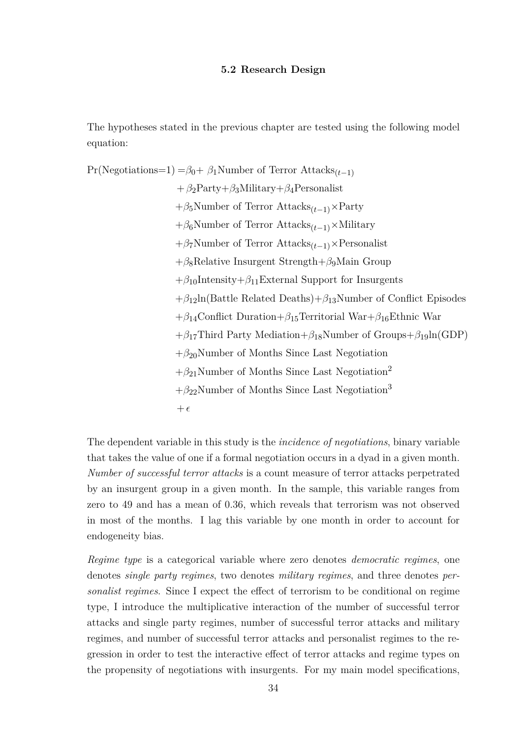### **5.2 Research Design**

The hypotheses stated in the previous chapter are tested using the following model equation:

 $Pr(Negotiations=1) = \beta_0 + \beta_1$ Number of Terror Attacks<sub>(t-1)</sub> +*β*2Party+*β*3Military+*β*4Personalist +*β*5Number of Terror Attacks(*t*−1)×Party +*β*6Number of Terror Attacks(*t*−1)×Military +*β*7Number of Terror Attacks(*t*−1)×Personalist +*β*8Relative Insurgent Strength+*β*9Main Group  $+\beta_{10}$ Intensity $+\beta_{11}$ External Support for Insurgents +*β*12ln(Battle Related Deaths)+*β*13Number of Conflict Episodes +*β*14Conflict Duration+*β*15Territorial War+*β*16Ethnic War +*β*17Third Party Mediation+*β*18Number of Groups+*β*19ln(GDP) +*β*20Number of Months Since Last Negotiation  $+\beta_{21}$ Number of Months Since Last Negotiation<sup>2</sup>  $+\beta_{22}$ Number of Months Since Last Negotiation<sup>3</sup>  $+$  $\epsilon$ 

The dependent variable in this study is the *incidence of negotiations*, binary variable that takes the value of one if a formal negotiation occurs in a dyad in a given month. *Number of successful terror attacks* is a count measure of terror attacks perpetrated by an insurgent group in a given month. In the sample, this variable ranges from zero to 49 and has a mean of 0.36, which reveals that terrorism was not observed in most of the months. I lag this variable by one month in order to account for endogeneity bias.

*Regime type* is a categorical variable where zero denotes *democratic regimes*, one denotes *single party regimes*, two denotes *military regimes*, and three denotes *personalist regimes*. Since I expect the effect of terrorism to be conditional on regime type, I introduce the multiplicative interaction of the number of successful terror attacks and single party regimes, number of successful terror attacks and military regimes, and number of successful terror attacks and personalist regimes to the regression in order to test the interactive effect of terror attacks and regime types on the propensity of negotiations with insurgents. For my main model specifications,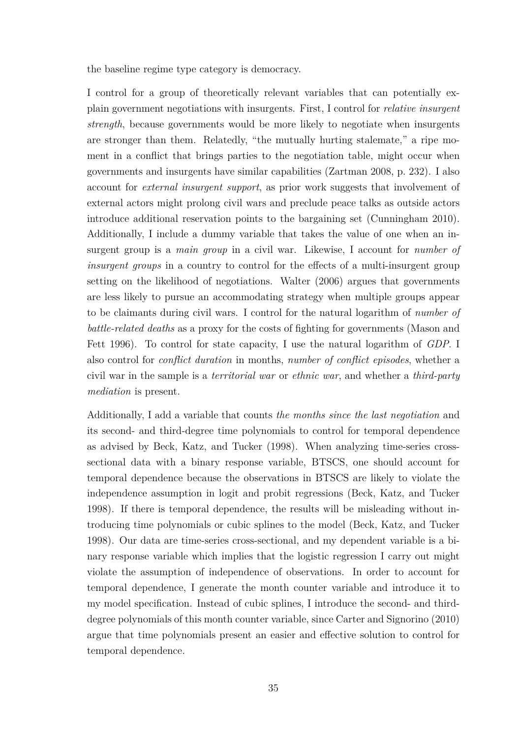the baseline regime type category is democracy.

I control for a group of theoretically relevant variables that can potentially explain government negotiations with insurgents. First, I control for *relative insurgent strength*, because governments would be more likely to negotiate when insurgents are stronger than them. Relatedly, "the mutually hurting stalemate," a ripe moment in a conflict that brings parties to the negotiation table, might occur when governments and insurgents have similar capabilities [\(Zartman](#page-66-3) [2008,](#page-66-3) p. 232). I also account for *external insurgent support*, as prior work suggests that involvement of external actors might prolong civil wars and preclude peace talks as outside actors introduce additional reservation points to the bargaining set [\(Cunningham](#page-59-2) [2010\)](#page-59-2). Additionally, I include a dummy variable that takes the value of one when an insurgent group is a *main group* in a civil war. Likewise, I account for *number of insurgent groups* in a country to control for the effects of a multi-insurgent group setting on the likelihood of negotiations. Walter [\(2006\)](#page-65-3) argues that governments are less likely to pursue an accommodating strategy when multiple groups appear to be claimants during civil wars. I control for the natural logarithm of *number of battle-related deaths* as a proxy for the costs of fighting for governments [\(Mason and](#page-63-0) [Fett](#page-63-0) [1996\)](#page-63-0). To control for state capacity, I use the natural logarithm of *GDP*. I also control for *conflict duration* in months, *number of conflict episodes*, whether a civil war in the sample is a *territorial war* or *ethnic war*, and whether a *third-party mediation* is present.

Additionally, I add a variable that counts *the months since the last negotiation* and its second- and third-degree time polynomials to control for temporal dependence as advised by Beck, Katz, and Tucker [\(1998\)](#page-58-1). When analyzing time-series crosssectional data with a binary response variable, BTSCS, one should account for temporal dependence because the observations in BTSCS are likely to violate the independence assumption in logit and probit regressions [\(Beck, Katz, and Tucker](#page-58-1) [1998\)](#page-58-1). If there is temporal dependence, the results will be misleading without introducing time polynomials or cubic splines to the model [\(Beck, Katz, and Tucker](#page-58-1) [1998\)](#page-58-1). Our data are time-series cross-sectional, and my dependent variable is a binary response variable which implies that the logistic regression I carry out might violate the assumption of independence of observations. In order to account for temporal dependence, I generate the month counter variable and introduce it to my model specification. Instead of cubic splines, I introduce the second- and thirddegree polynomials of this month counter variable, since Carter and Signorino [\(2010\)](#page-59-3) argue that time polynomials present an easier and effective solution to control for temporal dependence.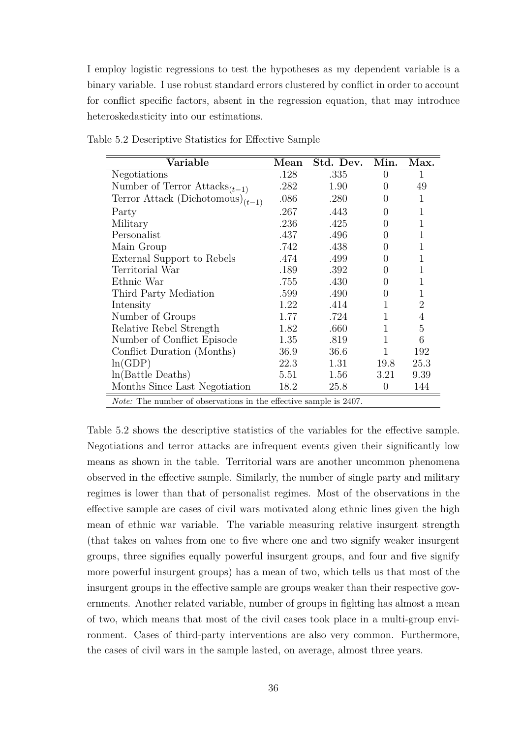I employ logistic regressions to test the hypotheses as my dependent variable is a binary variable. I use robust standard errors clustered by conflict in order to account for conflict specific factors, absent in the regression equation, that may introduce heteroskedasticity into our estimations.

| Variable                                                                 | Mean | Std. Dev. | Min.             | Max.           |  |  |
|--------------------------------------------------------------------------|------|-----------|------------------|----------------|--|--|
| Negotiations                                                             | .128 | .335      | $\left( \right)$ |                |  |  |
| Number of Terror Attacks <sub><math>(t-1)</math></sub>                   | .282 | 1.90      | $\theta$         | 49             |  |  |
| Terror Attack (Dichotomous) $_{(t-1)}$                                   | .086 | .280      | 0                | 1              |  |  |
| Party                                                                    | .267 | .443      | 0                | 1              |  |  |
| Military                                                                 | .236 | .425      | 0                | 1              |  |  |
| Personalist                                                              | .437 | .496      | 0                | 1              |  |  |
| Main Group                                                               | .742 | .438      | 0                | 1              |  |  |
| External Support to Rebels                                               | .474 | .499      | 0                | 1              |  |  |
| Territorial War                                                          | .189 | .392      | 0                | 1              |  |  |
| Ethnic War                                                               | .755 | .430      | 0                | 1              |  |  |
| Third Party Mediation                                                    | .599 | .490      | 0                | 1              |  |  |
| Intensity                                                                | 1.22 | .414      | 1                | 2              |  |  |
| Number of Groups                                                         | 1.77 | .724      | 1                | $\overline{4}$ |  |  |
| Relative Rebel Strength                                                  | 1.82 | .660      | 1                | 5              |  |  |
| Number of Conflict Episode                                               | 1.35 | .819      | 1                | 6              |  |  |
| Conflict Duration (Months)                                               | 36.9 | 36.6      | 1                | 192            |  |  |
| ln(GDP)                                                                  | 22.3 | 1.31      | 19.8             | 25.3           |  |  |
| $ln(Battle$ Deaths)                                                      | 5.51 | 1.56      | 3.21             | 9.39           |  |  |
| Months Since Last Negotiation                                            | 18.2 | 25.8      | $\overline{0}$   | 144            |  |  |
| <i>Note:</i> The number of observations in the effective sample is 2407. |      |           |                  |                |  |  |

Table 5.2 Descriptive Statistics for Effective Sample

Table 5.2 shows the descriptive statistics of the variables for the effective sample. Negotiations and terror attacks are infrequent events given their significantly low means as shown in the table. Territorial wars are another uncommon phenomena observed in the effective sample. Similarly, the number of single party and military regimes is lower than that of personalist regimes. Most of the observations in the effective sample are cases of civil wars motivated along ethnic lines given the high mean of ethnic war variable. The variable measuring relative insurgent strength (that takes on values from one to five where one and two signify weaker insurgent groups, three signifies equally powerful insurgent groups, and four and five signify more powerful insurgent groups) has a mean of two, which tells us that most of the insurgent groups in the effective sample are groups weaker than their respective governments. Another related variable, number of groups in fighting has almost a mean of two, which means that most of the civil cases took place in a multi-group environment. Cases of third-party interventions are also very common. Furthermore, the cases of civil wars in the sample lasted, on average, almost three years.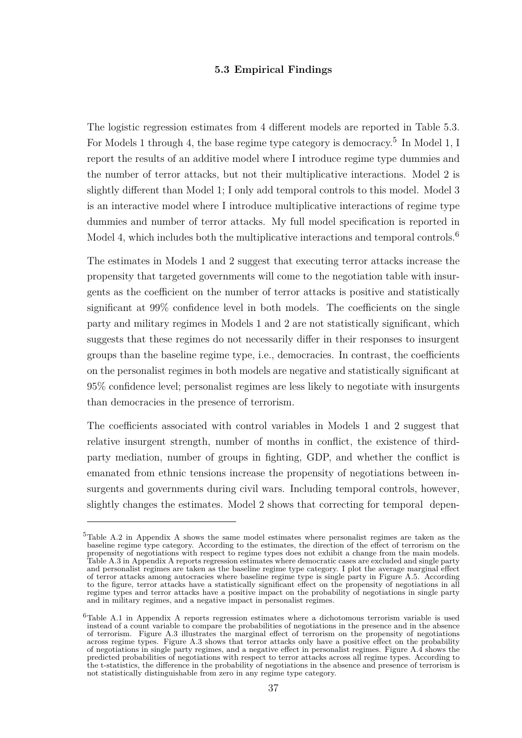## **5.3 Empirical Findings**

The logistic regression estimates from 4 different models are reported in Table 5.3. For Models 1 through 4, the base regime type category is democracy.<sup>5</sup> In Model 1, I report the results of an additive model where I introduce regime type dummies and the number of terror attacks, but not their multiplicative interactions. Model 2 is slightly different than Model 1; I only add temporal controls to this model. Model 3 is an interactive model where I introduce multiplicative interactions of regime type dummies and number of terror attacks. My full model specification is reported in Model 4, which includes both the multiplicative interactions and temporal controls.<sup>6</sup>

The estimates in Models 1 and 2 suggest that executing terror attacks increase the propensity that targeted governments will come to the negotiation table with insurgents as the coefficient on the number of terror attacks is positive and statistically significant at 99% confidence level in both models. The coefficients on the single party and military regimes in Models 1 and 2 are not statistically significant, which suggests that these regimes do not necessarily differ in their responses to insurgent groups than the baseline regime type, i.e., democracies. In contrast, the coefficients on the personalist regimes in both models are negative and statistically significant at 95% confidence level; personalist regimes are less likely to negotiate with insurgents than democracies in the presence of terrorism.

The coefficients associated with control variables in Models 1 and 2 suggest that relative insurgent strength, number of months in conflict, the existence of thirdparty mediation, number of groups in fighting, GDP, and whether the conflict is emanated from ethnic tensions increase the propensity of negotiations between insurgents and governments during civil wars. Including temporal controls, however, slightly changes the estimates. Model 2 shows that correcting for temporal depen-

<sup>&</sup>lt;sup>5</sup>Table A.2 in Appendix A shows the same model estimates where personalist regimes are taken as the baseline regime type category. According to the estimates, the direction of the effect of terrorism on the propensity of negotiations with respect to regime types does not exhibit a change from the main models. Table A.3 in Appendix A reports regression estimates where democratic cases are excluded and single party and personalist regimes are taken as the baseline regime type category. I plot the average marginal effect of terror attacks among autocracies where baseline regime type is single party in Figure A.5. According to the figure, terror attacks have a statistically significant effect on the propensity of negotiations in all regime types and terror attacks have a positive impact on the probability of negotiations in single party and in military regimes, and a negative impact in personalist regimes.

<sup>6</sup>Table A.1 in Appendix A reports regression estimates where a dichotomous terrorism variable is used instead of a count variable to compare the probabilities of negotiations in the presence and in the absence of terrorism. Figure A.3 illustrates the marginal effect of terrorism on the propensity of negotiations across regime types. Figure A.3 shows that terror attacks only have a positive effect on the probability of negotiations in single party regimes, and a negative effect in personalist regimes. Figure A.4 shows the predicted probabilities of negotiations with respect to terror attacks across all regime types. According to the t-statistics, the difference in the probability of negotiations in the absence and presence of terrorism is not statistically distinguishable from zero in any regime type category.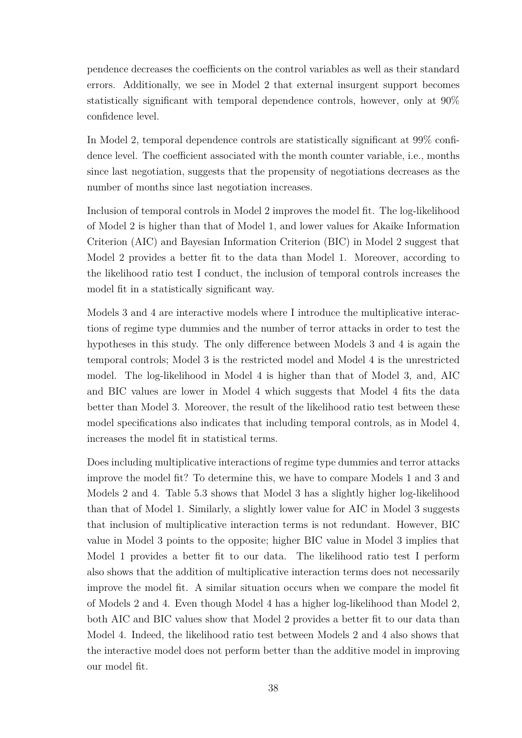pendence decreases the coefficients on the control variables as well as their standard errors. Additionally, we see in Model 2 that external insurgent support becomes statistically significant with temporal dependence controls, however, only at 90% confidence level.

In Model 2, temporal dependence controls are statistically significant at 99% confidence level. The coefficient associated with the month counter variable, i.e., months since last negotiation, suggests that the propensity of negotiations decreases as the number of months since last negotiation increases.

Inclusion of temporal controls in Model 2 improves the model fit. The log-likelihood of Model 2 is higher than that of Model 1, and lower values for Akaike Information Criterion (AIC) and Bayesian Information Criterion (BIC) in Model 2 suggest that Model 2 provides a better fit to the data than Model 1. Moreover, according to the likelihood ratio test I conduct, the inclusion of temporal controls increases the model fit in a statistically significant way.

Models 3 and 4 are interactive models where I introduce the multiplicative interactions of regime type dummies and the number of terror attacks in order to test the hypotheses in this study. The only difference between Models 3 and 4 is again the temporal controls; Model 3 is the restricted model and Model 4 is the unrestricted model. The log-likelihood in Model 4 is higher than that of Model 3, and, AIC and BIC values are lower in Model 4 which suggests that Model 4 fits the data better than Model 3. Moreover, the result of the likelihood ratio test between these model specifications also indicates that including temporal controls, as in Model 4, increases the model fit in statistical terms.

Does including multiplicative interactions of regime type dummies and terror attacks improve the model fit? To determine this, we have to compare Models 1 and 3 and Models 2 and 4. Table 5.3 shows that Model 3 has a slightly higher log-likelihood than that of Model 1. Similarly, a slightly lower value for AIC in Model 3 suggests that inclusion of multiplicative interaction terms is not redundant. However, BIC value in Model 3 points to the opposite; higher BIC value in Model 3 implies that Model 1 provides a better fit to our data. The likelihood ratio test I perform also shows that the addition of multiplicative interaction terms does not necessarily improve the model fit. A similar situation occurs when we compare the model fit of Models 2 and 4. Even though Model 4 has a higher log-likelihood than Model 2, both AIC and BIC values show that Model 2 provides a better fit to our data than Model 4. Indeed, the likelihood ratio test between Models 2 and 4 also shows that the interactive model does not perform better than the additive model in improving our model fit.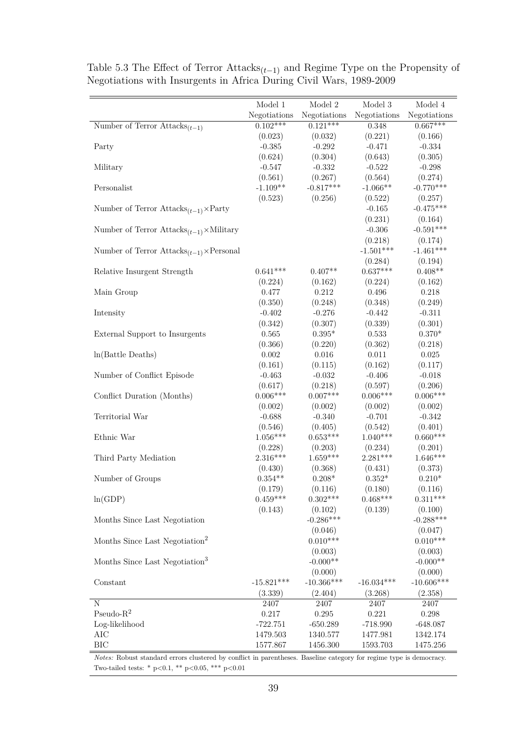|                                                           | Model 1      | Model 2      | Model 3      | Model 4              |
|-----------------------------------------------------------|--------------|--------------|--------------|----------------------|
|                                                           | Negotiations | Negotiations | Negotiations | ${\bf Negotiations}$ |
| Number of Terror $Attacks_{(t-1)}$                        | $0.102***$   | $0.121***$   | 0.348        | $0.667***$           |
|                                                           | (0.023)      | (0.032)      | (0.221)      | (0.166)              |
| Party                                                     | $-0.385$     | $-0.292$     | $-0.471$     | $-0.334$             |
|                                                           | (0.624)      | (0.304)      | (0.643)      | (0.305)              |
| Military                                                  | $-0.547$     | $-0.332$     | $-0.522$     | $-0.298$             |
|                                                           | (0.561)      | (0.267)      | (0.564)      | (0.274)              |
| Personalist                                               | $-1.109**$   | $-0.817***$  | $-1.066**$   | $-0.770***$          |
|                                                           | (0.523)      | (0.256)      | (0.522)      | (0.257)              |
| Number of Terror $Attacks_{(t-1)} \times$ Party           |              |              | $-0.165$     | $-0.475***$          |
|                                                           |              |              | (0.231)      | (0.164)              |
| Number of Terror $Attacks_{(t-1)} \times$ Military        |              |              | $-0.306$     | $-0.591***$          |
|                                                           |              |              | (0.218)      | (0.174)              |
| Number of Terror $Attacks_{(t-1)} \times \text{Personal}$ |              |              | $-1.501***$  | $-1.461***$          |
|                                                           |              |              | (0.284)      | (0.194)              |
| Relative Insurgent Strength                               | $0.641***$   | $0.407**$    | $0.637***$   | $0.408**$            |
|                                                           | (0.224)      | (0.162)      | (0.224)      | (0.162)              |
| Main Group                                                | 0.477        | $0.212\,$    | 0.496        | 0.218                |
|                                                           | (0.350)      | (0.248)      | (0.348)      | (0.249)              |
| Intensity                                                 | $-0.402$     | $-0.276$     | $-0.442$     | $-0.311$             |
|                                                           | (0.342)      | (0.307)      | (0.339)      | (0.301)              |
| External Support to Insurgents                            | 0.565        | $0.395*$     | 0.533        | $0.370*$             |
|                                                           | (0.366)      | (0.220)      | (0.362)      | (0.218)              |
| ln(Battle Deaths)                                         | $0.002\,$    | 0.016        | 0.011        | 0.025                |
|                                                           | (0.161)      | (0.115)      | (0.162)      | (0.117)              |
| Number of Conflict Episode                                | $-0.463$     | $-0.032$     | $-0.406$     | $-0.018$             |
|                                                           | (0.617)      | (0.218)      | (0.597)      | (0.206)              |
| Conflict Duration (Months)                                | $0.006***$   | $0.007***$   | $0.006***$   | $0.006***$           |
|                                                           | (0.002)      | (0.002)      | (0.002)      | (0.002)              |
| Territorial War                                           | $-0.688$     | $-0.340$     | $-0.701$     | $-0.342$             |
|                                                           | (0.546)      | (0.405)      | (0.542)      | (0.401)              |
| Ethnic War                                                | $1.056***$   | $0.653***$   | $1.040***$   | $0.660***$           |
|                                                           | (0.228)      | (0.203)      | (0.234)      | (0.201)              |
| Third Party Mediation                                     | 2.316***     | $1.659***$   | $2.281***$   | $1.646***$           |
|                                                           | (0.430)      | (0.368)      | (0.431)      | (0.373)              |
| Number of Groups                                          | $0.354**$    | $0.208*$     | $0.352*$     | $0.210*$             |
|                                                           | (0.179)      | (0.116)      | (0.180)      | (0.116)              |
| ln(GDP)                                                   | $0.459***$   | $0.302***$   | $0.468***$   | $0.311***$           |
|                                                           | (0.143)      | (0.102)      | (0.139)      | (0.100)              |
| Months Since Last Negotiation                             |              | $-0.286***$  |              | $-0.288***$          |
|                                                           |              | (0.046)      |              | (0.047)              |
| Months Since Last Negotiation <sup>2</sup>                |              | $0.010***$   |              | $0.010***$           |
|                                                           |              | (0.003)      |              | (0.003)              |
| Months Since Last Negotiation <sup>3</sup>                |              | $-0.000**$   |              | $-0.000**$           |
|                                                           |              | (0.000)      |              | (0.000)              |
| Constant                                                  | $-15.821***$ | $-10.366***$ | $-16.034***$ | $-10.606***$         |
|                                                           | (3.339)      | (2.404)      | (3.268)      | (2.358)              |
| N                                                         | 2407         | 2407         | 2407         | 2407                 |
| Pseudo- $R^2$                                             | 0.217        | 0.295        | 0.221        | 0.298                |
| Log-likelihood                                            | $-722.751$   | $-650.289$   | $-718.990$   | $-648.087$           |
| AIC                                                       | 1479.503     | 1340.577     | 1477.981     | 1342.174             |
| BIC                                                       | 1577.867     | 1456.300     | 1593.703     | 1475.256             |

Table 5.3 The Effect of Terror Attacks(*t*−1) and Regime Type on the Propensity of Negotiations with Insurgents in Africa During Civil Wars, 1989-2009

*Notes:* Robust standard errors clustered by conflict in parentheses. Baseline category for regime type is democracy. Two-tailed tests: \* p<0.1, \*\* p<0.05, \*\*\* p<0.01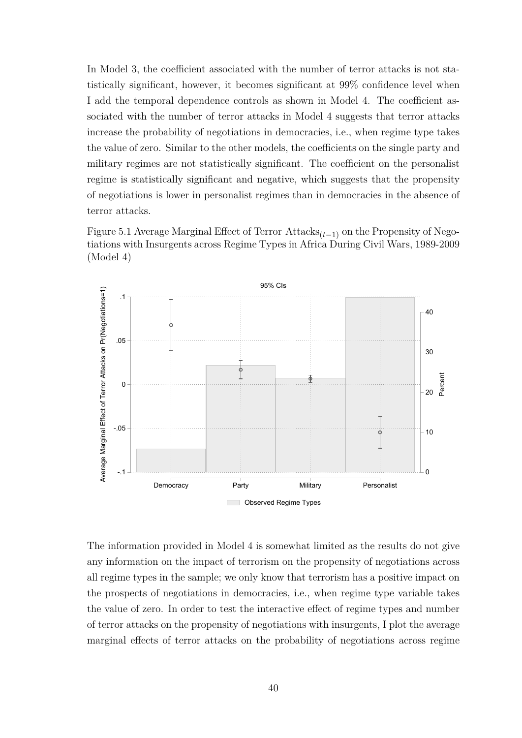In Model 3, the coefficient associated with the number of terror attacks is not statistically significant, however, it becomes significant at 99% confidence level when I add the temporal dependence controls as shown in Model 4. The coefficient associated with the number of terror attacks in Model 4 suggests that terror attacks increase the probability of negotiations in democracies, i.e., when regime type takes the value of zero. Similar to the other models, the coefficients on the single party and military regimes are not statistically significant. The coefficient on the personalist regime is statistically significant and negative, which suggests that the propensity of negotiations is lower in personalist regimes than in democracies in the absence of terror attacks.

Figure 5.1 Average Marginal Effect of Terror Attacks(*t*−1) on the Propensity of Negotiations with Insurgents across Regime Types in Africa During Civil Wars, 1989-2009 (Model 4)



The information provided in Model 4 is somewhat limited as the results do not give any information on the impact of terrorism on the propensity of negotiations across all regime types in the sample; we only know that terrorism has a positive impact on the prospects of negotiations in democracies, i.e., when regime type variable takes the value of zero. In order to test the interactive effect of regime types and number of terror attacks on the propensity of negotiations with insurgents, I plot the average marginal effects of terror attacks on the probability of negotiations across regime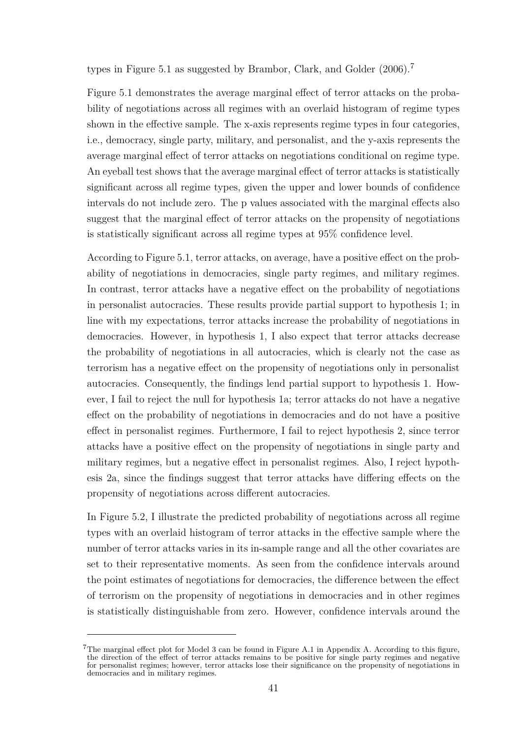types in Figure 5.1 as suggested by Brambor, Clark, and Golder [\(2006\)](#page-59-4).<sup>7</sup>

Figure 5.1 demonstrates the average marginal effect of terror attacks on the probability of negotiations across all regimes with an overlaid histogram of regime types shown in the effective sample. The x-axis represents regime types in four categories, i.e., democracy, single party, military, and personalist, and the y-axis represents the average marginal effect of terror attacks on negotiations conditional on regime type. An eyeball test shows that the average marginal effect of terror attacks is statistically significant across all regime types, given the upper and lower bounds of confidence intervals do not include zero. The p values associated with the marginal effects also suggest that the marginal effect of terror attacks on the propensity of negotiations is statistically significant across all regime types at 95% confidence level.

According to Figure 5.1, terror attacks, on average, have a positive effect on the probability of negotiations in democracies, single party regimes, and military regimes. In contrast, terror attacks have a negative effect on the probability of negotiations in personalist autocracies. These results provide partial support to hypothesis 1; in line with my expectations, terror attacks increase the probability of negotiations in democracies. However, in hypothesis 1, I also expect that terror attacks decrease the probability of negotiations in all autocracies, which is clearly not the case as terrorism has a negative effect on the propensity of negotiations only in personalist autocracies. Consequently, the findings lend partial support to hypothesis 1. However, I fail to reject the null for hypothesis 1a; terror attacks do not have a negative effect on the probability of negotiations in democracies and do not have a positive effect in personalist regimes. Furthermore, I fail to reject hypothesis 2, since terror attacks have a positive effect on the propensity of negotiations in single party and military regimes, but a negative effect in personalist regimes. Also, I reject hypothesis 2a, since the findings suggest that terror attacks have differing effects on the propensity of negotiations across different autocracies.

In Figure 5.2, I illustrate the predicted probability of negotiations across all regime types with an overlaid histogram of terror attacks in the effective sample where the number of terror attacks varies in its in-sample range and all the other covariates are set to their representative moments. As seen from the confidence intervals around the point estimates of negotiations for democracies, the difference between the effect of terrorism on the propensity of negotiations in democracies and in other regimes is statistically distinguishable from zero. However, confidence intervals around the

<sup>&</sup>lt;sup>7</sup>The marginal effect plot for Model 3 can be found in Figure A.1 in Appendix A. According to this figure, the direction of the effect of terror attacks remains to be positive for single party regimes and negative the direction of the effect of terror attacks remains to be positive for single party regimes and negative for personalist regimes; however, terror attacks lose their significance on the propensity of negotiations in democracies and in military regimes.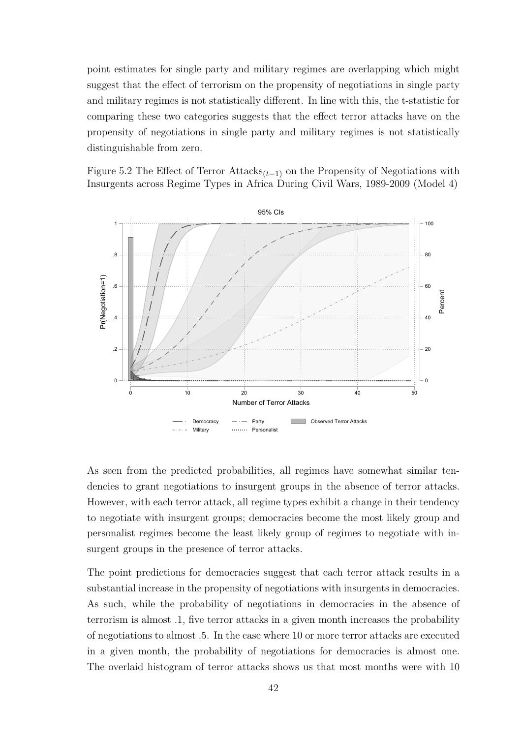point estimates for single party and military regimes are overlapping which might suggest that the effect of terrorism on the propensity of negotiations in single party and military regimes is not statistically different. In line with this, the t-statistic for comparing these two categories suggests that the effect terror attacks have on the propensity of negotiations in single party and military regimes is not statistically distinguishable from zero.

Figure 5.2 The Effect of Terror Attacks(*t*−1) on the Propensity of Negotiations with Insurgents across Regime Types in Africa During Civil Wars, 1989-2009 (Model 4)



As seen from the predicted probabilities, all regimes have somewhat similar tendencies to grant negotiations to insurgent groups in the absence of terror attacks. However, with each terror attack, all regime types exhibit a change in their tendency to negotiate with insurgent groups; democracies become the most likely group and personalist regimes become the least likely group of regimes to negotiate with insurgent groups in the presence of terror attacks.

The point predictions for democracies suggest that each terror attack results in a substantial increase in the propensity of negotiations with insurgents in democracies. As such, while the probability of negotiations in democracies in the absence of terrorism is almost .1, five terror attacks in a given month increases the probability of negotiations to almost .5. In the case where 10 or more terror attacks are executed in a given month, the probability of negotiations for democracies is almost one. The overlaid histogram of terror attacks shows us that most months were with 10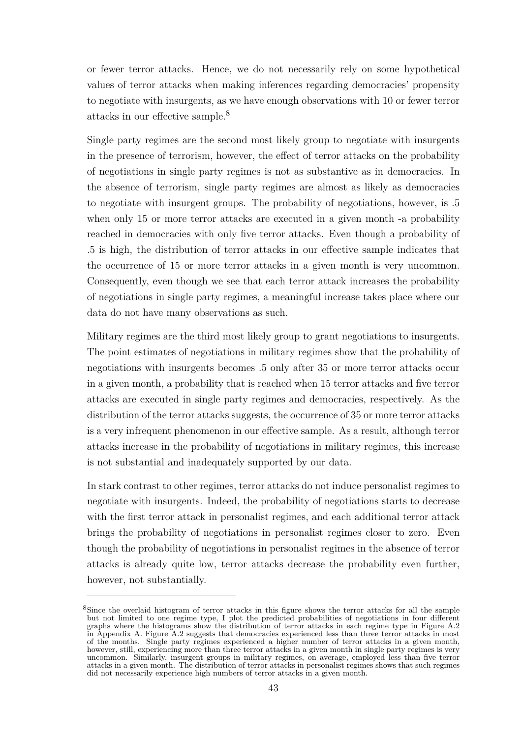or fewer terror attacks. Hence, we do not necessarily rely on some hypothetical values of terror attacks when making inferences regarding democracies' propensity to negotiate with insurgents, as we have enough observations with 10 or fewer terror attacks in our effective sample.<sup>8</sup>

Single party regimes are the second most likely group to negotiate with insurgents in the presence of terrorism, however, the effect of terror attacks on the probability of negotiations in single party regimes is not as substantive as in democracies. In the absence of terrorism, single party regimes are almost as likely as democracies to negotiate with insurgent groups. The probability of negotiations, however, is .5 when only 15 or more terror attacks are executed in a given month -a probability reached in democracies with only five terror attacks. Even though a probability of .5 is high, the distribution of terror attacks in our effective sample indicates that the occurrence of 15 or more terror attacks in a given month is very uncommon. Consequently, even though we see that each terror attack increases the probability of negotiations in single party regimes, a meaningful increase takes place where our data do not have many observations as such.

Military regimes are the third most likely group to grant negotiations to insurgents. The point estimates of negotiations in military regimes show that the probability of negotiations with insurgents becomes .5 only after 35 or more terror attacks occur in a given month, a probability that is reached when 15 terror attacks and five terror attacks are executed in single party regimes and democracies, respectively. As the distribution of the terror attacks suggests, the occurrence of 35 or more terror attacks is a very infrequent phenomenon in our effective sample. As a result, although terror attacks increase in the probability of negotiations in military regimes, this increase is not substantial and inadequately supported by our data.

In stark contrast to other regimes, terror attacks do not induce personalist regimes to negotiate with insurgents. Indeed, the probability of negotiations starts to decrease with the first terror attack in personalist regimes, and each additional terror attack brings the probability of negotiations in personalist regimes closer to zero. Even though the probability of negotiations in personalist regimes in the absence of terror attacks is already quite low, terror attacks decrease the probability even further, however, not substantially.

<sup>&</sup>lt;sup>8</sup>Since the overlaid histogram of terror attacks in this figure shows the terror attacks for all the sample but not limited to one regime type, I plot the predicted probabilities of negotiations in four different graphs where the histograms show the distribution of terror attacks in each regime type in Figure A.2 in Appendix A. Figure A.2 suggests that democracies experienced less than three terror attacks in most of the months. Single party regimes experienced a higher number of terror attacks in a given month, however, still, experiencing more than three terror attacks in a given month in single party regimes is very uncommon. Similarly, insurgent groups in military regimes, on average, employed less than five terror attacks in a given month. The distribution of terror attacks in personalist regimes shows that such regimes did not necessarily experience high numbers of terror attacks in a given month.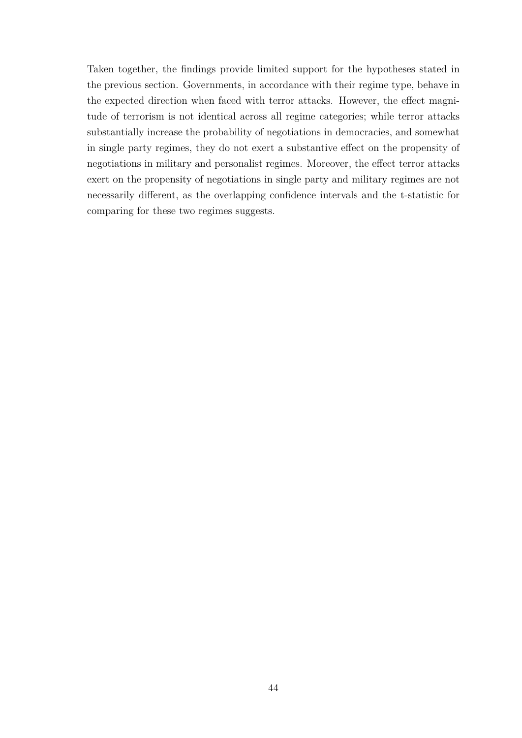Taken together, the findings provide limited support for the hypotheses stated in the previous section. Governments, in accordance with their regime type, behave in the expected direction when faced with terror attacks. However, the effect magnitude of terrorism is not identical across all regime categories; while terror attacks substantially increase the probability of negotiations in democracies, and somewhat in single party regimes, they do not exert a substantive effect on the propensity of negotiations in military and personalist regimes. Moreover, the effect terror attacks exert on the propensity of negotiations in single party and military regimes are not necessarily different, as the overlapping confidence intervals and the t-statistic for comparing for these two regimes suggests.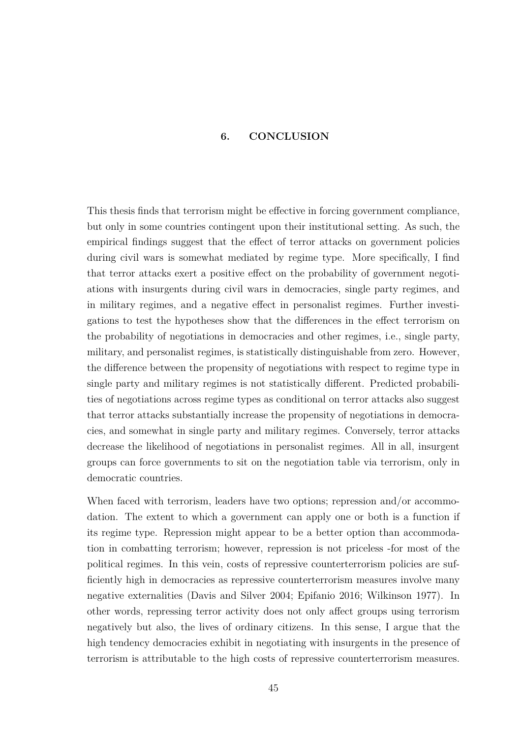## **6. CONCLUSION**

This thesis finds that terrorism might be effective in forcing government compliance, but only in some countries contingent upon their institutional setting. As such, the empirical findings suggest that the effect of terror attacks on government policies during civil wars is somewhat mediated by regime type. More specifically, I find that terror attacks exert a positive effect on the probability of government negotiations with insurgents during civil wars in democracies, single party regimes, and in military regimes, and a negative effect in personalist regimes. Further investigations to test the hypotheses show that the differences in the effect terrorism on the probability of negotiations in democracies and other regimes, i.e., single party, military, and personalist regimes, is statistically distinguishable from zero. However, the difference between the propensity of negotiations with respect to regime type in single party and military regimes is not statistically different. Predicted probabilities of negotiations across regime types as conditional on terror attacks also suggest that terror attacks substantially increase the propensity of negotiations in democracies, and somewhat in single party and military regimes. Conversely, terror attacks decrease the likelihood of negotiations in personalist regimes. All in all, insurgent groups can force governments to sit on the negotiation table via terrorism, only in democratic countries.

When faced with terrorism, leaders have two options; repression and/or accommodation. The extent to which a government can apply one or both is a function if its regime type. Repression might appear to be a better option than accommodation in combatting terrorism; however, repression is not priceless -for most of the political regimes. In this vein, costs of repressive counterterrorism policies are sufficiently high in democracies as repressive counterterrorism measures involve many negative externalities [\(Davis and Silver](#page-60-1) [2004;](#page-60-1) [Epifanio](#page-60-2) [2016;](#page-60-2) [Wilkinson](#page-66-4) [1977\)](#page-66-4). In other words, repressing terror activity does not only affect groups using terrorism negatively but also, the lives of ordinary citizens. In this sense, I argue that the high tendency democracies exhibit in negotiating with insurgents in the presence of terrorism is attributable to the high costs of repressive counterterrorism measures.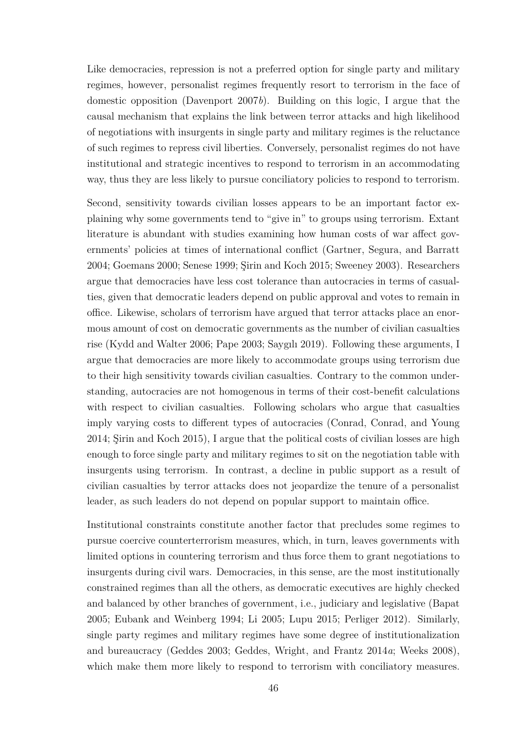Like democracies, repression is not a preferred option for single party and military regimes, however, personalist regimes frequently resort to terrorism in the face of domestic opposition [\(Davenport](#page-60-0) [2007](#page-60-0)*b*). Building on this logic, I argue that the causal mechanism that explains the link between terror attacks and high likelihood of negotiations with insurgents in single party and military regimes is the reluctance of such regimes to repress civil liberties. Conversely, personalist regimes do not have institutional and strategic incentives to respond to terrorism in an accommodating way, thus they are less likely to pursue conciliatory policies to respond to terrorism.

Second, sensitivity towards civilian losses appears to be an important factor explaining why some governments tend to "give in" to groups using terrorism. Extant literature is abundant with studies examining how human costs of war affect governments' policies at times of international conflict [\(Gartner, Segura, and Barratt](#page-61-4) [2004;](#page-61-4) [Goemans](#page-62-0) [2000;](#page-62-0) [Senese](#page-65-4) [1999;](#page-65-4) [Şirin and Koch](#page-65-0) [2015;](#page-65-0) [Sweeney](#page-65-5) [2003\)](#page-65-5). Researchers argue that democracies have less cost tolerance than autocracies in terms of casualties, given that democratic leaders depend on public approval and votes to remain in office. Likewise, scholars of terrorism have argued that terror attacks place an enormous amount of cost on democratic governments as the number of civilian casualties rise [\(Kydd and Walter](#page-63-1) [2006;](#page-63-1) [Pape](#page-64-1) [2003;](#page-64-1) [Saygılı](#page-65-6) [2019\)](#page-65-6). Following these arguments, I argue that democracies are more likely to accommodate groups using terrorism due to their high sensitivity towards civilian casualties. Contrary to the common understanding, autocracies are not homogenous in terms of their cost-benefit calculations with respect to civilian casualties. Following scholars who argue that casualties imply varying costs to different types of autocracies [\(Conrad, Conrad, and Young](#page-59-0) [2014;](#page-59-0) [Şirin and Koch](#page-65-0) [2015\)](#page-65-0), I argue that the political costs of civilian losses are high enough to force single party and military regimes to sit on the negotiation table with insurgents using terrorism. In contrast, a decline in public support as a result of civilian casualties by terror attacks does not jeopardize the tenure of a personalist leader, as such leaders do not depend on popular support to maintain office.

Institutional constraints constitute another factor that precludes some regimes to pursue coercive counterterrorism measures, which, in turn, leaves governments with limited options in countering terrorism and thus force them to grant negotiations to insurgents during civil wars. Democracies, in this sense, are the most institutionally constrained regimes than all the others, as democratic executives are highly checked and balanced by other branches of government, i.e., judiciary and legislative [\(Bapat](#page-58-0) [2005;](#page-58-0) [Eubank and Weinberg](#page-60-3) [1994;](#page-60-3) [Li](#page-63-2) [2005;](#page-63-2) [Lupu](#page-63-3) [2015;](#page-63-3) [Perliger](#page-64-2) [2012\)](#page-64-2). Similarly, single party regimes and military regimes have some degree of institutionalization and bureaucracy [\(Geddes](#page-61-0) [2003;](#page-61-0) [Geddes, Wright, and Frantz](#page-61-2) [2014](#page-61-2)*a*; [Weeks](#page-65-1) [2008\)](#page-65-1), which make them more likely to respond to terrorism with conciliatory measures.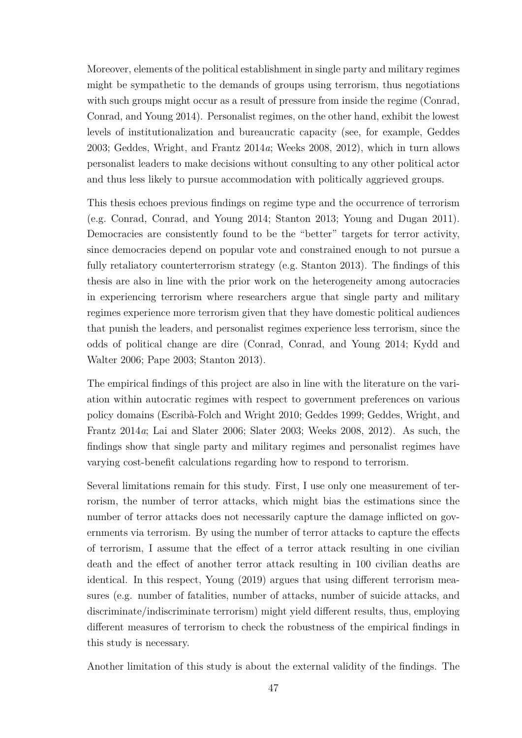Moreover, elements of the political establishment in single party and military regimes might be sympathetic to the demands of groups using terrorism, thus negotiations with such groups might occur as a result of pressure from inside the regime [\(Conrad,](#page-59-0) [Conrad, and Young](#page-59-0) [2014\)](#page-59-0). Personalist regimes, on the other hand, exhibit the lowest levels of institutionalization and bureaucratic capacity (see, for example, [Geddes](#page-61-0) [2003;](#page-61-0) [Geddes, Wright, and Frantz](#page-61-2) [2014](#page-61-2)*a*; [Weeks](#page-65-1) [2008,](#page-65-1) [2012\)](#page-66-1), which in turn allows personalist leaders to make decisions without consulting to any other political actor and thus less likely to pursue accommodation with politically aggrieved groups.

This thesis echoes previous findings on regime type and the occurrence of terrorism (e.g. [Conrad, Conrad, and Young](#page-59-0) [2014;](#page-59-0) [Stanton](#page-65-7) [2013;](#page-65-7) [Young and Dugan](#page-66-5) [2011\)](#page-66-5). Democracies are consistently found to be the "better" targets for terror activity, since democracies depend on popular vote and constrained enough to not pursue a fully retaliatory counterterrorism strategy (e.g. [Stanton](#page-65-7) [2013\)](#page-65-7). The findings of this thesis are also in line with the prior work on the heterogeneity among autocracies in experiencing terrorism where researchers argue that single party and military regimes experience more terrorism given that they have domestic political audiences that punish the leaders, and personalist regimes experience less terrorism, since the odds of political change are dire [\(Conrad, Conrad, and Young](#page-59-0) [2014;](#page-59-0) [Kydd and](#page-63-1) [Walter](#page-63-1) [2006;](#page-63-1) [Pape](#page-64-1) [2003;](#page-64-1) [Stanton](#page-65-7) [2013\)](#page-65-7).

The empirical findings of this project are also in line with the literature on the variation within autocratic regimes with respect to government preferences on various policy domains [\(Escribà-Folch and Wright](#page-60-4) [2010;](#page-60-4) [Geddes](#page-61-5) [1999;](#page-61-5) [Geddes, Wright, and](#page-61-2) [Frantz](#page-61-2) [2014](#page-61-2)*a*; [Lai and Slater](#page-63-4) [2006;](#page-63-4) [Slater](#page-65-8) [2003;](#page-65-8) [Weeks](#page-65-1) [2008,](#page-65-1) [2012\)](#page-66-1). As such, the findings show that single party and military regimes and personalist regimes have varying cost-benefit calculations regarding how to respond to terrorism.

Several limitations remain for this study. First, I use only one measurement of terrorism, the number of terror attacks, which might bias the estimations since the number of terror attacks does not necessarily capture the damage inflicted on governments via terrorism. By using the number of terror attacks to capture the effects of terrorism, I assume that the effect of a terror attack resulting in one civilian death and the effect of another terror attack resulting in 100 civilian deaths are identical. In this respect, Young [\(2019\)](#page-66-6) argues that using different terrorism measures (e.g. number of fatalities, number of attacks, number of suicide attacks, and discriminate/indiscriminate terrorism) might yield different results, thus, employing different measures of terrorism to check the robustness of the empirical findings in this study is necessary.

Another limitation of this study is about the external validity of the findings. The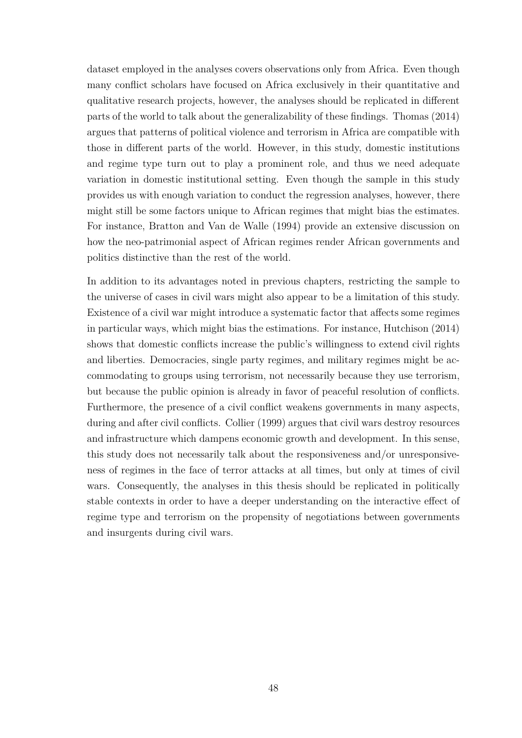dataset employed in the analyses covers observations only from Africa. Even though many conflict scholars have focused on Africa exclusively in their quantitative and qualitative research projects, however, the analyses should be replicated in different parts of the world to talk about the generalizability of these findings. Thomas [\(2014\)](#page-65-2) argues that patterns of political violence and terrorism in Africa are compatible with those in different parts of the world. However, in this study, domestic institutions and regime type turn out to play a prominent role, and thus we need adequate variation in domestic institutional setting. Even though the sample in this study provides us with enough variation to conduct the regression analyses, however, there might still be some factors unique to African regimes that might bias the estimates. For instance, Bratton and Van de Walle [\(1994\)](#page-59-5) provide an extensive discussion on how the neo-patrimonial aspect of African regimes render African governments and politics distinctive than the rest of the world.

In addition to its advantages noted in previous chapters, restricting the sample to the universe of cases in civil wars might also appear to be a limitation of this study. Existence of a civil war might introduce a systematic factor that affects some regimes in particular ways, which might bias the estimations. For instance, Hutchison [\(2014\)](#page-62-1) shows that domestic conflicts increase the public's willingness to extend civil rights and liberties. Democracies, single party regimes, and military regimes might be accommodating to groups using terrorism, not necessarily because they use terrorism, but because the public opinion is already in favor of peaceful resolution of conflicts. Furthermore, the presence of a civil conflict weakens governments in many aspects, during and after civil conflicts. Collier [\(1999\)](#page-59-6) argues that civil wars destroy resources and infrastructure which dampens economic growth and development. In this sense, this study does not necessarily talk about the responsiveness and/or unresponsiveness of regimes in the face of terror attacks at all times, but only at times of civil wars. Consequently, the analyses in this thesis should be replicated in politically stable contexts in order to have a deeper understanding on the interactive effect of regime type and terrorism on the propensity of negotiations between governments and insurgents during civil wars.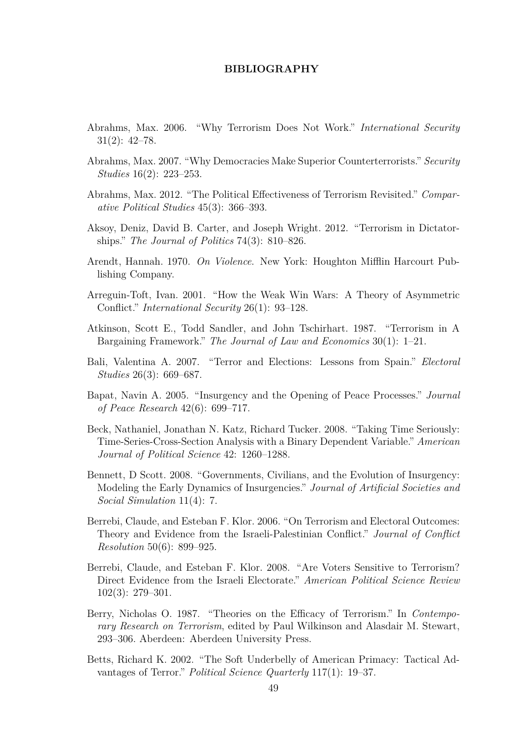#### **BIBLIOGRAPHY**

- Abrahms, Max. 2006. "Why Terrorism Does Not Work." *International Security* 31(2): 42–78.
- Abrahms, Max. 2007. "Why Democracies Make Superior Counterterrorists." *Security Studies* 16(2): 223–253.
- Abrahms, Max. 2012. "The Political Effectiveness of Terrorism Revisited." *Comparative Political Studies* 45(3): 366–393.
- Aksoy, Deniz, David B. Carter, and Joseph Wright. 2012. "Terrorism in Dictatorships." *The Journal of Politics* 74(3): 810–826.
- Arendt, Hannah. 1970. *On Violence*. New York: Houghton Mifflin Harcourt Publishing Company.
- Arreguin-Toft, Ivan. 2001. "How the Weak Win Wars: A Theory of Asymmetric Conflict." *International Security* 26(1): 93–128.
- Atkinson, Scott E., Todd Sandler, and John Tschirhart. 1987. "Terrorism in A Bargaining Framework." *The Journal of Law and Economics* 30(1): 1–21.
- Bali, Valentina A. 2007. "Terror and Elections: Lessons from Spain." *Electoral Studies* 26(3): 669–687.
- <span id="page-58-0"></span>Bapat, Navin A. 2005. "Insurgency and the Opening of Peace Processes." *Journal of Peace Research* 42(6): 699–717.
- <span id="page-58-1"></span>Beck, Nathaniel, Jonathan N. Katz, Richard Tucker. 2008. "Taking Time Seriously: Time-Series-Cross-Section Analysis with a Binary Dependent Variable." *American Journal of Political Science* 42: 1260–1288.
- Bennett, D Scott. 2008. "Governments, Civilians, and the Evolution of Insurgency: Modeling the Early Dynamics of Insurgencies." *Journal of Artificial Societies and Social Simulation* 11(4): 7.
- Berrebi, Claude, and Esteban F. Klor. 2006. "On Terrorism and Electoral Outcomes: Theory and Evidence from the Israeli-Palestinian Conflict." *Journal of Conflict Resolution* 50(6): 899–925.
- Berrebi, Claude, and Esteban F. Klor. 2008. "Are Voters Sensitive to Terrorism? Direct Evidence from the Israeli Electorate." *American Political Science Review* 102(3): 279–301.
- Berry, Nicholas O. 1987. "Theories on the Efficacy of Terrorism." In *Contemporary Research on Terrorism*, edited by Paul Wilkinson and Alasdair M. Stewart, 293–306. Aberdeen: Aberdeen University Press.
- Betts, Richard K. 2002. "The Soft Underbelly of American Primacy: Tactical Advantages of Terror." *Political Science Quarterly* 117(1): 19–37.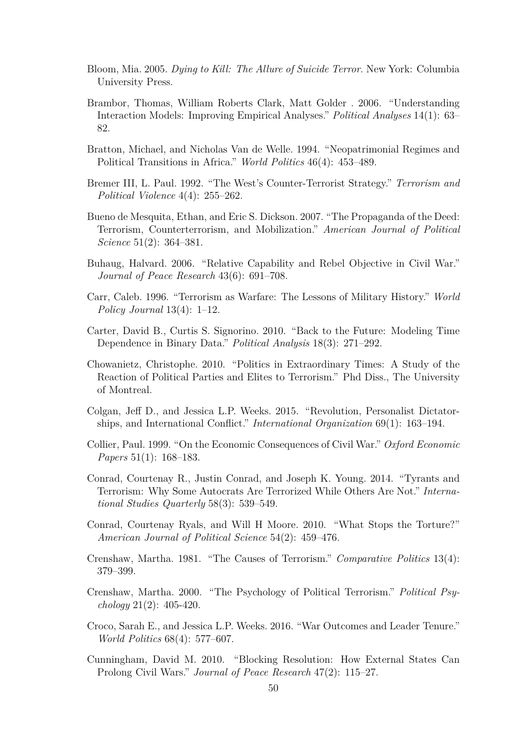- Bloom, Mia. 2005. *Dying to Kill: The Allure of Suicide Terror*. New York: Columbia University Press.
- <span id="page-59-4"></span>Brambor, Thomas, William Roberts Clark, Matt Golder . 2006. "Understanding Interaction Models: Improving Empirical Analyses." *Political Analyses* 14(1): 63– 82.
- <span id="page-59-5"></span>Bratton, Michael, and Nicholas Van de Welle. 1994. "Neopatrimonial Regimes and Political Transitions in Africa." *World Politics* 46(4): 453–489.
- Bremer III, L. Paul. 1992. "The West's Counter-Terrorist Strategy." *Terrorism and Political Violence* 4(4): 255–262.
- Bueno de Mesquita, Ethan, and Eric S. Dickson. 2007. "The Propaganda of the Deed: Terrorism, Counterterrorism, and Mobilization." *American Journal of Political Science* 51(2): 364–381.
- Buhaug, Halvard. 2006. "Relative Capability and Rebel Objective in Civil War." *Journal of Peace Research* 43(6): 691–708.
- Carr, Caleb. 1996. "Terrorism as Warfare: The Lessons of Military History." *World Policy Journal* 13(4): 1–12.
- <span id="page-59-3"></span>Carter, David B., Curtis S. Signorino. 2010. "Back to the Future: Modeling Time Dependence in Binary Data." *Political Analysis* 18(3): 271–292.
- Chowanietz, Christophe. 2010. "Politics in Extraordinary Times: A Study of the Reaction of Political Parties and Elites to Terrorism." Phd Diss., The University of Montreal.
- Colgan, Jeff D., and Jessica L.P. Weeks. 2015. "Revolution, Personalist Dictatorships, and International Conflict." *International Organization* 69(1): 163–194.
- <span id="page-59-6"></span>Collier, Paul. 1999. "On the Economic Consequences of Civil War." *Oxford Economic Papers* 51(1): 168–183.
- <span id="page-59-0"></span>Conrad, Courtenay R., Justin Conrad, and Joseph K. Young. 2014. "Tyrants and Terrorism: Why Some Autocrats Are Terrorized While Others Are Not." *International Studies Quarterly* 58(3): 539–549.
- Conrad, Courtenay Ryals, and Will H Moore. 2010. "What Stops the Torture?" *American Journal of Political Science* 54(2): 459–476.
- <span id="page-59-1"></span>Crenshaw, Martha. 1981. "The Causes of Terrorism." *Comparative Politics* 13(4): 379–399.
- Crenshaw, Martha. 2000. "The Psychology of Political Terrorism." *Political Psychology* 21(2): 405-420.
- Croco, Sarah E., and Jessica L.P. Weeks. 2016. "War Outcomes and Leader Tenure." *World Politics* 68(4): 577–607.
- <span id="page-59-2"></span>Cunningham, David M. 2010. "Blocking Resolution: How External States Can Prolong Civil Wars." *Journal of Peace Research* 47(2): 115–27.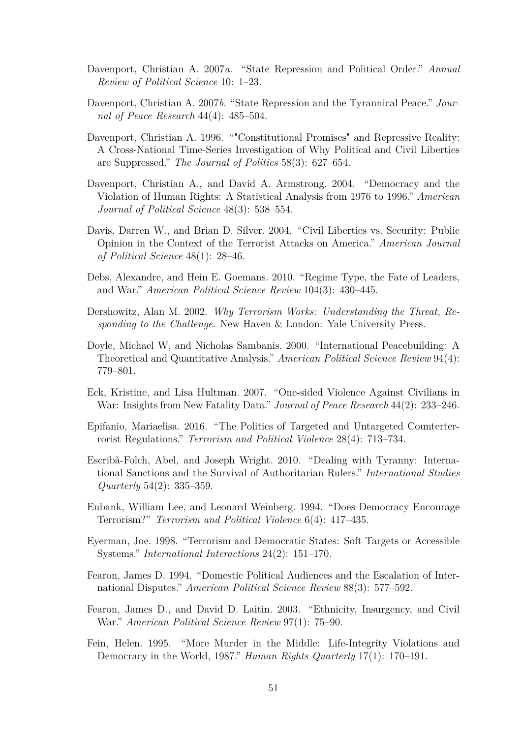- Davenport, Christian A. 2007*a*. "State Repression and Political Order." *Annual Review of Political Science* 10: 1–23.
- <span id="page-60-0"></span>Davenport, Christian A. 2007*b*. "State Repression and the Tyrannical Peace." *Journal of Peace Research* 44(4): 485–504.
- Davenport, Christian A. 1996. ""Constitutional Promises" and Repressive Reality: A Cross-National Time-Series Investigation of Why Political and Civil Liberties are Suppressed." *The Journal of Politics* 58(3): 627–654.
- Davenport, Christian A., and David A. Armstrong. 2004. "Democracy and the Violation of Human Rights: A Statistical Analysis from 1976 to 1996." *American Journal of Political Science* 48(3): 538–554.
- <span id="page-60-1"></span>Davis, Darren W., and Brian D. Silver. 2004. "Civil Liberties vs. Security: Public Opinion in the Context of the Terrorist Attacks on America." *American Journal of Political Science* 48(1): 28–46.
- Debs, Alexandre, and Hein E. Goemans. 2010. "Regime Type, the Fate of Leaders, and War." *American Political Science Review* 104(3): 430–445.
- Dershowitz, Alan M. 2002. *Why Terrorism Works: Understanding the Threat, Responding to the Challenge*. New Haven & London: Yale University Press.
- Doyle, Michael W, and Nicholas Sambanis. 2000. "International Peacebuilding: A Theoretical and Quantitative Analysis." *American Political Science Review* 94(4): 779–801.
- Eck, Kristine, and Lisa Hultman. 2007. "One-sided Violence Against Civilians in War: Insights from New Fatality Data." *Journal of Peace Research* 44(2): 233–246.
- <span id="page-60-2"></span>Epifanio, Mariaelisa. 2016. "The Politics of Targeted and Untargeted Counterterrorist Regulations." *Terrorism and Political Violence* 28(4): 713–734.
- <span id="page-60-4"></span>Escribà-Folch, Abel, and Joseph Wright. 2010. "Dealing with Tyranny: International Sanctions and the Survival of Authoritarian Rulers." *International Studies Quarterly* 54(2): 335–359.
- <span id="page-60-3"></span>Eubank, William Lee, and Leonard Weinberg. 1994. "Does Democracy Encourage Terrorism?" *Terrorism and Political Violence* 6(4): 417–435.
- Eyerman, Joe. 1998. "Terrorism and Democratic States: Soft Targets or Accessible Systems." *International Interactions* 24(2): 151–170.
- Fearon, James D. 1994. "Domestic Political Audiences and the Escalation of International Disputes." *American Political Science Review* 88(3): 577–592.
- Fearon, James D., and David D. Laitin. 2003. "Ethnicity, Insurgency, and Civil War." *American Political Science Review* 97(1): 75–90.
- Fein, Helen. 1995. "More Murder in the Middle: Life-Integrity Violations and Democracy in the World, 1987." *Human Rights Quarterly* 17(1): 170–191.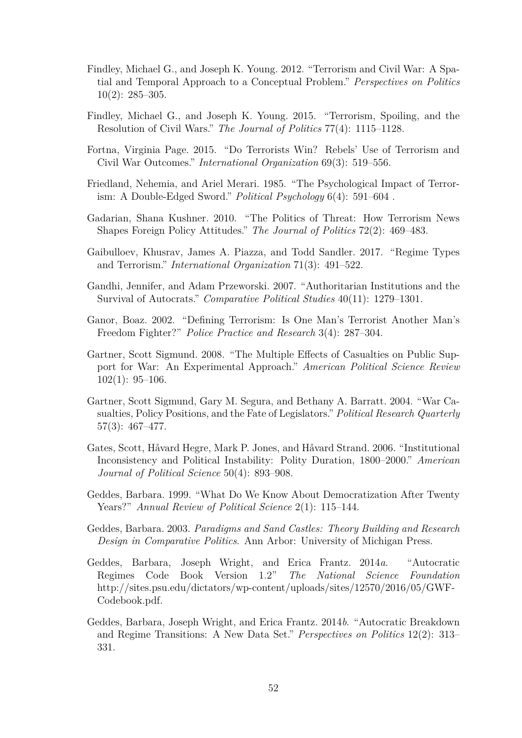- Findley, Michael G., and Joseph K. Young. 2012. "Terrorism and Civil War: A Spatial and Temporal Approach to a Conceptual Problem." *Perspectives on Politics*  $10(2): 285 - 305.$
- Findley, Michael G., and Joseph K. Young. 2015. "Terrorism, Spoiling, and the Resolution of Civil Wars." *The Journal of Politics* 77(4): 1115–1128.
- <span id="page-61-1"></span>Fortna, Virginia Page. 2015. "Do Terrorists Win? Rebels' Use of Terrorism and Civil War Outcomes." *International Organization* 69(3): 519–556.
- Friedland, Nehemia, and Ariel Merari. 1985. "The Psychological Impact of Terrorism: A Double-Edged Sword." *Political Psychology* 6(4): 591–604 .
- Gadarian, Shana Kushner. 2010. "The Politics of Threat: How Terrorism News Shapes Foreign Policy Attitudes." *The Journal of Politics* 72(2): 469–483.
- Gaibulloev, Khusrav, James A. Piazza, and Todd Sandler. 2017. "Regime Types and Terrorism." *International Organization* 71(3): 491–522.
- Gandhi, Jennifer, and Adam Przeworski. 2007. "Authoritarian Institutions and the Survival of Autocrats." *Comparative Political Studies* 40(11): 1279–1301.
- Ganor, Boaz. 2002. "Defining Terrorism: Is One Man's Terrorist Another Man's Freedom Fighter?" *Police Practice and Research* 3(4): 287–304.
- Gartner, Scott Sigmund. 2008. "The Multiple Effects of Casualties on Public Support for War: An Experimental Approach." *American Political Science Review* 102(1): 95–106.
- <span id="page-61-4"></span>Gartner, Scott Sigmund, Gary M. Segura, and Bethany A. Barratt. 2004. "War Casualties, Policy Positions, and the Fate of Legislators." *Political Research Quarterly* 57(3): 467–477.
- Gates, Scott, Håvard Hegre, Mark P. Jones, and Håvard Strand. 2006. "Institutional Inconsistency and Political Instability: Polity Duration, 1800–2000." *American Journal of Political Science* 50(4): 893–908.
- <span id="page-61-5"></span>Geddes, Barbara. 1999. "What Do We Know About Democratization After Twenty Years?" *Annual Review of Political Science* 2(1): 115–144.
- <span id="page-61-0"></span>Geddes, Barbara. 2003. *Paradigms and Sand Castles: Theory Building and Research Design in Comparative Politics*. Ann Arbor: University of Michigan Press.
- <span id="page-61-2"></span>Geddes, Barbara, Joseph Wright, and Erica Frantz. 2014*a*. "Autocratic Regimes Code Book Version 1.2" *The National Science Foundation* http://sites.psu.edu/dictators/wp-content/uploads/sites/12570/2016/05/GWF-Codebook.pdf.
- <span id="page-61-3"></span>Geddes, Barbara, Joseph Wright, and Erica Frantz. 2014*b*. "Autocratic Breakdown and Regime Transitions: A New Data Set." *Perspectives on Politics* 12(2): 313– 331.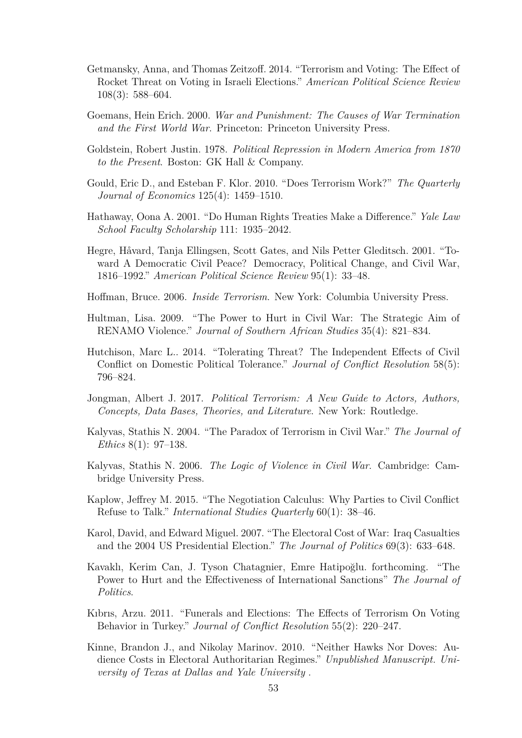- Getmansky, Anna, and Thomas Zeitzoff. 2014. "Terrorism and Voting: The Effect of Rocket Threat on Voting in Israeli Elections." *American Political Science Review* 108(3): 588–604.
- <span id="page-62-0"></span>Goemans, Hein Erich. 2000. *War and Punishment: The Causes of War Termination and the First World War*. Princeton: Princeton University Press.
- Goldstein, Robert Justin. 1978. *Political Repression in Modern America from 1870 to the Present*. Boston: GK Hall & Company.
- Gould, Eric D., and Esteban F. Klor. 2010. "Does Terrorism Work?" *The Quarterly Journal of Economics* 125(4): 1459–1510.
- Hathaway, Oona A. 2001. "Do Human Rights Treaties Make a Difference." *Yale Law School Faculty Scholarship* 111: 1935–2042.
- Hegre, Håvard, Tanja Ellingsen, Scott Gates, and Nils Petter Gleditsch. 2001. "Toward A Democratic Civil Peace? Democracy, Political Change, and Civil War, 1816–1992." *American Political Science Review* 95(1): 33–48.
- Hoffman, Bruce. 2006. *Inside Terrorism*. New York: Columbia University Press.
- Hultman, Lisa. 2009. "The Power to Hurt in Civil War: The Strategic Aim of RENAMO Violence." *Journal of Southern African Studies* 35(4): 821–834.
- <span id="page-62-1"></span>Hutchison, Marc L.. 2014. "Tolerating Threat? The Independent Effects of Civil Conflict on Domestic Political Tolerance." *Journal of Conflict Resolution* 58(5): 796–824.
- Jongman, Albert J. 2017. *Political Terrorism: A New Guide to Actors, Authors, Concepts, Data Bases, Theories, and Literature*. New York: Routledge.
- Kalyvas, Stathis N. 2004. "The Paradox of Terrorism in Civil War." *The Journal of Ethics* 8(1): 97–138.
- Kalyvas, Stathis N. 2006. *The Logic of Violence in Civil War*. Cambridge: Cambridge University Press.
- Kaplow, Jeffrey M. 2015. "The Negotiation Calculus: Why Parties to Civil Conflict Refuse to Talk." *International Studies Quarterly* 60(1): 38–46.
- Karol, David, and Edward Miguel. 2007. "The Electoral Cost of War: Iraq Casualties and the 2004 US Presidential Election." *The Journal of Politics* 69(3): 633–648.
- Kavaklı, Kerim Can, J. Tyson Chatagnier, Emre Hatipoğlu. forthcoming. "The Power to Hurt and the Effectiveness of International Sanctions" *The Journal of Politics*.
- Kıbrıs, Arzu. 2011. "Funerals and Elections: The Effects of Terrorism On Voting Behavior in Turkey." *Journal of Conflict Resolution* 55(2): 220–247.
- Kinne, Brandon J., and Nikolay Marinov. 2010. "Neither Hawks Nor Doves: Audience Costs in Electoral Authoritarian Regimes." *Unpublished Manuscript. University of Texas at Dallas and Yale University* .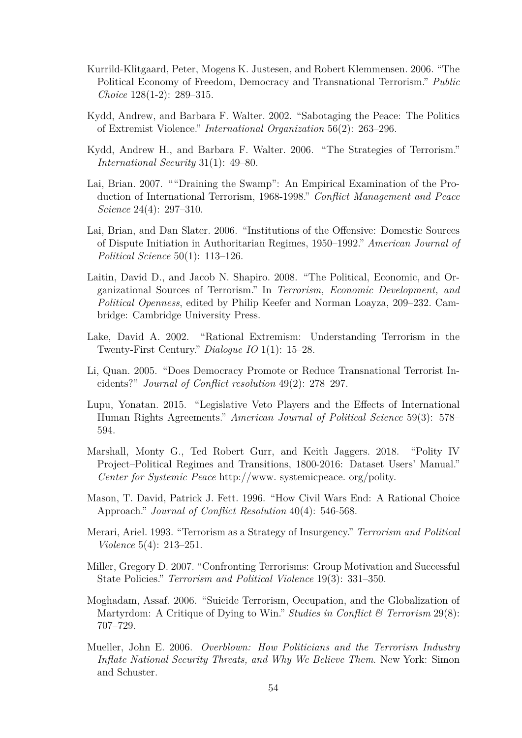- Kurrild-Klitgaard, Peter, Mogens K. Justesen, and Robert Klemmensen. 2006. "The Political Economy of Freedom, Democracy and Transnational Terrorism." *Public Choice* 128(1-2): 289–315.
- Kydd, Andrew, and Barbara F. Walter. 2002. "Sabotaging the Peace: The Politics of Extremist Violence." *International Organization* 56(2): 263–296.
- <span id="page-63-1"></span>Kydd, Andrew H., and Barbara F. Walter. 2006. "The Strategies of Terrorism." *International Security* 31(1): 49–80.
- Lai, Brian. 2007. ""Draining the Swamp": An Empirical Examination of the Production of International Terrorism, 1968-1998." *Conflict Management and Peace Science* 24(4): 297–310.
- <span id="page-63-4"></span>Lai, Brian, and Dan Slater. 2006. "Institutions of the Offensive: Domestic Sources of Dispute Initiation in Authoritarian Regimes, 1950–1992." *American Journal of Political Science* 50(1): 113–126.
- Laitin, David D., and Jacob N. Shapiro. 2008. "The Political, Economic, and Organizational Sources of Terrorism." In *Terrorism, Economic Development, and Political Openness*, edited by Philip Keefer and Norman Loayza, 209–232. Cambridge: Cambridge University Press.
- Lake, David A. 2002. "Rational Extremism: Understanding Terrorism in the Twenty-First Century." *Dialogue IO* 1(1): 15–28.
- <span id="page-63-2"></span>Li, Quan. 2005. "Does Democracy Promote or Reduce Transnational Terrorist Incidents?" *Journal of Conflict resolution* 49(2): 278–297.
- <span id="page-63-3"></span>Lupu, Yonatan. 2015. "Legislative Veto Players and the Effects of International Human Rights Agreements." *American Journal of Political Science* 59(3): 578– 594.
- Marshall, Monty G., Ted Robert Gurr, and Keith Jaggers. 2018. "Polity IV Project–Political Regimes and Transitions, 1800-2016: Dataset Users' Manual." *Center for Systemic Peace* http://www. systemicpeace. org/polity.
- <span id="page-63-0"></span>Mason, T. David, Patrick J. Fett. 1996. "How Civil Wars End: A Rational Choice Approach." *Journal of Conflict Resolution* 40(4): 546-568.
- Merari, Ariel. 1993. "Terrorism as a Strategy of Insurgency." *Terrorism and Political Violence* 5(4): 213–251.
- Miller, Gregory D. 2007. "Confronting Terrorisms: Group Motivation and Successful State Policies." *Terrorism and Political Violence* 19(3): 331–350.
- Moghadam, Assaf. 2006. "Suicide Terrorism, Occupation, and the Globalization of Martyrdom: A Critique of Dying to Win." *Studies in Conflict & Terrorism* 29(8): 707–729.
- Mueller, John E. 2006. *Overblown: How Politicians and the Terrorism Industry Inflate National Security Threats, and Why We Believe Them*. New York: Simon and Schuster.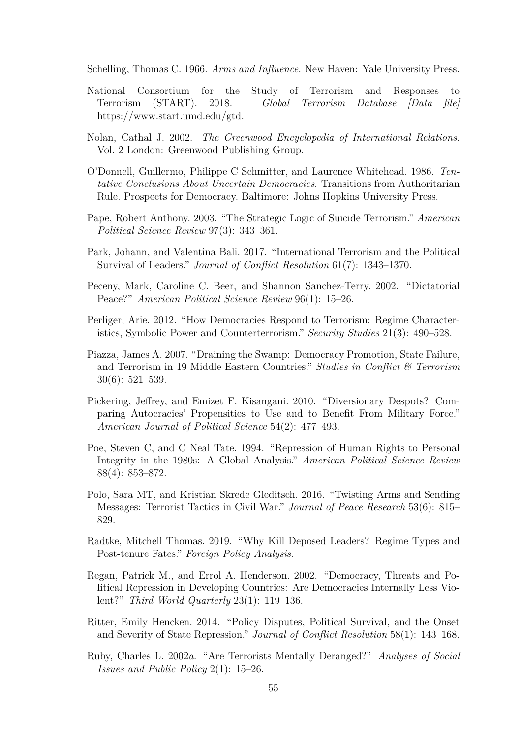Schelling, Thomas C. 1966. *Arms and Influence*. New Haven: Yale University Press.

- <span id="page-64-0"></span>National Consortium for the Study of Terrorism and Responses to Terrorism (START). 2018. *Global Terrorism Database [Data file]* https://www.start.umd.edu/gtd.
- Nolan, Cathal J. 2002. *The Greenwood Encyclopedia of International Relations*. Vol. 2 London: Greenwood Publishing Group.
- O'Donnell, Guillermo, Philippe C Schmitter, and Laurence Whitehead. 1986. *Tentative Conclusions About Uncertain Democracies*. Transitions from Authoritarian Rule. Prospects for Democracy. Baltimore: Johns Hopkins University Press.
- <span id="page-64-1"></span>Pape, Robert Anthony. 2003. "The Strategic Logic of Suicide Terrorism." *American Political Science Review* 97(3): 343–361.
- Park, Johann, and Valentina Bali. 2017. "International Terrorism and the Political Survival of Leaders." *Journal of Conflict Resolution* 61(7): 1343–1370.
- Peceny, Mark, Caroline C. Beer, and Shannon Sanchez-Terry. 2002. "Dictatorial Peace?" *American Political Science Review* 96(1): 15–26.
- <span id="page-64-2"></span>Perliger, Arie. 2012. "How Democracies Respond to Terrorism: Regime Characteristics, Symbolic Power and Counterterrorism." *Security Studies* 21(3): 490–528.
- Piazza, James A. 2007. "Draining the Swamp: Democracy Promotion, State Failure, and Terrorism in 19 Middle Eastern Countries." *Studies in Conflict & Terrorism* 30(6): 521–539.
- Pickering, Jeffrey, and Emizet F. Kisangani. 2010. "Diversionary Despots? Comparing Autocracies' Propensities to Use and to Benefit From Military Force." *American Journal of Political Science* 54(2): 477–493.
- Poe, Steven C, and C Neal Tate. 1994. "Repression of Human Rights to Personal Integrity in the 1980s: A Global Analysis." *American Political Science Review* 88(4): 853–872.
- Polo, Sara MT, and Kristian Skrede Gleditsch. 2016. "Twisting Arms and Sending Messages: Terrorist Tactics in Civil War." *Journal of Peace Research* 53(6): 815– 829.
- Radtke, Mitchell Thomas. 2019. "Why Kill Deposed Leaders? Regime Types and Post-tenure Fates." *Foreign Policy Analysis*.
- Regan, Patrick M., and Errol A. Henderson. 2002. "Democracy, Threats and Political Repression in Developing Countries: Are Democracies Internally Less Violent?" *Third World Quarterly* 23(1): 119–136.
- Ritter, Emily Hencken. 2014. "Policy Disputes, Political Survival, and the Onset and Severity of State Repression." *Journal of Conflict Resolution* 58(1): 143–168.
- Ruby, Charles L. 2002*a*. "Are Terrorists Mentally Deranged?" *Analyses of Social Issues and Public Policy* 2(1): 15–26.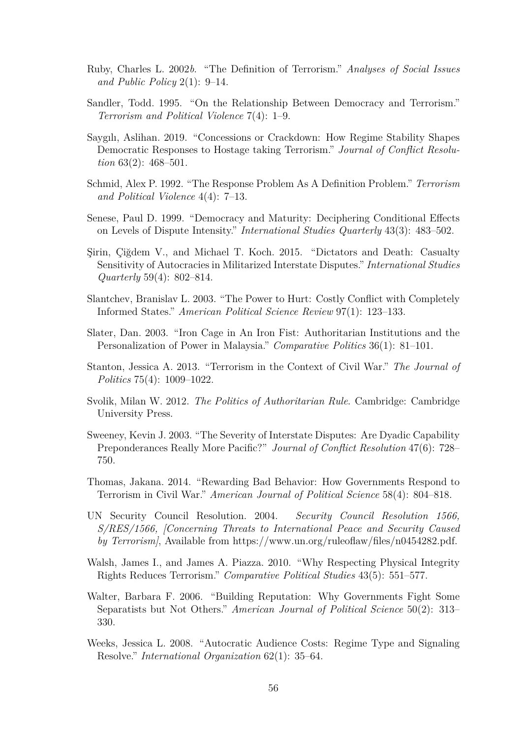- Ruby, Charles L. 2002*b*. "The Definition of Terrorism." *Analyses of Social Issues and Public Policy* 2(1): 9–14.
- Sandler, Todd. 1995. "On the Relationship Between Democracy and Terrorism." *Terrorism and Political Violence* 7(4): 1–9.
- <span id="page-65-6"></span>Saygılı, Aslihan. 2019. "Concessions or Crackdown: How Regime Stability Shapes Democratic Responses to Hostage taking Terrorism." *Journal of Conflict Resolution* 63(2): 468–501.
- Schmid, Alex P. 1992. "The Response Problem As A Definition Problem." *Terrorism and Political Violence* 4(4): 7–13.
- <span id="page-65-4"></span>Senese, Paul D. 1999. "Democracy and Maturity: Deciphering Conditional Effects on Levels of Dispute Intensity." *International Studies Quarterly* 43(3): 483–502.
- <span id="page-65-0"></span>Şirin, Çiğdem V., and Michael T. Koch. 2015. "Dictators and Death: Casualty Sensitivity of Autocracies in Militarized Interstate Disputes." *International Studies Quarterly* 59(4): 802–814.
- Slantchev, Branislav L. 2003. "The Power to Hurt: Costly Conflict with Completely Informed States." *American Political Science Review* 97(1): 123–133.
- <span id="page-65-8"></span>Slater, Dan. 2003. "Iron Cage in An Iron Fist: Authoritarian Institutions and the Personalization of Power in Malaysia." *Comparative Politics* 36(1): 81–101.
- <span id="page-65-7"></span>Stanton, Jessica A. 2013. "Terrorism in the Context of Civil War." *The Journal of Politics* 75(4): 1009–1022.
- Svolik, Milan W. 2012. *The Politics of Authoritarian Rule*. Cambridge: Cambridge University Press.
- <span id="page-65-5"></span>Sweeney, Kevin J. 2003. "The Severity of Interstate Disputes: Are Dyadic Capability Preponderances Really More Pacific?" *Journal of Conflict Resolution* 47(6): 728– 750.
- <span id="page-65-2"></span>Thomas, Jakana. 2014. "Rewarding Bad Behavior: How Governments Respond to Terrorism in Civil War." *American Journal of Political Science* 58(4): 804–818.
- UN Security Council Resolution. 2004. *Security Council Resolution 1566, S/RES/1566, [Concerning Threats to International Peace and Security Caused by Terrorism]*, Available from https://www.un.org/ruleoflaw/files/n0454282.pdf.
- Walsh, James I., and James A. Piazza. 2010. "Why Respecting Physical Integrity Rights Reduces Terrorism." *Comparative Political Studies* 43(5): 551–577.
- <span id="page-65-3"></span>Walter, Barbara F. 2006. "Building Reputation: Why Governments Fight Some Separatists but Not Others." *American Journal of Political Science* 50(2): 313– 330.
- <span id="page-65-1"></span>Weeks, Jessica L. 2008. "Autocratic Audience Costs: Regime Type and Signaling Resolve." *International Organization* 62(1): 35–64.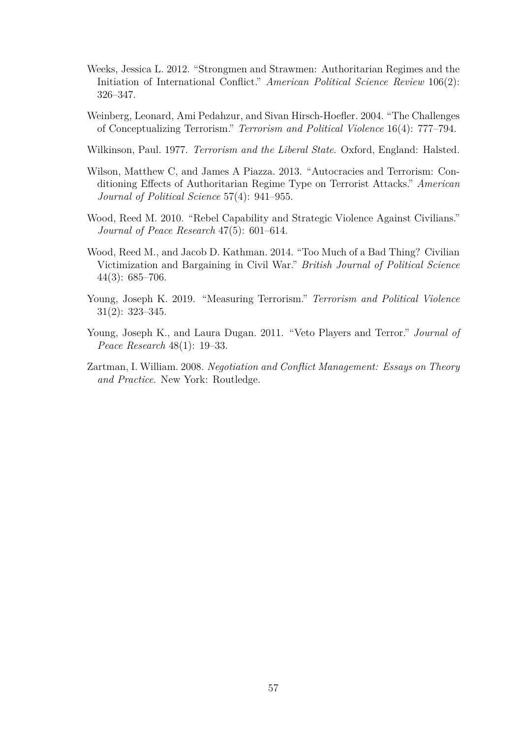- <span id="page-66-1"></span>Weeks, Jessica L. 2012. "Strongmen and Strawmen: Authoritarian Regimes and the Initiation of International Conflict." *American Political Science Review* 106(2): 326–347.
- Weinberg, Leonard, Ami Pedahzur, and Sivan Hirsch-Hoefler. 2004. "The Challenges of Conceptualizing Terrorism." *Terrorism and Political Violence* 16(4): 777–794.
- <span id="page-66-4"></span>Wilkinson, Paul. 1977. *Terrorism and the Liberal State*. Oxford, England: Halsted.
- <span id="page-66-0"></span>Wilson, Matthew C, and James A Piazza. 2013. "Autocracies and Terrorism: Conditioning Effects of Authoritarian Regime Type on Terrorist Attacks." *American Journal of Political Science* 57(4): 941–955.
- Wood, Reed M. 2010. "Rebel Capability and Strategic Violence Against Civilians." *Journal of Peace Research* 47(5): 601–614.
- <span id="page-66-2"></span>Wood, Reed M., and Jacob D. Kathman. 2014. "Too Much of a Bad Thing? Civilian Victimization and Bargaining in Civil War." *British Journal of Political Science* 44(3): 685–706.
- <span id="page-66-6"></span>Young, Joseph K. 2019. "Measuring Terrorism." *Terrorism and Political Violence* 31(2): 323–345.
- <span id="page-66-5"></span>Young, Joseph K., and Laura Dugan. 2011. "Veto Players and Terror." *Journal of Peace Research* 48(1): 19–33.
- <span id="page-66-3"></span>Zartman, I. William. 2008. *Negotiation and Conflict Management: Essays on Theory and Practice*. New York: Routledge.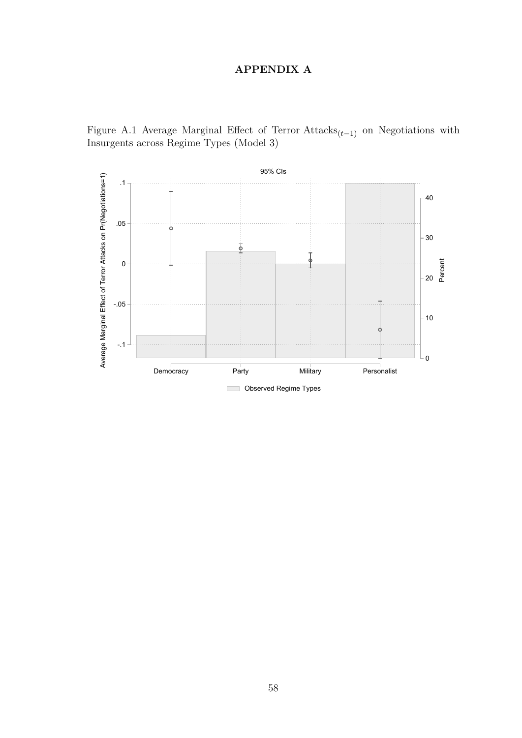# **APPENDIX A**

Figure A.1 Average Marginal Effect of Terror Attacks(*t*−1) on Negotiations with Insurgents across Regime Types (Model 3)

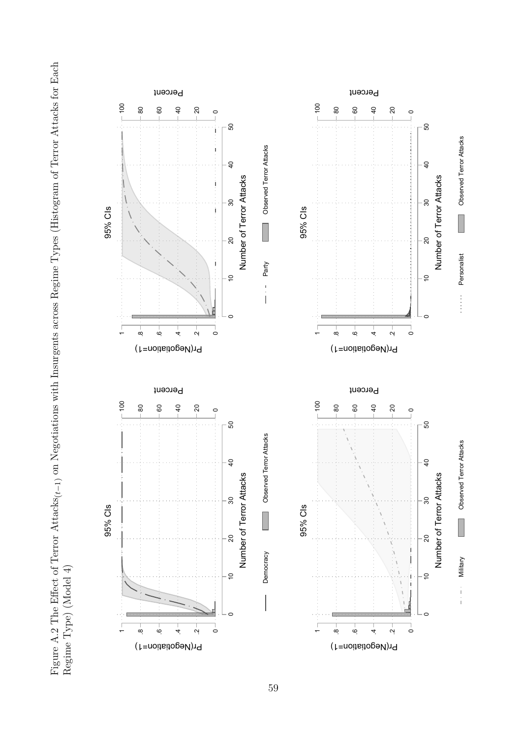Figure A.2 The Effect of Terror Attacks $_{(t-1)}$  on Negotiations with Insurgents across Regime Types (Histogram of Terror Attacks for Each Figure A.2 The Effect of Terror Attacks(*t*−1) on Negotiations with Insurgents across Regime Types (Histogram of Terror Attacks for Each

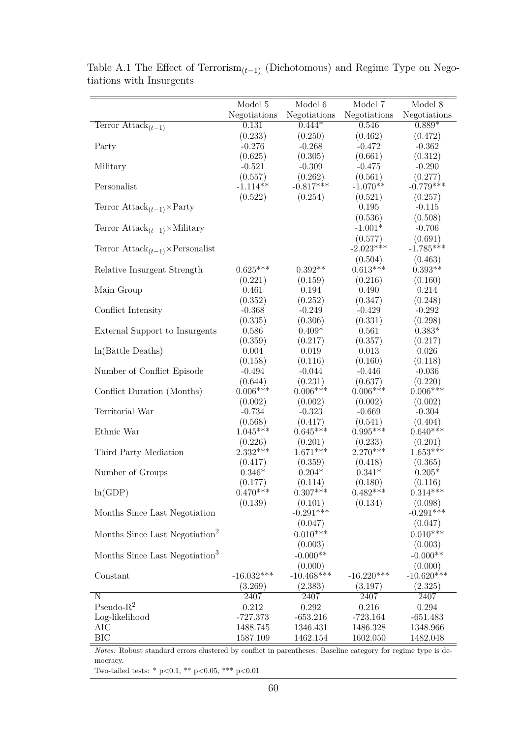|                                                          | Model 5        | Model 6               | Model 7               | Model 8               |
|----------------------------------------------------------|----------------|-----------------------|-----------------------|-----------------------|
|                                                          | Negotiations   | Negotiations          | Negotiations          | Negotiations          |
| Terror $\widehat{\text{Attack}_{(t-1)}}$                 | 0.131          | $0.444*$              | 0.546                 | $0.889*$              |
|                                                          | (0.233)        | (0.250)               | (0.462)               | (0.472)               |
| Party                                                    | $-0.276$       | $-0.268$              | $-0.472$              | $-0.362$              |
|                                                          | (0.625)        | (0.305)               | (0.661)               | (0.312)               |
| Military                                                 | $-0.521$       | $-0.309$              | $-0.475$              | $-0.290$              |
|                                                          | (0.557)        | (0.262)               | (0.561)               | (0.277)               |
| Personalist                                              | $-1.114**$     | $-0.817***$           | $-1.070**$            | $-0.779***$           |
|                                                          | (0.522)        | (0.254)               | (0.521)               | (0.257)               |
| Terror $\text{Attack}_{(t-1)} \times \text{Party}$       |                |                       | 0.195                 | $-0.115$              |
|                                                          |                |                       | (0.536)               | (0.508)               |
|                                                          |                |                       | $-1.001*$             |                       |
| Terror $\text{Attack}_{(t-1)} \times \text{Mility}$      |                |                       |                       | $-0.706$              |
|                                                          |                |                       | (0.577)               | (0.691)               |
| Terror $\text{Attack}_{(t-1)} \times \text{Personalist}$ |                |                       | $-2.023***$           | $-1.785***$           |
|                                                          |                |                       | (0.504)               | (0.463)               |
| Relative Insurgent Strength                              | $0.625***$     | $0.392**$             | $0.613***$            | $0.393**$             |
|                                                          | (0.221)        | (0.159)               | (0.216)               | (0.160)               |
| Main Group                                               | 0.461          | 0.194                 | 0.490                 | 0.214                 |
|                                                          | (0.352)        | (0.252)               | (0.347)               | (0.248)               |
| Conflict Intensity                                       | $-0.368$       | $-0.249$              | $-0.429$              | $-0.292$              |
|                                                          | (0.335)        | (0.306)               | (0.331)               | (0.298)               |
| External Support to Insurgents                           | 0.586          | $0.409*$              | 0.561                 | $0.383*$              |
|                                                          | (0.359)        | (0.217)               | (0.357)               | (0.217)               |
| $ln(Battle$ Deaths)                                      | 0.004          | 0.019                 | 0.013                 | 0.026                 |
|                                                          | (0.158)        | (0.116)               | (0.160)               | (0.118)               |
| Number of Conflict Episode                               | $-0.494$       | $-0.044$              | $-0.446$              | $-0.036$              |
|                                                          | (0.644)        | (0.231)               | (0.637)               | (0.220)               |
| Conflict Duration (Months)                               | $0.006***$     | $0.006***$            | $0.006***$            | $0.006***$            |
|                                                          | (0.002)        | (0.002)               | (0.002)               | (0.002)               |
| Territorial War                                          | $-0.734$       | $-0.323$              | $-0.669$              | $-0.304$              |
|                                                          | (0.568)        | (0.417)               | (0.541)               | (0.404)               |
| Ethnic War                                               | $1.045***$     | $0.645***$            | $0.995***$            | $0.640***$            |
|                                                          | (0.226)        |                       |                       |                       |
| Third Party Mediation                                    | $2.332***$     | (0.201)<br>$1.671***$ | (0.233)<br>$2.270***$ | (0.201)<br>$1.653***$ |
|                                                          |                |                       |                       |                       |
|                                                          | (0.417)        | (0.359)               | (0.418)               | (0.365)               |
| Number of Groups                                         | $0.346^{\ast}$ | $0.204*$              | $0.341*$              | $0.205*$              |
|                                                          | (0.177)        | (0.114)               | (0.180)               | (0.116)               |
| ln(GDP)                                                  | $0.470**$      | $0.307**$             | $0.482***$            | $0.314***$            |
|                                                          | (0.139)        | (0.101)               | (0.134)               | (0.098)               |
| Months Since Last Negotiation                            |                | $-0.291***$           |                       | $-0.291***$           |
|                                                          |                | (0.047)               |                       | (0.047)               |
| Months Since Last Negotiation <sup>2</sup>               |                | $0.010***$            |                       | $0.010***$            |
|                                                          |                | (0.003)               |                       | (0.003)               |
| Months Since Last Negotiation <sup>3</sup>               |                | $-0.000**$            |                       | $-0.000**$            |
|                                                          |                | (0.000)               |                       | (0.000)               |
| Constant                                                 | $-16.032***$   | $-10.468***$          | $-16.220***$          | $-10.620***$          |
|                                                          | (3.269)        | (2.383)               | (3.197)               | (2.325)               |
| Ν                                                        | 2407           | 2407                  | 2407                  | 2407                  |
| Pseudo- $R^2$                                            | 0.212          | 0.292                 | 0.216                 | 0.294                 |
| Log-likelihood                                           | $-727.373$     | $-653.216$            | $-723.164$            | $-651.483$            |
|                                                          |                |                       |                       |                       |
| AIC                                                      | 1488.745       | 1346.431              | 1486.328              | 1348.966              |
| BIC                                                      | 1587.109       | 1462.154              | 1602.050              | 1482.048              |

Table A.1 The Effect of Terrorism<sub>(*t*−1)</sub> (Dichotomous) and Regime Type on Negotiations with Insurgents

*Notes:* Robust standard errors clustered by conflict in parentheses. Baseline category for regime type is democracy.

Two-tailed tests: \* p<0.1, \*\* p<0.05, \*\*\* p<0.01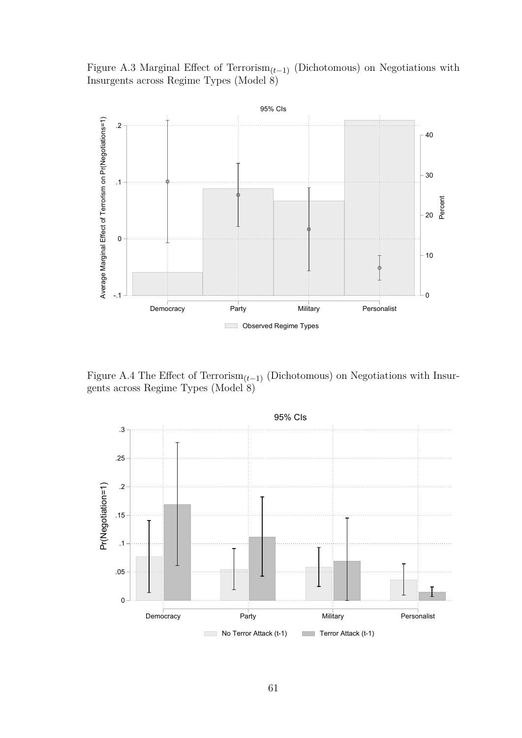Figure A.3 Marginal Effect of Terrorism<sub> $(t-1)$ </sub> (Dichotomous) on Negotiations with Insurgents across Regime Types (Model 8)



Figure A.4 The Effect of Terrorism<sub> $(t-1)$ </sub> (Dichotomous) on Negotiations with Insurgents across Regime Types (Model 8)

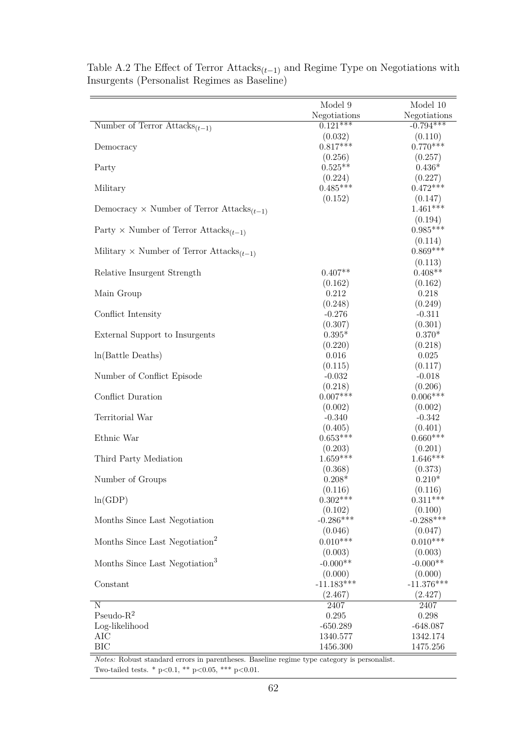|                                                              | Model 9               | Model 10                    |
|--------------------------------------------------------------|-----------------------|-----------------------------|
|                                                              | Negotiations          | Negotiations<br>$-0.794***$ |
| Number of Terror Attacks <sub><math>(t-1)</math></sub>       | $0.121***$            |                             |
|                                                              | (0.032)<br>$0.817***$ | (0.110)<br>$0.770***$       |
| Democracy                                                    | (0.256)               |                             |
| Party                                                        | $0.525**$             | (0.257)<br>$0.436*$         |
|                                                              | (0.224)               | (0.227)                     |
| Military                                                     | $0.485***$            | $0.472***$                  |
|                                                              | (0.152)               | (0.147)                     |
| Democracy $\times$ Number of Terror Attacks <sub>(t-1)</sub> |                       | $1.461***$                  |
|                                                              |                       | (0.194)                     |
| Party $\times$ Number of Terror Attacks <sub>(t-1)</sub>     |                       | $0.985***$                  |
|                                                              |                       | (0.114)                     |
| Military $\times$ Number of Terror Attacks <sub>(t-1)</sub>  |                       | $0.869***$                  |
|                                                              |                       | (0.113)                     |
| Relative Insurgent Strength                                  | $0.407**$             | $0.408**$                   |
|                                                              | (0.162)               | (0.162)                     |
| Main Group                                                   | 0.212                 | 0.218                       |
|                                                              | (0.248)               | (0.249)                     |
| Conflict Intensity                                           | $-0.276$              | $-0.311$                    |
|                                                              | (0.307)               | (0.301)                     |
| External Support to Insurgents                               | $0.395*$              | $0.370*$                    |
|                                                              | (0.220)               | (0.218)                     |
| $ln(Battle$ Deaths)                                          | 0.016                 | 0.025                       |
|                                                              | (0.115)               | (0.117)                     |
| Number of Conflict Episode                                   | $-0.032$              | $-0.018$                    |
|                                                              | (0.218)               | (0.206)                     |
| Conflict Duration                                            | $0.007***$            | $0.006***$                  |
|                                                              | (0.002)               | (0.002)                     |
| Territorial War                                              | $-0.340$              | $-0.342$                    |
|                                                              | (0.405)               | (0.401)                     |
| Ethnic War                                                   | $0.653***$            | $0.660***$                  |
| Third Party Mediation                                        | (0.203)<br>$1.659***$ | (0.201)<br>$1.646***$       |
|                                                              | (0.368)               | (0.373)                     |
| Number of Groups                                             | $0.208*$              | $0.210*$                    |
|                                                              | (0.116)               | (0.116)                     |
| ln(GDP)                                                      | $0.302***$            | $0.311***$                  |
|                                                              | (0.102)               | (0.100)                     |
| Months Since Last Negotiation                                | $-0.286***$           | $-0.288***$                 |
|                                                              | (0.046)               | (0.047)                     |
| Months Since Last Negotiation <sup>2</sup>                   | $0.010***$            | $0.010***$                  |
|                                                              | (0.003)               | (0.003)                     |
| Months Since Last Negotiation <sup>3</sup>                   | $-0.000**$            | $-0.000**$                  |
|                                                              | (0.000)               | (0.000)                     |
| Constant                                                     | $-11.183***$          | $-11.376***$                |
|                                                              | (2.467)               | (2.427)                     |
| N                                                            | 2407                  | 2407                        |
| Pseudo- $R^2$                                                | 0.295                 | 0.298                       |
| Log-likelihood                                               | $-650.289$            | $-648.087$                  |
| AIC                                                          | 1340.577              | 1342.174                    |
| BIC                                                          | 1456.300              | 1475.256                    |

Table A.2 The Effect of Terror  $\text{Attacks}_{(t-1)}$  and Regime Type on Negotiations with Insurgents (Personalist Regimes as Baseline)

*Notes:* Robust standard errors in parentheses. Baseline regime type category is personalist. Two-tailed tests. \* p<0.1, \*\* p<0.05, \*\*\* p<0.01.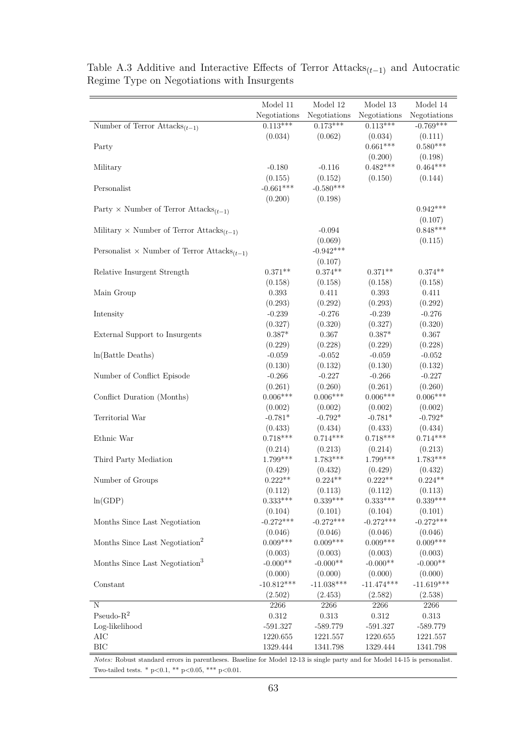|                                                             | Model 11     | Model 12     | Model 13     | Model 14     |
|-------------------------------------------------------------|--------------|--------------|--------------|--------------|
|                                                             | Negotiations | Negotiations | Negotiations | Negotiations |
| Number of Terror Attacks $(t-1)$                            | $0.113***$   | $0.173***$   | $0.113***$   | $-0.769***$  |
|                                                             | (0.034)      | (0.062)      | (0.034)      | (0.111)      |
| Party                                                       |              |              | $0.661***$   | $0.580***$   |
|                                                             |              |              | (0.200)      | (0.198)      |
| Military                                                    | $-0.180$     | $-0.116$     | $0.482***$   | $0.464***$   |
|                                                             | (0.155)      | (0.152)      | (0.150)      | (0.144)      |
| Personalist                                                 | $-0.661***$  | $-0.580***$  |              |              |
|                                                             | (0.200)      | (0.198)      |              |              |
| Party × Number of Terror Attacks <sub>(t-1)</sub>           |              |              |              | $0.942***$   |
|                                                             |              |              |              | (0.107)      |
| Military $\times$ Number of Terror Attacks <sub>(t-1)</sub> |              | $-0.094$     |              | $0.848***$   |
|                                                             |              | (0.069)      |              | (0.115)      |
| Personalist × Number of Terror Attacks <sub>(t-1)</sub>     |              | $-0.942***$  |              |              |
|                                                             |              | (0.107)      |              |              |
| Relative Insurgent Strength                                 | $0.371**$    | $0.374**$    | $0.371**$    | $0.374**$    |
|                                                             | (0.158)      | (0.158)      | (0.158)      | (0.158)      |
| Main Group                                                  | $0.393\,$    | 0.411        | $0.393\,$    | 0.411        |
|                                                             | (0.293)      | (0.292)      | (0.293)      | (0.292)      |
| Intensity                                                   | $-0.239$     | $-0.276$     | $-0.239$     | $-0.276$     |
|                                                             | (0.327)      | (0.320)      | (0.327)      | (0.320)      |
| External Support to Insurgents                              | $0.387*$     | 0.367        | $0.387*$     | 0.367        |
|                                                             | (0.229)      | (0.228)      | (0.229)      | (0.228)      |
| In(Battle Deaths)                                           | $-0.059$     | $-0.052$     | $-0.059$     | $-0.052$     |
|                                                             | (0.130)      | (0.132)      | (0.130)      | (0.132)      |
| Number of Conflict Episode                                  | $-0.266$     | $-0.227$     | $-0.266$     | $-0.227$     |
|                                                             | (0.261)      | (0.260)      | (0.261)      | (0.260)      |
| Conflict Duration (Months)                                  | $0.006***$   | $0.006***$   | $0.006***$   | $0.006***$   |
|                                                             | (0.002)      | (0.002)      | (0.002)      | (0.002)      |
| Territorial War                                             | $-0.781*$    | $-0.792*$    | $-0.781*$    | $-0.792*$    |
|                                                             | (0.433)      | (0.434)      | (0.433)      | (0.434)      |
| Ethnic War                                                  | $0.718***$   | $0.714***$   | $0.718***$   | $0.714***$   |
|                                                             | (0.214)      | (0.213)      | (0.214)      | (0.213)      |
| Third Party Mediation                                       | 1.799***     | $1.783***$   | 1.799***     | $1.783***$   |
|                                                             | (0.429)      | (0.432)      | (0.429)      | (0.432)      |
| Number of Groups                                            | $0.222**$    | $0.224**$    | $0.222**$    | $0.224**$    |
|                                                             | (0.112)      | (0.113)      | (0.112)      | (0.113)      |
| ln(GDP)                                                     | $0.333***$   | $0.339***$   | $0.333***$   | $0.339***$   |
|                                                             | (0.104)      | (0.101)      | (0.104)      | (0.101)      |
| Months Since Last Negotiation                               | $-0.272***$  | $-0.272***$  | $-0.272***$  | $-0.272***$  |
|                                                             | (0.046)      | (0.046)      | (0.046)      | (0.046)      |
| Months Since Last Negotiation <sup>2</sup>                  | $0.009***$   | $0.009***$   | $0.009***$   | $0.009***$   |
|                                                             | (0.003)      | (0.003)      | (0.003)      | (0.003)      |
| Months Since Last Negotiation <sup>3</sup>                  | $-0.000**$   | $-0.000**$   | $-0.000**$   | $-0.000**$   |
|                                                             | (0.000)      | (0.000)      | (0.000)      | (0.000)      |
| Constant                                                    | $-10.812***$ | $-11.038***$ | $-11.474***$ | $-11.619***$ |
|                                                             | (2.502)      | (2.453)      | (2.582)      | (2.538)      |
| Ν                                                           | 2266         | 2266         | 2266         | 2266         |
| Pseudo- $R^2$                                               | $0.312\,$    | $0.313\,$    | $0.312\,$    | $0.313\,$    |
| Log-likelihood                                              | $-591.327$   | $-589.779$   | $-591.327$   | $-589.779$   |
| AIC                                                         | 1220.655     | 1221.557     | 1220.655     | 1221.557     |
| BIC                                                         | 1329.444     | 1341.798     | 1329.444     | 1341.798     |

Table A.3 Additive and Interactive Effects of Terror  $\text{Attacks}_{(t-1)}$  and Autocratic Regime Type on Negotiations with Insurgents

*Notes:* Robust standard errors in parentheses. Baseline for Model 12-13 is single party and for Model 14-15 is personalist. Two-tailed tests. \* p<0.1, \*\* p<0.05, \*\*\* p<0.01.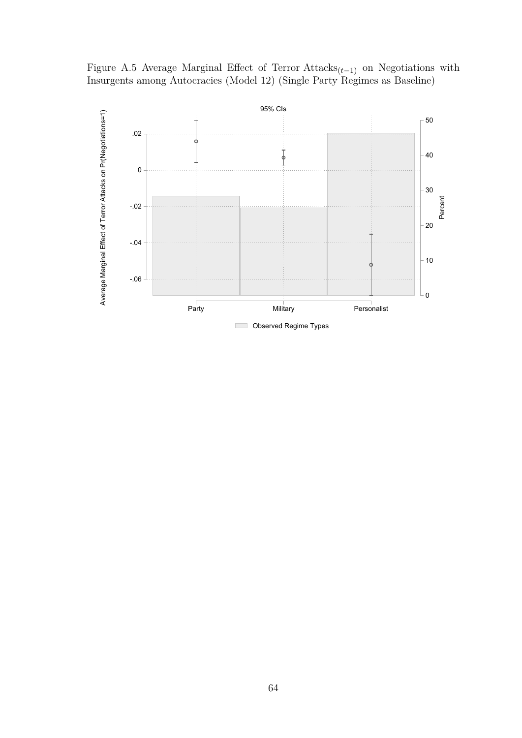Figure A.5 Average Marginal Effect of Terror Attacks(*t*−1) on Negotiations with Insurgents among Autocracies (Model 12) (Single Party Regimes as Baseline)

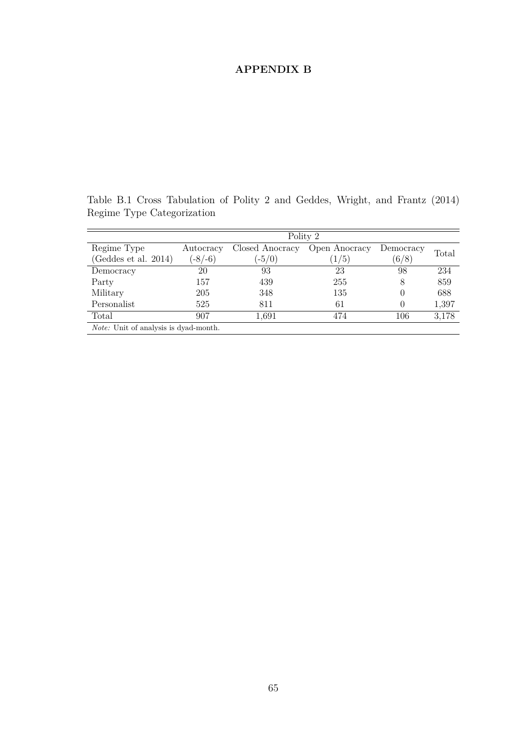## **APPENDIX B**

Polity 2 Regime Type (Geddes et al. 2014) **Autocracy**  $(-8/-6)$ Closed Anocracy Open Anocracy  $(-5/0)$  $(1/5)$ **Democracy**  $^{111}$ (6/8) Total Democracy 20 93 23 98 234 Party 157 439 255 8 859 Military 205 348 135 0 688 Personalist 525 811 61 0 1,397 Total 907 1,691 474 106 3,178 *Note:* Unit of analysis is dyad-month.

Table B.1 Cross Tabulation of Polity 2 and Geddes, Wright, and Frantz (2014) Regime Type Categorization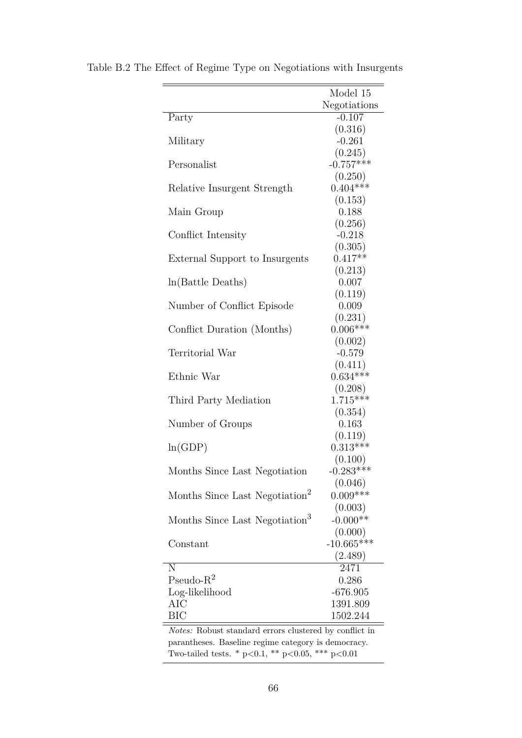|                                                        | Model 15     |  |  |  |
|--------------------------------------------------------|--------------|--|--|--|
|                                                        | Negotiations |  |  |  |
| Party                                                  | $-0.107$     |  |  |  |
|                                                        | (0.316)      |  |  |  |
| Military                                               | $-0.261$     |  |  |  |
|                                                        | (0.245)      |  |  |  |
| Personalist                                            | $-0.757***$  |  |  |  |
|                                                        | (0.250)      |  |  |  |
| Relative Insurgent Strength                            | $0.404***$   |  |  |  |
|                                                        | (0.153)      |  |  |  |
| Main Group                                             | 0.188        |  |  |  |
|                                                        | (0.256)      |  |  |  |
| Conflict Intensity                                     | $-0.218$     |  |  |  |
|                                                        | (0.305)      |  |  |  |
| External Support to Insurgents                         | $0.417**$    |  |  |  |
|                                                        | (0.213)      |  |  |  |
| $ln(Battle$ Deaths)                                    | 0.007        |  |  |  |
|                                                        | (0.119)      |  |  |  |
| Number of Conflict Episode                             | 0.009        |  |  |  |
|                                                        | (0.231)      |  |  |  |
| Conflict Duration (Months)                             | $0.006***$   |  |  |  |
|                                                        | (0.002)      |  |  |  |
| Territorial War                                        | $-0.579$     |  |  |  |
|                                                        | (0.411)      |  |  |  |
| Ethnic War                                             | $0.634***$   |  |  |  |
|                                                        | (0.208)      |  |  |  |
| Third Party Mediation                                  | $1.715***$   |  |  |  |
|                                                        | (0.354)      |  |  |  |
| Number of Groups                                       | 0.163        |  |  |  |
|                                                        | (0.119)      |  |  |  |
| ln(GDP)                                                | $0.313***$   |  |  |  |
|                                                        | (0.100)      |  |  |  |
| Months Since Last Negotiation                          | $-0.283***$  |  |  |  |
|                                                        | (0.046)      |  |  |  |
| Months Since Last Negotiation <sup>2</sup>             | $0.009***$   |  |  |  |
|                                                        | (0.003)      |  |  |  |
| Months Since Last Negotiation <sup>3</sup>             | $-0.000**$   |  |  |  |
|                                                        | (0.000)      |  |  |  |
| Constant                                               | $-10.665***$ |  |  |  |
|                                                        | (2.489)      |  |  |  |
| N                                                      | 2471         |  |  |  |
| Pseudo- $R^2$                                          | 0.286        |  |  |  |
| Log-likelihood                                         | $-676.905$   |  |  |  |
| AIC                                                    | 1391.809     |  |  |  |
| <b>BIC</b>                                             | 1502.244     |  |  |  |
| Notes: Robust standard errors clustered by conflict in |              |  |  |  |
| parantheses. Baseline regime category is democracy.    |              |  |  |  |

Table B.2 The Effect of Regime Type on Negotiations with Insurgents

Two-tailed tests. \* p<0.1, \*\* p<0.05, \*\*\* p<0.01